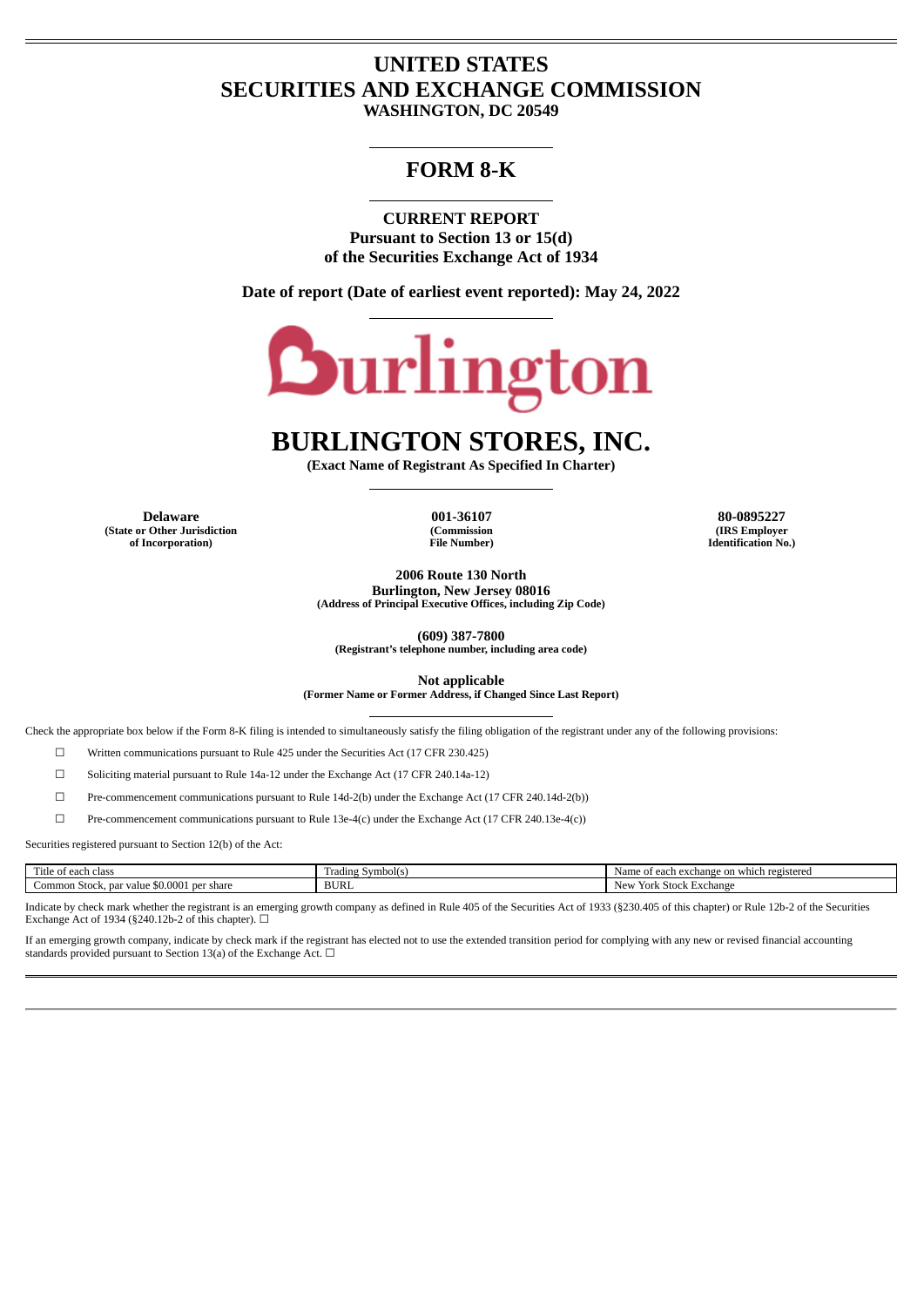# **UNITED STATES SECURITIES AND EXCHANGE COMMISSION**

**WASHINGTON, DC 20549**

# **FORM 8-K**

**CURRENT REPORT Pursuant to Section 13 or 15(d) of the Securities Exchange Act of 1934**

**Date of report (Date of earliest event reported): May 24, 2022**



# **BURLINGTON STORES, INC.**

**(Exact Name of Registrant As Specified In Charter)**

**Delaware 001-36107 80-0895227 (State or Other Jurisdiction of Incorporation)**

**(Commission File Number)**

**(IRS Employer Identification No.)**

**2006 Route 130 North Burlington, New Jersey 08016**

**(Address of Principal Executive Offices, including Zip Code)**

**(609) 387-7800**

**(Registrant's telephone number, including area code)**

**Not applicable**

**(Former Name or Former Address, if Changed Since Last Report)**

Check the appropriate box below if the Form 8-K filing is intended to simultaneously satisfy the filing obligation of the registrant under any of the following provisions:

☐ Written communications pursuant to Rule 425 under the Securities Act (17 CFR 230.425)

☐ Soliciting material pursuant to Rule 14a-12 under the Exchange Act (17 CFR 240.14a-12)

☐ Pre-commencement communications pursuant to Rule 14d-2(b) under the Exchange Act (17 CFR 240.14d-2(b))

☐ Pre-commencement communications pursuant to Rule 13e-4(c) under the Exchange Act (17 CFR 240.13e-4(c))

Securities registered pursuant to Section 12(b) of the Act:

| <b>COLLECTION</b><br>' itle of ea.<br>cias<br>--                | Trading Symbol(s) | e on which registered<br>. of each exchange $\gamma$ |
|-----------------------------------------------------------------|-------------------|------------------------------------------------------|
| 0.004<br>share<br>Common Stock, par<br>nor<br>r value<br>-<br>. | <b>BURL</b>       | Stock Exchange<br>NΔ.                                |

Indicate by check mark whether the registrant is an emerging growth company as defined in Rule 405 of the Securities Act of 1933 (§230.405 of this chapter) or Rule 12b-2 of the Securities Exchange Act of 1934 (§240.12b-2 of this chapter).  $\Box$ 

If an emerging growth company, indicate by check mark if the registrant has elected not to use the extended transition period for complying with any new or revised financial accounting standards provided pursuant to Section 13(a) of the Exchange Act.  $\Box$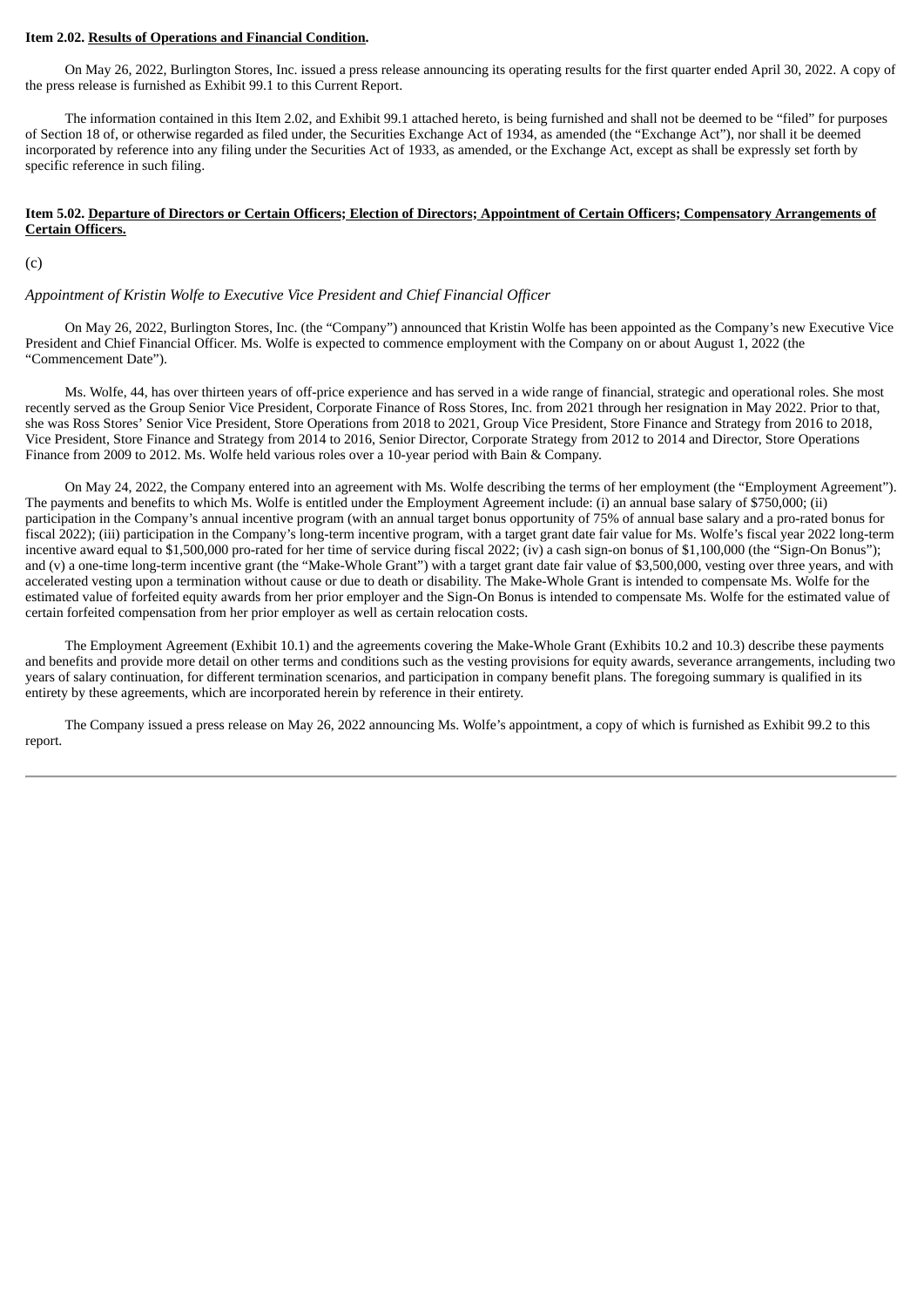#### **Item 2.02. Results of Operations and Financial Condition.**

On May 26, 2022, Burlington Stores, Inc. issued a press release announcing its operating results for the first quarter ended April 30, 2022. A copy of the press release is furnished as Exhibit 99.1 to this Current Report.

The information contained in this Item 2.02, and Exhibit 99.1 attached hereto, is being furnished and shall not be deemed to be "filed" for purposes of Section 18 of, or otherwise regarded as filed under, the Securities Exchange Act of 1934, as amended (the "Exchange Act"), nor shall it be deemed incorporated by reference into any filing under the Securities Act of 1933, as amended, or the Exchange Act, except as shall be expressly set forth by specific reference in such filing.

#### Item 5.02. Departure of Directors or Certain Officers; Election of Directors; Appointment of Certain Officers; Compensatory Arrangements of **Certain Officers.**

(c)

#### *Appointment of Kristin Wolfe to Executive Vice President and Chief Financial Officer*

On May 26, 2022, Burlington Stores, Inc. (the "Company") announced that Kristin Wolfe has been appointed as the Company's new Executive Vice President and Chief Financial Officer. Ms. Wolfe is expected to commence employment with the Company on or about August 1, 2022 (the "Commencement Date").

Ms. Wolfe, 44, has over thirteen years of off-price experience and has served in a wide range of financial, strategic and operational roles. She most recently served as the Group Senior Vice President, Corporate Finance of Ross Stores, Inc. from 2021 through her resignation in May 2022. Prior to that, she was Ross Stores' Senior Vice President, Store Operations from 2018 to 2021, Group Vice President, Store Finance and Strategy from 2016 to 2018, Vice President, Store Finance and Strategy from 2014 to 2016, Senior Director, Corporate Strategy from 2012 to 2014 and Director, Store Operations Finance from 2009 to 2012. Ms. Wolfe held various roles over a 10-year period with Bain & Company.

On May 24, 2022, the Company entered into an agreement with Ms. Wolfe describing the terms of her employment (the "Employment Agreement"). The payments and benefits to which Ms. Wolfe is entitled under the Employment Agreement include: (i) an annual base salary of \$750,000; (ii) participation in the Company's annual incentive program (with an annual target bonus opportunity of 75% of annual base salary and a pro-rated bonus for fiscal 2022); (iii) participation in the Company's long-term incentive program, with a target grant date fair value for Ms. Wolfe's fiscal year 2022 long-term incentive award equal to \$1,500,000 pro-rated for her time of service during fiscal 2022; (iv) a cash sign-on bonus of \$1,100,000 (the "Sign-On Bonus"); and (v) a one-time long-term incentive grant (the "Make-Whole Grant") with a target grant date fair value of \$3,500,000, vesting over three years, and with accelerated vesting upon a termination without cause or due to death or disability. The Make-Whole Grant is intended to compensate Ms. Wolfe for the estimated value of forfeited equity awards from her prior employer and the Sign-On Bonus is intended to compensate Ms. Wolfe for the estimated value of certain forfeited compensation from her prior employer as well as certain relocation costs.

The Employment Agreement (Exhibit 10.1) and the agreements covering the Make-Whole Grant (Exhibits 10.2 and 10.3) describe these payments and benefits and provide more detail on other terms and conditions such as the vesting provisions for equity awards, severance arrangements, including two years of salary continuation, for different termination scenarios, and participation in company benefit plans. The foregoing summary is qualified in its entirety by these agreements, which are incorporated herein by reference in their entirety.

The Company issued a press release on May 26, 2022 announcing Ms. Wolfe's appointment, a copy of which is furnished as Exhibit 99.2 to this report.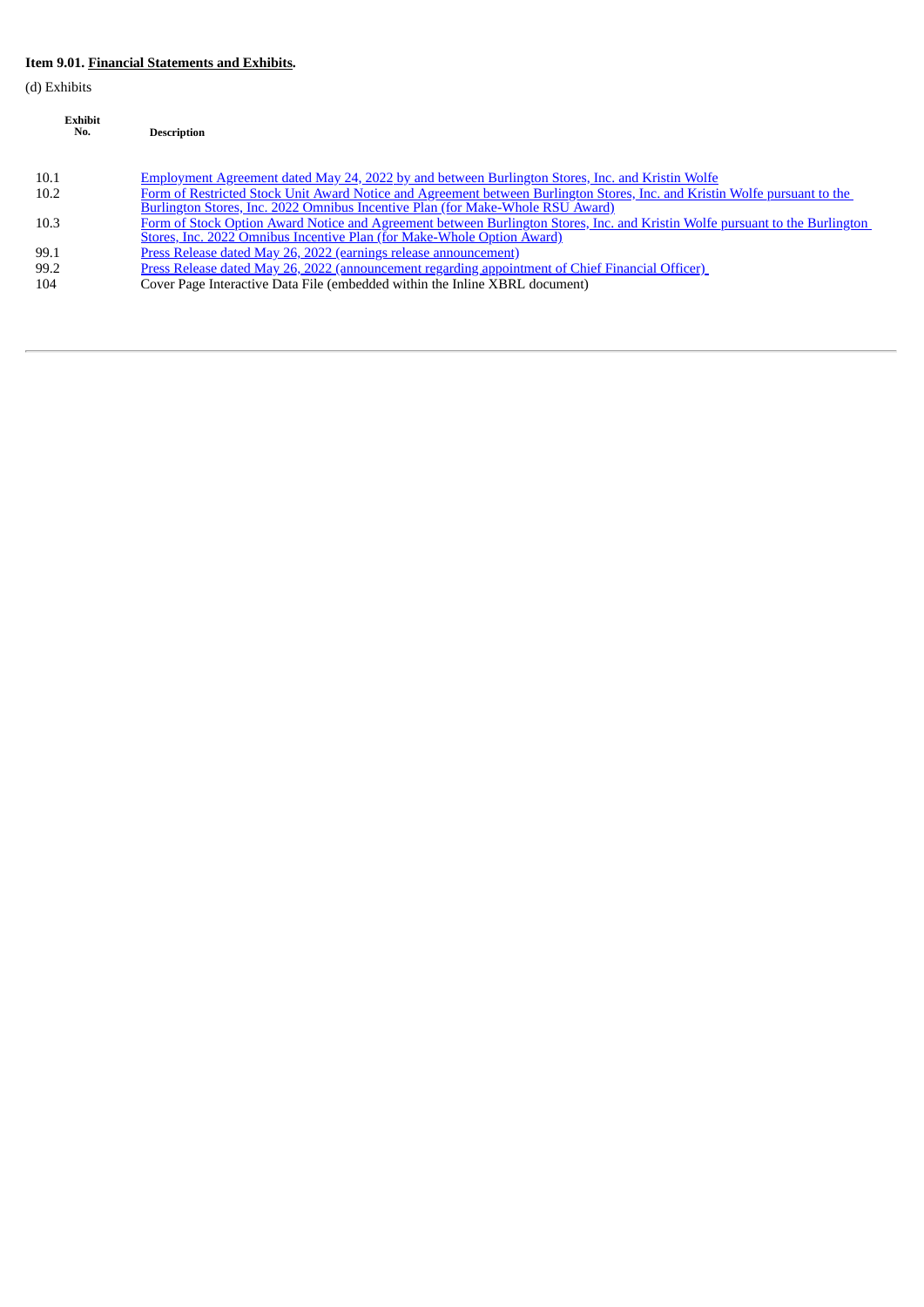# **Item 9.01. Financial Statements and Exhibits.**

(d) Exhibits

| <b>Exhibit</b><br>No. | <b>Description</b>                                                                                                                                                                                           |
|-----------------------|--------------------------------------------------------------------------------------------------------------------------------------------------------------------------------------------------------------|
| 10.1                  | Employment Agreement dated May 24, 2022 by and between Burlington Stores, Inc. and Kristin Wolfe                                                                                                             |
| 10.2                  | Form of Restricted Stock Unit Award Notice and Agreement between Burlington Stores, Inc. and Kristin Wolfe pursuant to the<br>Burlington Stores, Inc. 2022 Omnibus Incentive Plan (for Make-Whole RSU Award) |
| 10.3                  | Form of Stock Option Award Notice and Agreement between Burlington Stores, Inc. and Kristin Wolfe pursuant to the Burlington<br>Stores, Inc. 2022 Omnibus Incentive Plan (for Make-Whole Option Award)       |
| 99.1                  | Press Release dated May 26, 2022 (earnings release announcement)                                                                                                                                             |
| 99.2                  | Press Release dated May 26, 2022 (announcement regarding appointment of Chief Financial Officer)                                                                                                             |
| 104                   | Cover Page Interactive Data File (embedded within the Inline XBRL document)                                                                                                                                  |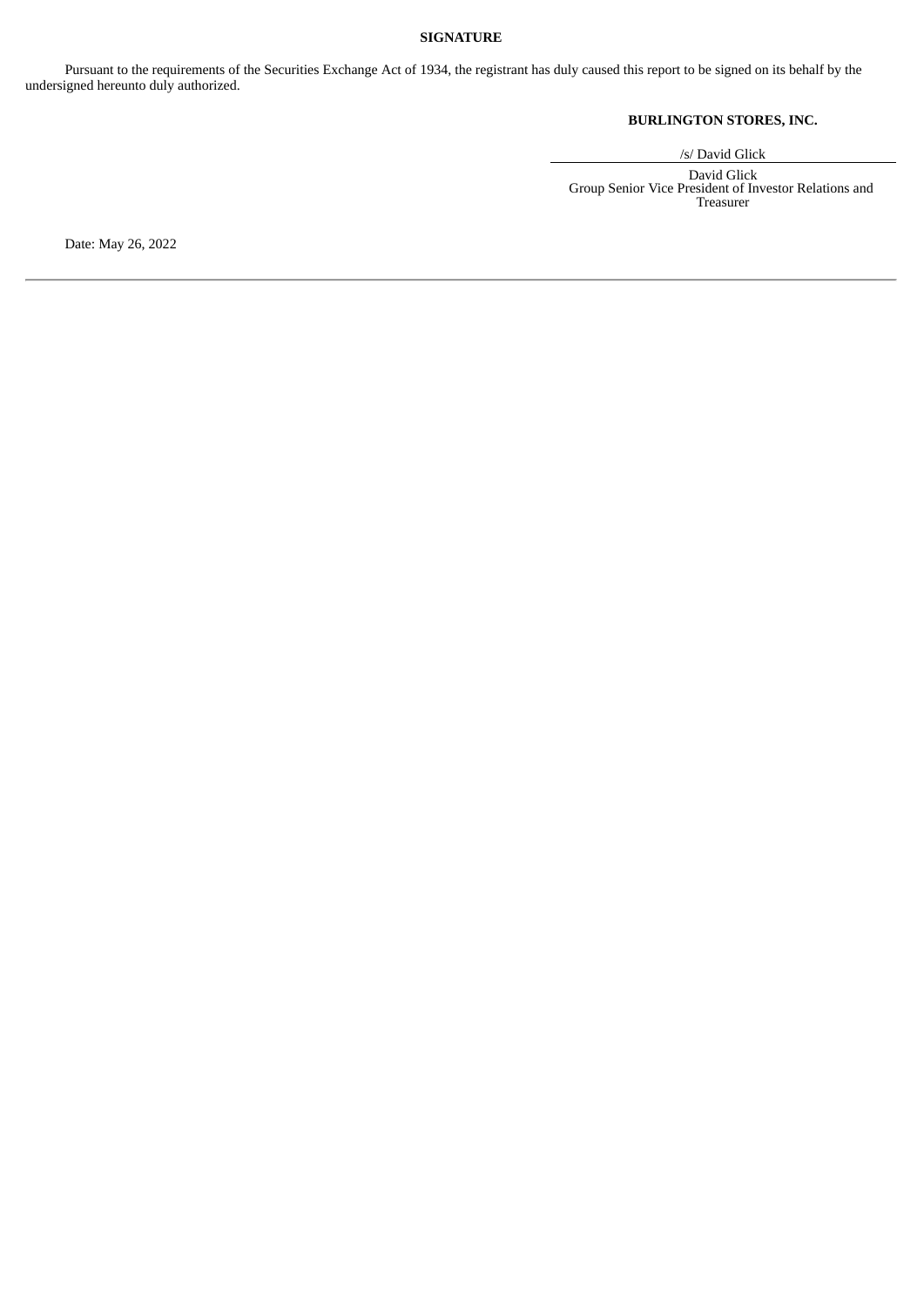# **SIGNATURE**

Pursuant to the requirements of the Securities Exchange Act of 1934, the registrant has duly caused this report to be signed on its behalf by the undersigned hereunto duly authorized.

# **BURLINGTON STORES, INC.**

/s/ David Glick

David Glick Group Senior Vice President of Investor Relations and Treasurer

Date: May 26, 2022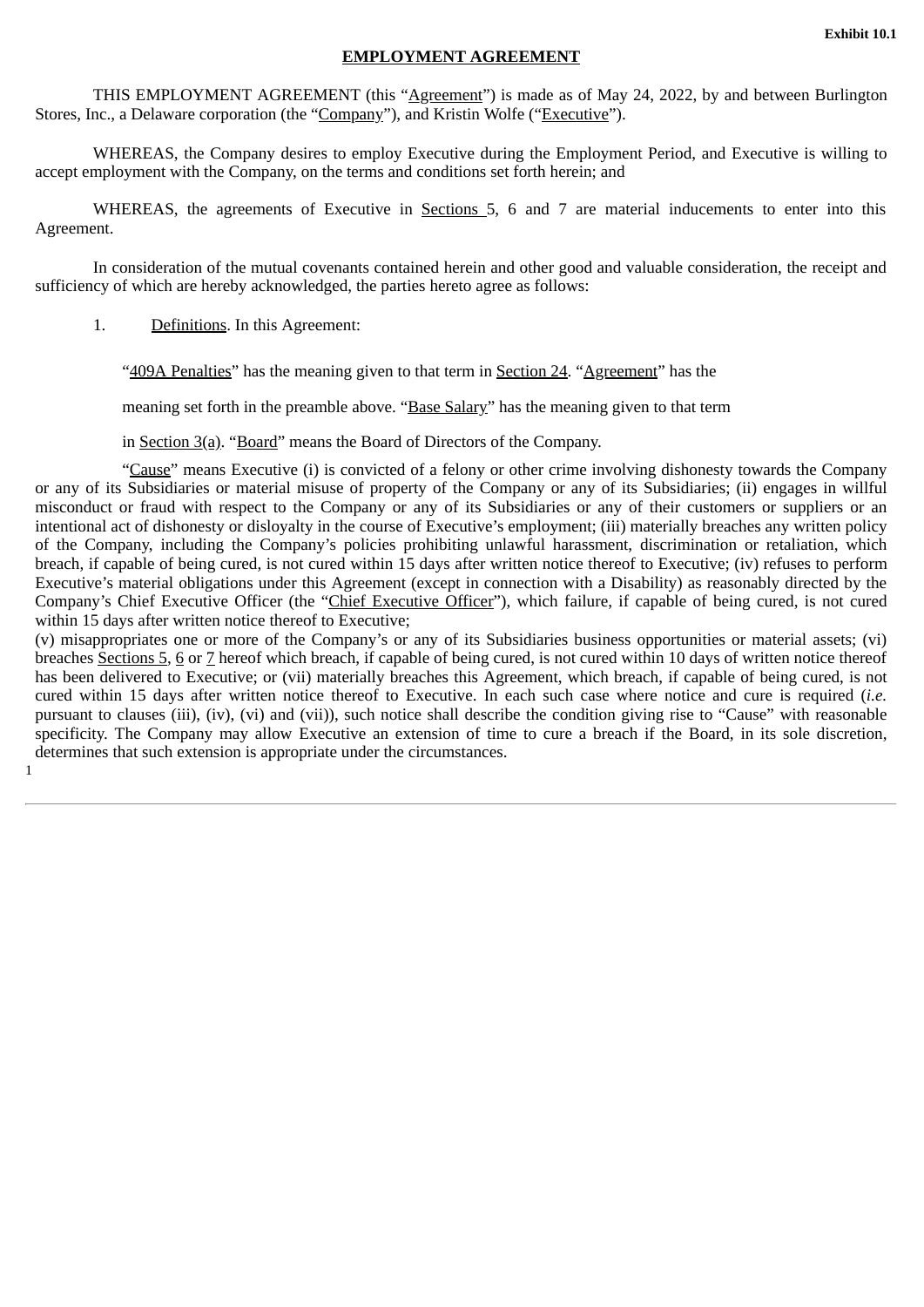## **EMPLOYMENT AGREEMENT**

<span id="page-4-0"></span>THIS EMPLOYMENT AGREEMENT (this "Agreement") is made as of May 24, 2022, by and between Burlington Stores, Inc., a Delaware corporation (the "Company"), and Kristin Wolfe ("Executive").

WHEREAS, the Company desires to employ Executive during the Employment Period, and Executive is willing to accept employment with the Company, on the terms and conditions set forth herein; and

WHEREAS, the agreements of Executive in Sections 5, 6 and 7 are material inducements to enter into this Agreement.

In consideration of the mutual covenants contained herein and other good and valuable consideration, the receipt and sufficiency of which are hereby acknowledged, the parties hereto agree as follows:

1. Definitions. In this Agreement:

"409A Penalties" has the meaning given to that term in Section 24. "Agreement" has the

meaning set forth in the preamble above. "Base Salary" has the meaning given to that term

in Section 3(a). "Board" means the Board of Directors of the Company.

"Cause" means Executive (i) is convicted of a felony or other crime involving dishonesty towards the Company or any of its Subsidiaries or material misuse of property of the Company or any of its Subsidiaries; (ii) engages in willful misconduct or fraud with respect to the Company or any of its Subsidiaries or any of their customers or suppliers or an intentional act of dishonesty or disloyalty in the course of Executive's employment; (iii) materially breaches any written policy of the Company, including the Company's policies prohibiting unlawful harassment, discrimination or retaliation, which breach, if capable of being cured, is not cured within 15 days after written notice thereof to Executive; (iv) refuses to perform Executive's material obligations under this Agreement (except in connection with a Disability) as reasonably directed by the Company's Chief Executive Officer (the "Chief Executive Officer"), which failure, if capable of being cured, is not cured within 15 days after written notice thereof to Executive;

(v) misappropriates one or more of the Company's or any of its Subsidiaries business opportunities or material assets; (vi) breaches Sections 5, 6 or 7 hereof which breach, if capable of being cured, is not cured within 10 days of written notice thereof has been delivered to Executive; or (vii) materially breaches this Agreement, which breach, if capable of being cured, is not cured within 15 days after written notice thereof to Executive. In each such case where notice and cure is required (*i.e.* pursuant to clauses (iii), (iv), (vi) and (vii)), such notice shall describe the condition giving rise to "Cause" with reasonable specificity. The Company may allow Executive an extension of time to cure a breach if the Board, in its sole discretion, determines that such extension is appropriate under the circumstances. 1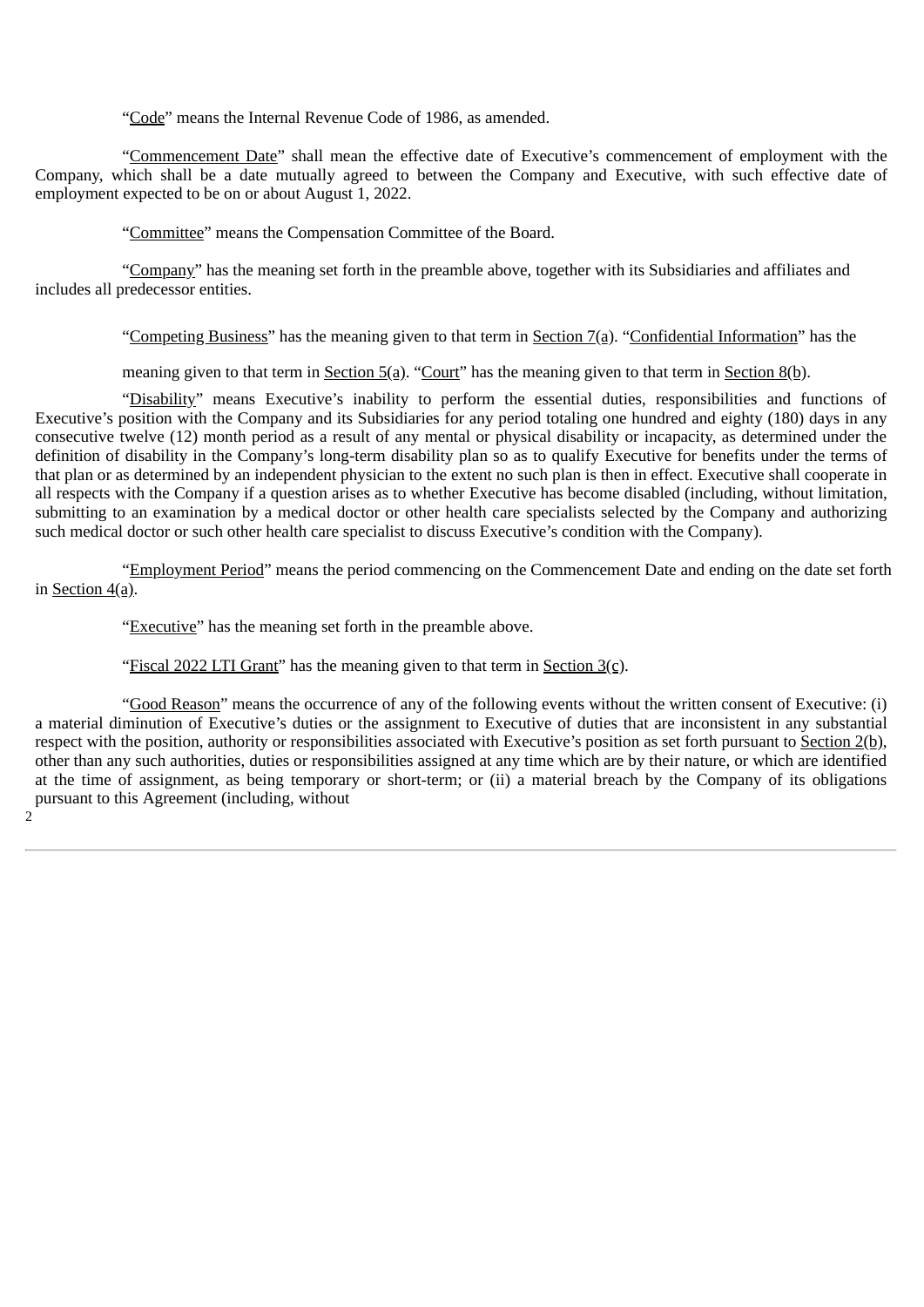"Code" means the Internal Revenue Code of 1986, as amended.

"Commencement Date" shall mean the effective date of Executive's commencement of employment with the Company, which shall be a date mutually agreed to between the Company and Executive, with such effective date of employment expected to be on or about August 1, 2022.

"Committee" means the Compensation Committee of the Board.

"Company" has the meaning set forth in the preamble above, together with its Subsidiaries and affiliates and includes all predecessor entities.

"Competing Business" has the meaning given to that term in Section 7(a). "Confidential Information" has the

meaning given to that term in Section 5(a). "Court" has the meaning given to that term in Section 8(b).

"Disability" means Executive's inability to perform the essential duties, responsibilities and functions of Executive's position with the Company and its Subsidiaries for any period totaling one hundred and eighty (180) days in any consecutive twelve (12) month period as a result of any mental or physical disability or incapacity, as determined under the definition of disability in the Company's long-term disability plan so as to qualify Executive for benefits under the terms of that plan or as determined by an independent physician to the extent no such plan is then in effect. Executive shall cooperate in all respects with the Company if a question arises as to whether Executive has become disabled (including, without limitation, submitting to an examination by a medical doctor or other health care specialists selected by the Company and authorizing such medical doctor or such other health care specialist to discuss Executive's condition with the Company).

"Employment Period" means the period commencing on the Commencement Date and ending on the date set forth in Section 4(a).

"Executive" has the meaning set forth in the preamble above.

2

"Fiscal 2022 LTI Grant" has the meaning given to that term in Section  $3(c)$ .

"Good Reason" means the occurrence of any of the following events without the written consent of Executive: (i) a material diminution of Executive's duties or the assignment to Executive of duties that are inconsistent in any substantial respect with the position, authority or responsibilities associated with Executive's position as set forth pursuant to Section 2(b), other than any such authorities, duties or responsibilities assigned at any time which are by their nature, or which are identified at the time of assignment, as being temporary or short-term; or (ii) a material breach by the Company of its obligations pursuant to this Agreement (including, without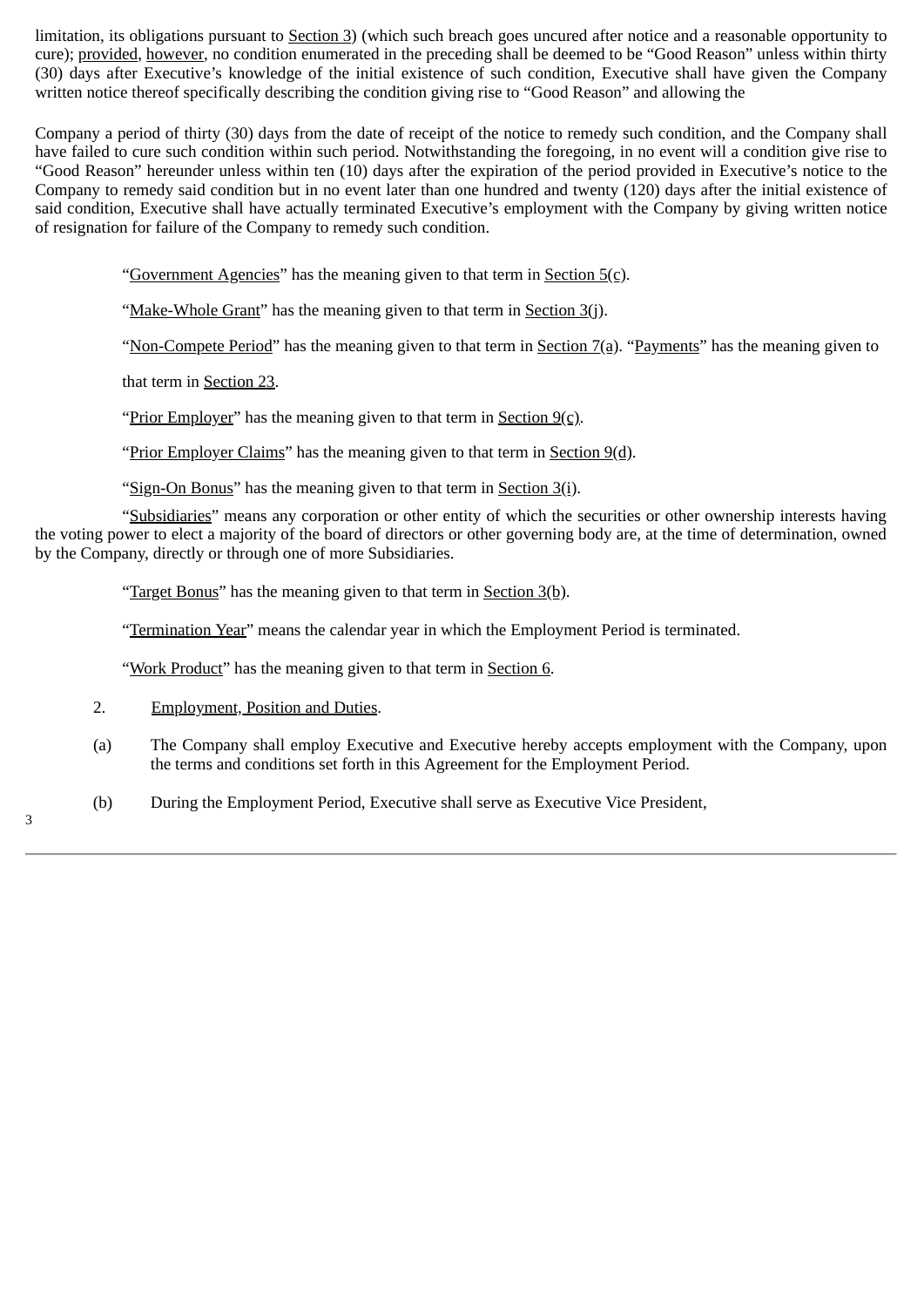limitation, its obligations pursuant to Section 3) (which such breach goes uncured after notice and a reasonable opportunity to cure); provided, however, no condition enumerated in the preceding shall be deemed to be "Good Reason" unless within thirty (30) days after Executive's knowledge of the initial existence of such condition, Executive shall have given the Company written notice thereof specifically describing the condition giving rise to "Good Reason" and allowing the

Company a period of thirty (30) days from the date of receipt of the notice to remedy such condition, and the Company shall have failed to cure such condition within such period. Notwithstanding the foregoing, in no event will a condition give rise to "Good Reason" hereunder unless within ten (10) days after the expiration of the period provided in Executive's notice to the Company to remedy said condition but in no event later than one hundred and twenty (120) days after the initial existence of said condition, Executive shall have actually terminated Executive's employment with the Company by giving written notice of resignation for failure of the Company to remedy such condition.

"Government Agencies" has the meaning given to that term in Section 5(c).

"Make-Whole Grant" has the meaning given to that term in Section 3(j).

"Non-Compete Period" has the meaning given to that term in Section 7(a). "Payments" has the meaning given to

that term in Section 23.

"Prior Employer" has the meaning given to that term in Section 9(c).

"Prior Employer Claims" has the meaning given to that term in Section 9(d).

"Sign-On Bonus" has the meaning given to that term in Section 3(i).

"Subsidiaries" means any corporation or other entity of which the securities or other ownership interests having the voting power to elect a majority of the board of directors or other governing body are, at the time of determination, owned by the Company, directly or through one of more Subsidiaries.

"Target Bonus" has the meaning given to that term in Section 3(b).

"Termination Year" means the calendar year in which the Employment Period is terminated.

"Work Product" has the meaning given to that term in Section 6.

2. Employment, Position and Duties.

- (a) The Company shall employ Executive and Executive hereby accepts employment with the Company, upon the terms and conditions set forth in this Agreement for the Employment Period.
- (b) During the Employment Period, Executive shall serve as Executive Vice President,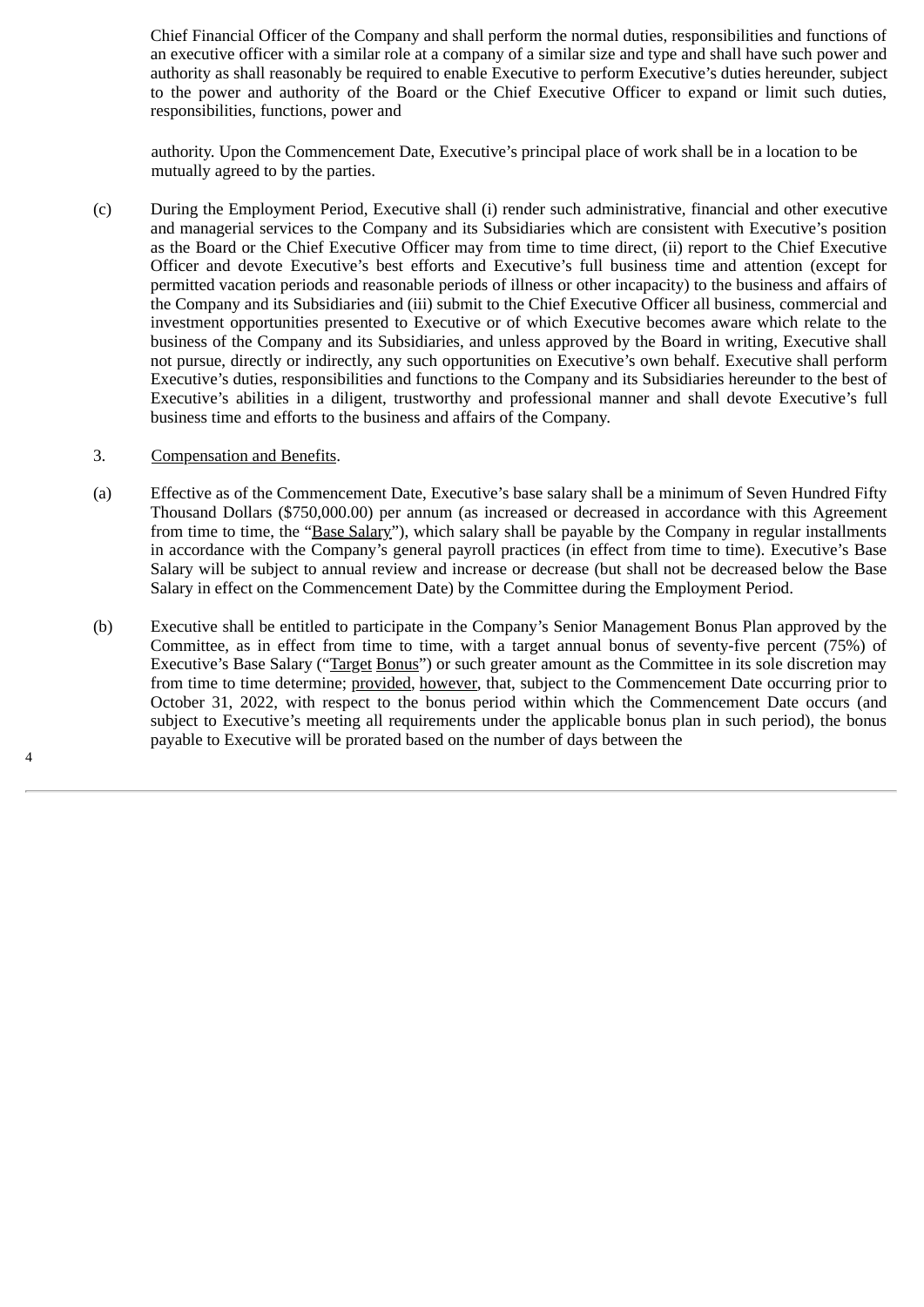Chief Financial Officer of the Company and shall perform the normal duties, responsibilities and functions of an executive officer with a similar role at a company of a similar size and type and shall have such power and authority as shall reasonably be required to enable Executive to perform Executive's duties hereunder, subject to the power and authority of the Board or the Chief Executive Officer to expand or limit such duties, responsibilities, functions, power and

authority. Upon the Commencement Date, Executive's principal place of work shall be in a location to be mutually agreed to by the parties.

(c) During the Employment Period, Executive shall (i) render such administrative, financial and other executive and managerial services to the Company and its Subsidiaries which are consistent with Executive's position as the Board or the Chief Executive Officer may from time to time direct, (ii) report to the Chief Executive Officer and devote Executive's best efforts and Executive's full business time and attention (except for permitted vacation periods and reasonable periods of illness or other incapacity) to the business and affairs of the Company and its Subsidiaries and (iii) submit to the Chief Executive Officer all business, commercial and investment opportunities presented to Executive or of which Executive becomes aware which relate to the business of the Company and its Subsidiaries, and unless approved by the Board in writing, Executive shall not pursue, directly or indirectly, any such opportunities on Executive's own behalf. Executive shall perform Executive's duties, responsibilities and functions to the Company and its Subsidiaries hereunder to the best of Executive's abilities in a diligent, trustworthy and professional manner and shall devote Executive's full business time and efforts to the business and affairs of the Company.

# 3. Compensation and Benefits.

- (a) Effective as of the Commencement Date, Executive's base salary shall be a minimum of Seven Hundred Fifty Thousand Dollars (\$750,000.00) per annum (as increased or decreased in accordance with this Agreement from time to time, the "Base Salary"), which salary shall be payable by the Company in regular installments in accordance with the Company's general payroll practices (in effect from time to time). Executive's Base Salary will be subject to annual review and increase or decrease (but shall not be decreased below the Base Salary in effect on the Commencement Date) by the Committee during the Employment Period.
- (b) Executive shall be entitled to participate in the Company's Senior Management Bonus Plan approved by the Committee, as in effect from time to time, with a target annual bonus of seventy-five percent (75%) of Executive's Base Salary ("Target Bonus") or such greater amount as the Committee in its sole discretion may from time to time determine; provided, however, that, subject to the Commencement Date occurring prior to October 31, 2022, with respect to the bonus period within which the Commencement Date occurs (and subject to Executive's meeting all requirements under the applicable bonus plan in such period), the bonus payable to Executive will be prorated based on the number of days between the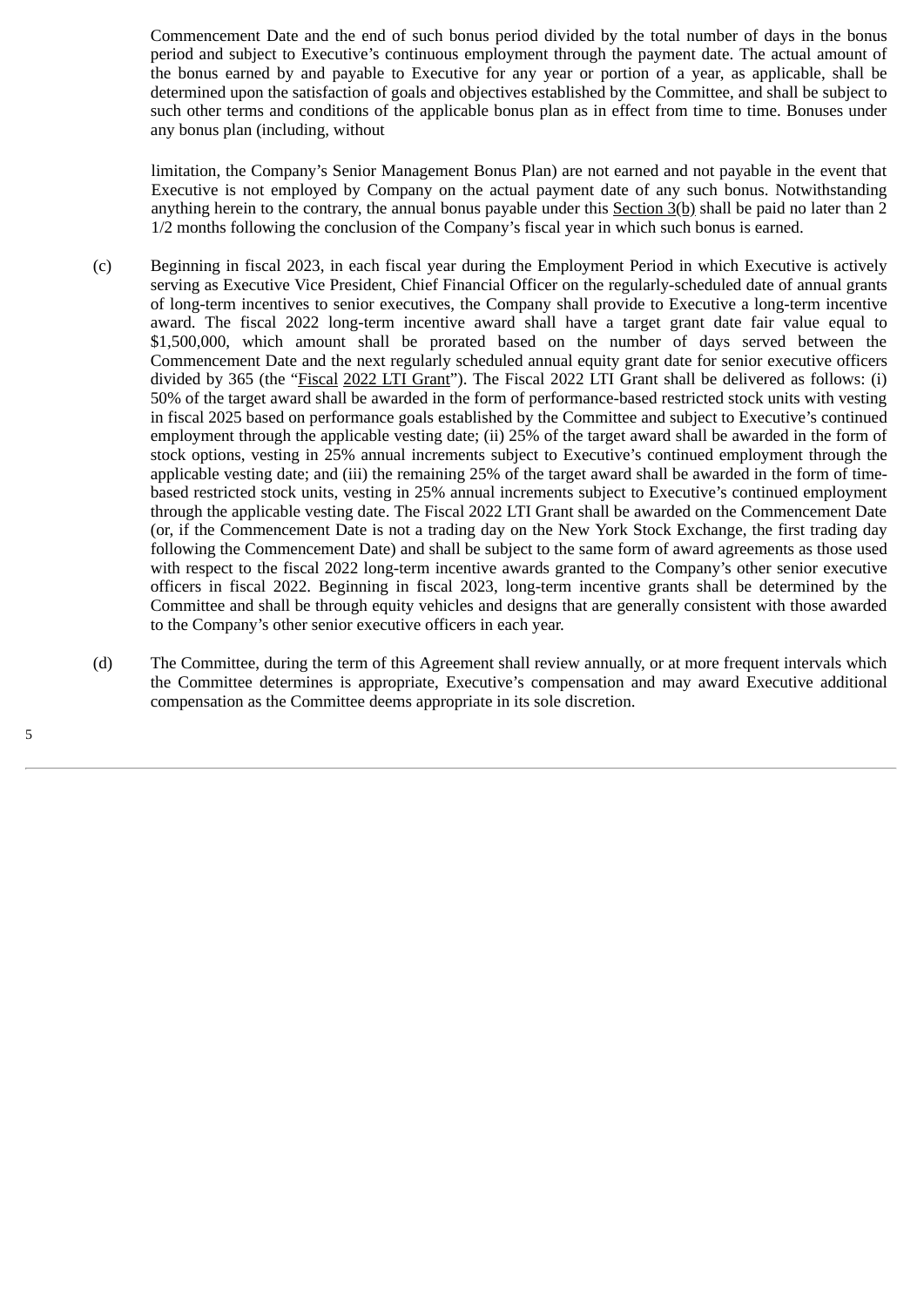Commencement Date and the end of such bonus period divided by the total number of days in the bonus period and subject to Executive's continuous employment through the payment date. The actual amount of the bonus earned by and payable to Executive for any year or portion of a year, as applicable, shall be determined upon the satisfaction of goals and objectives established by the Committee, and shall be subject to such other terms and conditions of the applicable bonus plan as in effect from time to time. Bonuses under any bonus plan (including, without

limitation, the Company's Senior Management Bonus Plan) are not earned and not payable in the event that Executive is not employed by Company on the actual payment date of any such bonus. Notwithstanding anything herein to the contrary, the annual bonus payable under this Section 3(b) shall be paid no later than 2 1/2 months following the conclusion of the Company's fiscal year in which such bonus is earned.

- (c) Beginning in fiscal 2023, in each fiscal year during the Employment Period in which Executive is actively serving as Executive Vice President, Chief Financial Officer on the regularly-scheduled date of annual grants of long-term incentives to senior executives, the Company shall provide to Executive a long-term incentive award. The fiscal 2022 long-term incentive award shall have a target grant date fair value equal to \$1,500,000, which amount shall be prorated based on the number of days served between the Commencement Date and the next regularly scheduled annual equity grant date for senior executive officers divided by 365 (the "Fiscal 2022 LTI Grant"). The Fiscal 2022 LTI Grant shall be delivered as follows: (i) 50% of the target award shall be awarded in the form of performance-based restricted stock units with vesting in fiscal 2025 based on performance goals established by the Committee and subject to Executive's continued employment through the applicable vesting date; (ii) 25% of the target award shall be awarded in the form of stock options, vesting in 25% annual increments subject to Executive's continued employment through the applicable vesting date; and (iii) the remaining 25% of the target award shall be awarded in the form of timebased restricted stock units, vesting in 25% annual increments subject to Executive's continued employment through the applicable vesting date. The Fiscal 2022 LTI Grant shall be awarded on the Commencement Date (or, if the Commencement Date is not a trading day on the New York Stock Exchange, the first trading day following the Commencement Date) and shall be subject to the same form of award agreements as those used with respect to the fiscal 2022 long-term incentive awards granted to the Company's other senior executive officers in fiscal 2022. Beginning in fiscal 2023, long-term incentive grants shall be determined by the Committee and shall be through equity vehicles and designs that are generally consistent with those awarded to the Company's other senior executive officers in each year.
- (d) The Committee, during the term of this Agreement shall review annually, or at more frequent intervals which the Committee determines is appropriate, Executive's compensation and may award Executive additional compensation as the Committee deems appropriate in its sole discretion.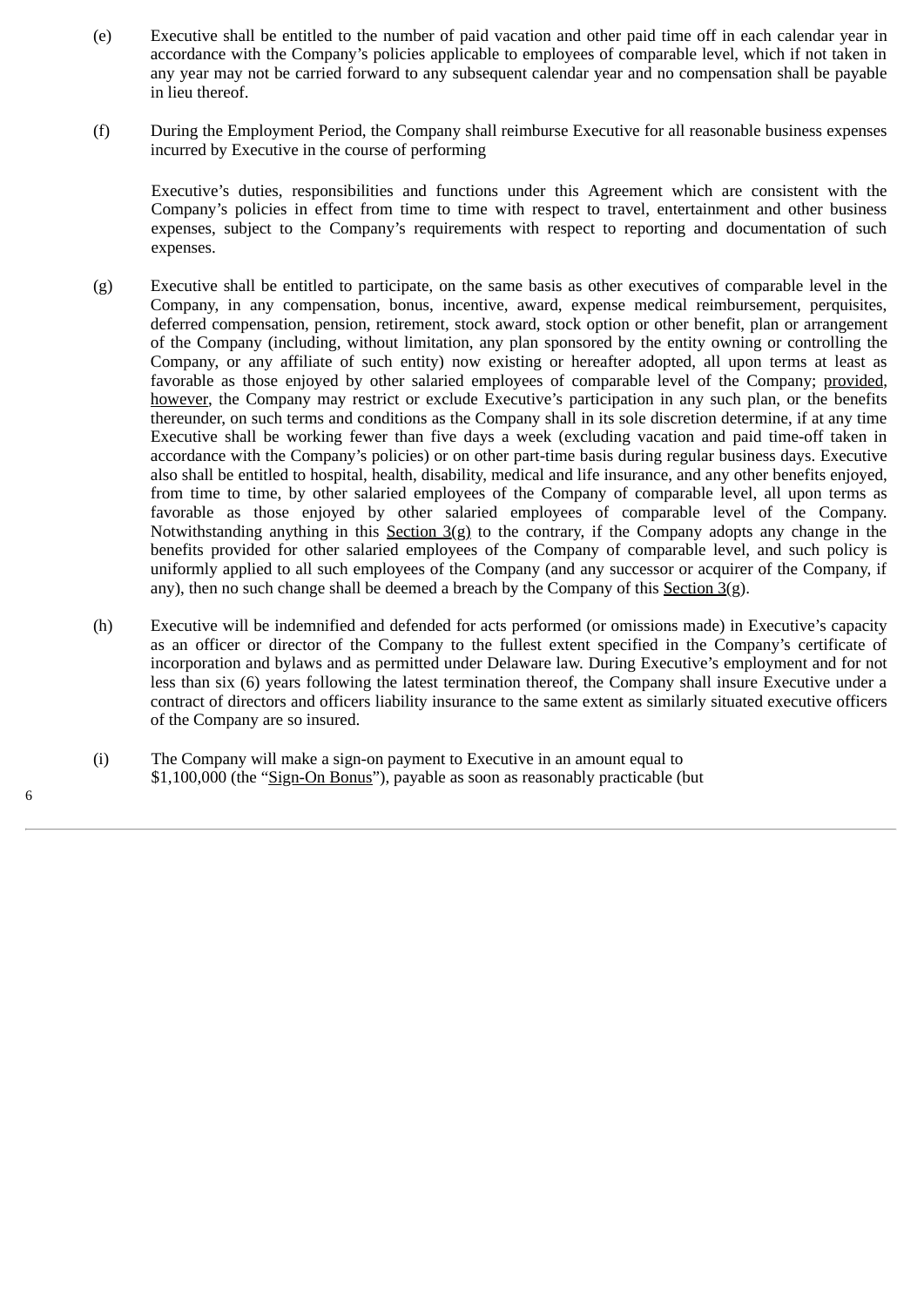- (e) Executive shall be entitled to the number of paid vacation and other paid time off in each calendar year in accordance with the Company's policies applicable to employees of comparable level, which if not taken in any year may not be carried forward to any subsequent calendar year and no compensation shall be payable in lieu thereof.
- (f) During the Employment Period, the Company shall reimburse Executive for all reasonable business expenses incurred by Executive in the course of performing

Executive's duties, responsibilities and functions under this Agreement which are consistent with the Company's policies in effect from time to time with respect to travel, entertainment and other business expenses, subject to the Company's requirements with respect to reporting and documentation of such expenses.

- (g) Executive shall be entitled to participate, on the same basis as other executives of comparable level in the Company, in any compensation, bonus, incentive, award, expense medical reimbursement, perquisites, deferred compensation, pension, retirement, stock award, stock option or other benefit, plan or arrangement of the Company (including, without limitation, any plan sponsored by the entity owning or controlling the Company, or any affiliate of such entity) now existing or hereafter adopted, all upon terms at least as favorable as those enjoyed by other salaried employees of comparable level of the Company; provided, however, the Company may restrict or exclude Executive's participation in any such plan, or the benefits thereunder, on such terms and conditions as the Company shall in its sole discretion determine, if at any time Executive shall be working fewer than five days a week (excluding vacation and paid time-off taken in accordance with the Company's policies) or on other part-time basis during regular business days. Executive also shall be entitled to hospital, health, disability, medical and life insurance, and any other benefits enjoyed, from time to time, by other salaried employees of the Company of comparable level, all upon terms as favorable as those enjoyed by other salaried employees of comparable level of the Company. Notwithstanding anything in this Section  $3(g)$  to the contrary, if the Company adopts any change in the benefits provided for other salaried employees of the Company of comparable level, and such policy is uniformly applied to all such employees of the Company (and any successor or acquirer of the Company, if any), then no such change shall be deemed a breach by the Company of this Section  $3(g)$ .
- (h) Executive will be indemnified and defended for acts performed (or omissions made) in Executive's capacity as an officer or director of the Company to the fullest extent specified in the Company's certificate of incorporation and bylaws and as permitted under Delaware law. During Executive's employment and for not less than six (6) years following the latest termination thereof, the Company shall insure Executive under a contract of directors and officers liability insurance to the same extent as similarly situated executive officers of the Company are so insured.
- (i) The Company will make a sign-on payment to Executive in an amount equal to \$1,100,000 (the "Sign-On Bonus"), payable as soon as reasonably practicable (but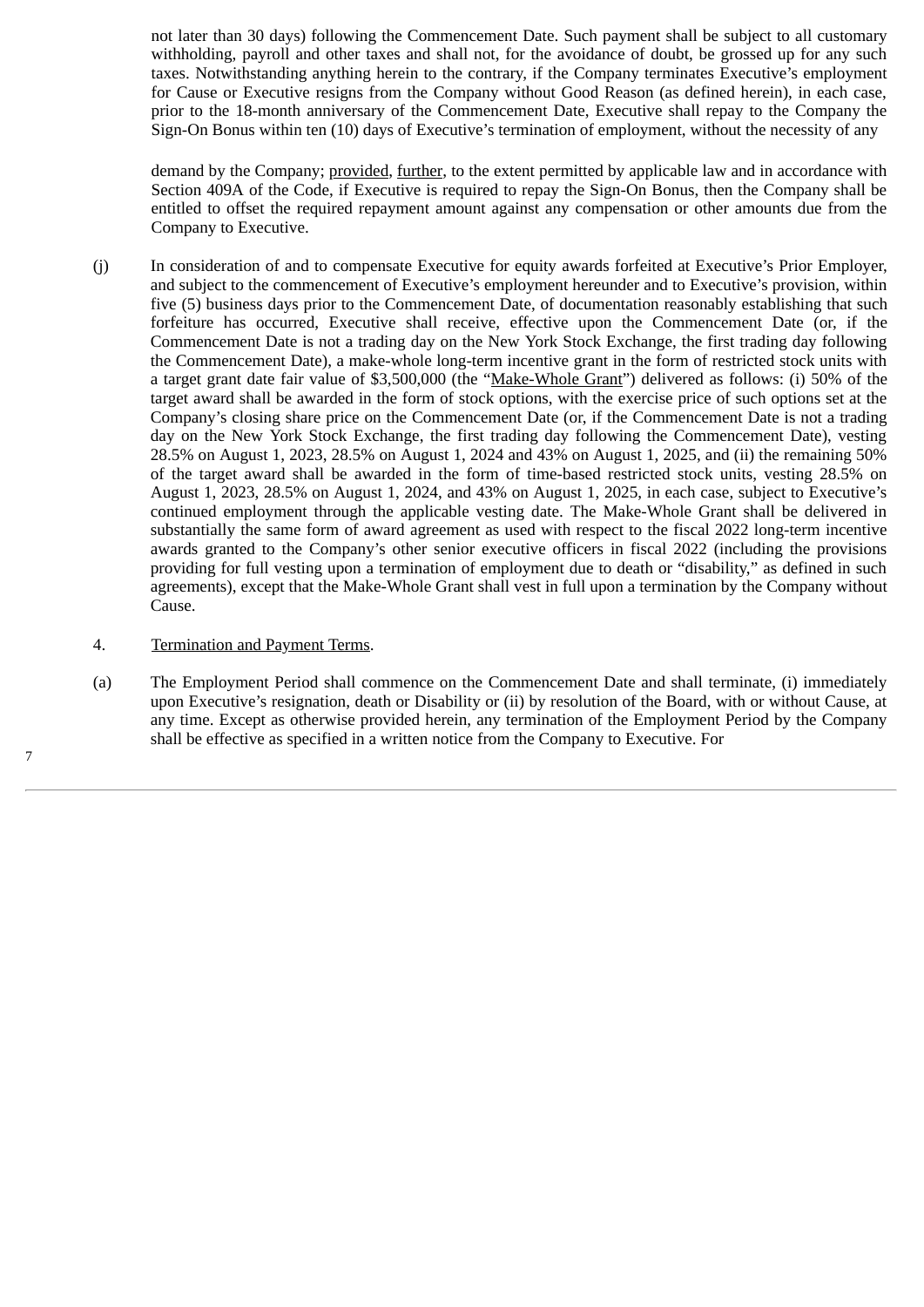not later than 30 days) following the Commencement Date. Such payment shall be subject to all customary withholding, payroll and other taxes and shall not, for the avoidance of doubt, be grossed up for any such taxes. Notwithstanding anything herein to the contrary, if the Company terminates Executive's employment for Cause or Executive resigns from the Company without Good Reason (as defined herein), in each case, prior to the 18-month anniversary of the Commencement Date, Executive shall repay to the Company the Sign-On Bonus within ten (10) days of Executive's termination of employment, without the necessity of any

demand by the Company; provided, further, to the extent permitted by applicable law and in accordance with Section 409A of the Code, if Executive is required to repay the Sign-On Bonus, then the Company shall be entitled to offset the required repayment amount against any compensation or other amounts due from the Company to Executive.

(j) In consideration of and to compensate Executive for equity awards forfeited at Executive's Prior Employer, and subject to the commencement of Executive's employment hereunder and to Executive's provision, within five (5) business days prior to the Commencement Date, of documentation reasonably establishing that such forfeiture has occurred, Executive shall receive, effective upon the Commencement Date (or, if the Commencement Date is not a trading day on the New York Stock Exchange, the first trading day following the Commencement Date), a make-whole long-term incentive grant in the form of restricted stock units with a target grant date fair value of \$3,500,000 (the "Make-Whole Grant") delivered as follows: (i) 50% of the target award shall be awarded in the form of stock options, with the exercise price of such options set at the Company's closing share price on the Commencement Date (or, if the Commencement Date is not a trading day on the New York Stock Exchange, the first trading day following the Commencement Date), vesting 28.5% on August 1, 2023, 28.5% on August 1, 2024 and 43% on August 1, 2025, and (ii) the remaining 50% of the target award shall be awarded in the form of time-based restricted stock units, vesting 28.5% on August 1, 2023, 28.5% on August 1, 2024, and 43% on August 1, 2025, in each case, subject to Executive's continued employment through the applicable vesting date. The Make-Whole Grant shall be delivered in substantially the same form of award agreement as used with respect to the fiscal 2022 long-term incentive awards granted to the Company's other senior executive officers in fiscal 2022 (including the provisions providing for full vesting upon a termination of employment due to death or "disability," as defined in such agreements), except that the Make-Whole Grant shall vest in full upon a termination by the Company without Cause.

# 4. Termination and Payment Terms.

7

(a) The Employment Period shall commence on the Commencement Date and shall terminate, (i) immediately upon Executive's resignation, death or Disability or (ii) by resolution of the Board, with or without Cause, at any time. Except as otherwise provided herein, any termination of the Employment Period by the Company shall be effective as specified in a written notice from the Company to Executive. For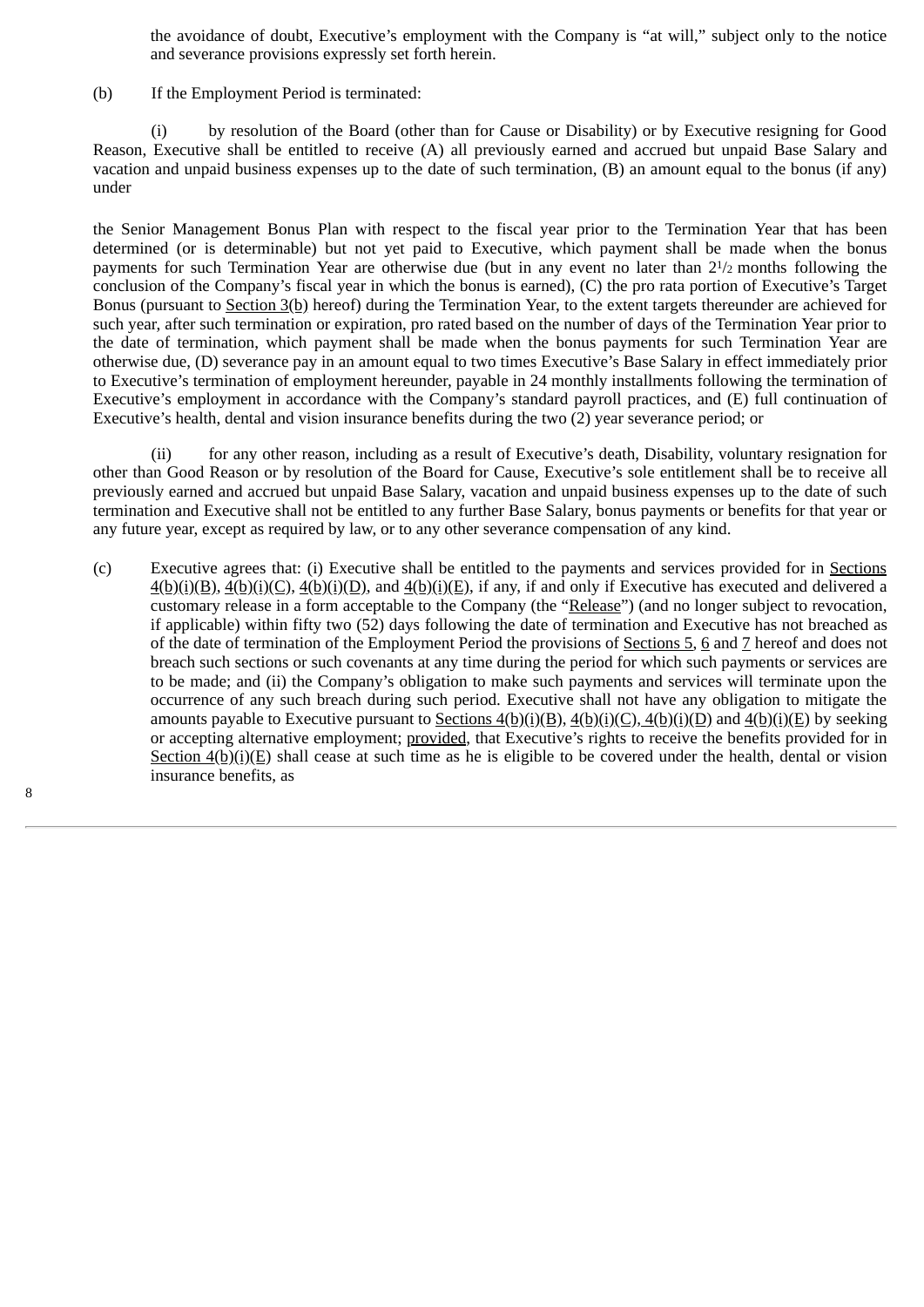the avoidance of doubt, Executive's employment with the Company is "at will," subject only to the notice and severance provisions expressly set forth herein.

(b) If the Employment Period is terminated:

(i) by resolution of the Board (other than for Cause or Disability) or by Executive resigning for Good Reason, Executive shall be entitled to receive (A) all previously earned and accrued but unpaid Base Salary and vacation and unpaid business expenses up to the date of such termination, (B) an amount equal to the bonus (if any) under

the Senior Management Bonus Plan with respect to the fiscal year prior to the Termination Year that has been determined (or is determinable) but not yet paid to Executive, which payment shall be made when the bonus payments for such Termination Year are otherwise due (but in any event no later than 2<sup>1</sup>/2 months following the conclusion of the Company's fiscal year in which the bonus is earned), (C) the pro rata portion of Executive's Target Bonus (pursuant to Section 3(b) hereof) during the Termination Year, to the extent targets thereunder are achieved for such year, after such termination or expiration, pro rated based on the number of days of the Termination Year prior to the date of termination, which payment shall be made when the bonus payments for such Termination Year are otherwise due, (D) severance pay in an amount equal to two times Executive's Base Salary in effect immediately prior to Executive's termination of employment hereunder, payable in 24 monthly installments following the termination of Executive's employment in accordance with the Company's standard payroll practices, and (E) full continuation of Executive's health, dental and vision insurance benefits during the two (2) year severance period; or

(ii) for any other reason, including as a result of Executive's death, Disability, voluntary resignation for other than Good Reason or by resolution of the Board for Cause, Executive's sole entitlement shall be to receive all previously earned and accrued but unpaid Base Salary, vacation and unpaid business expenses up to the date of such termination and Executive shall not be entitled to any further Base Salary, bonus payments or benefits for that year or any future year, except as required by law, or to any other severance compensation of any kind.

(c) Executive agrees that: (i) Executive shall be entitled to the payments and services provided for in Sections  $4(b)(i)(B)$ ,  $4(b)(i)(C)$ ,  $4(b)(i)(D)$ , and  $4(b)(i)(E)$ , if any, if and only if Executive has executed and delivered a customary release in a form acceptable to the Company (the "Release") (and no longer subject to revocation, if applicable) within fifty two (52) days following the date of termination and Executive has not breached as of the date of termination of the Employment Period the provisions of Sections 5, 6 and 7 hereof and does not breach such sections or such covenants at any time during the period for which such payments or services are to be made; and (ii) the Company's obligation to make such payments and services will terminate upon the occurrence of any such breach during such period. Executive shall not have any obligation to mitigate the amounts payable to Executive pursuant to Sections  $4(b)(i)(B)$ ,  $4(b)(i)(C)$ ,  $4(b)(i)(D)$  and  $4(b)(i)(E)$  by seeking or accepting alternative employment; provided, that Executive's rights to receive the benefits provided for in Section 4(b)(i)(E) shall cease at such time as he is eligible to be covered under the health, dental or vision insurance benefits, as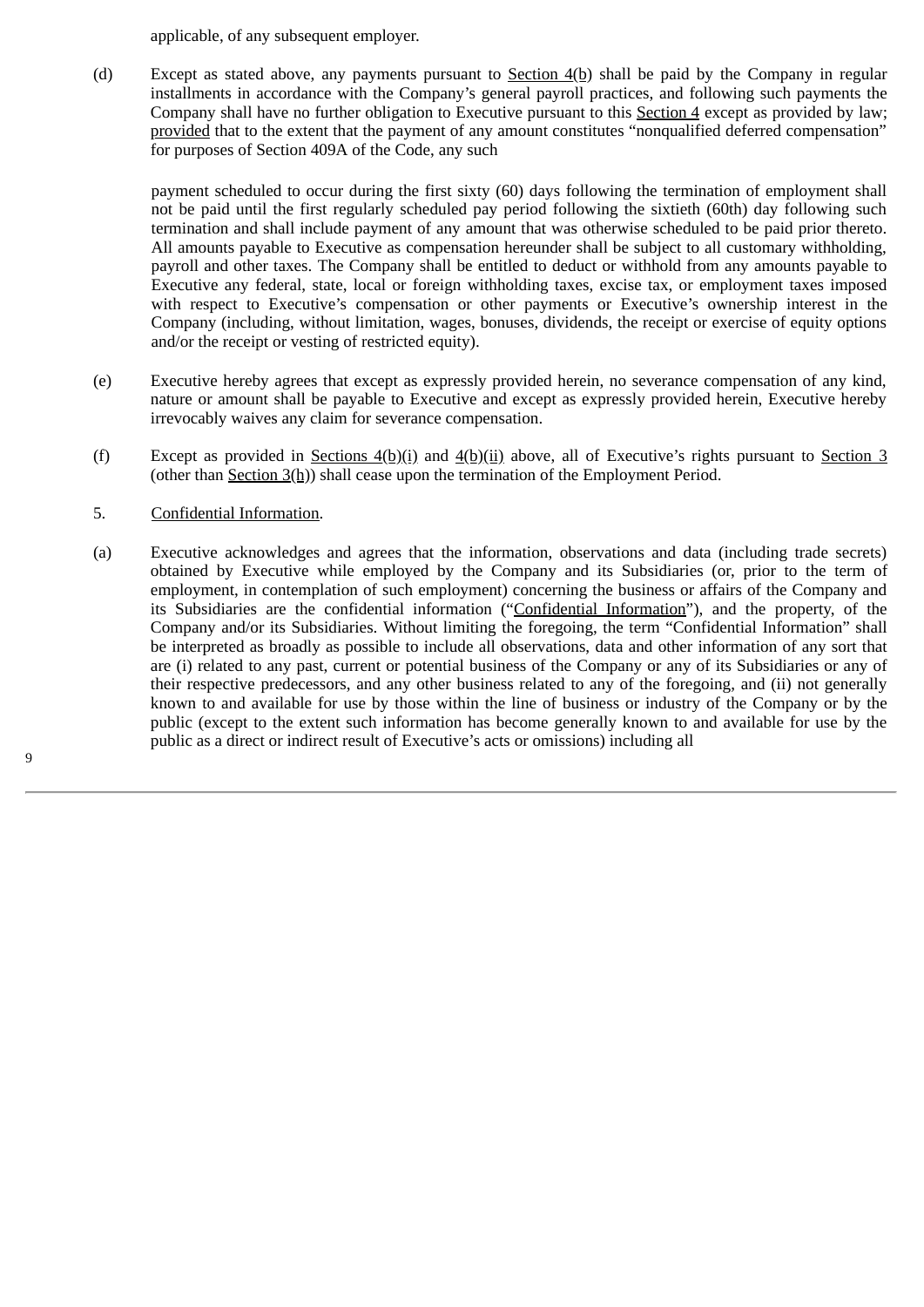applicable, of any subsequent employer.

(d) Except as stated above, any payments pursuant to **Section 4(b)** shall be paid by the Company in regular installments in accordance with the Company's general payroll practices, and following such payments the Company shall have no further obligation to Executive pursuant to this Section 4 except as provided by law; provided that to the extent that the payment of any amount constitutes "nonqualified deferred compensation" for purposes of Section 409A of the Code, any such

payment scheduled to occur during the first sixty (60) days following the termination of employment shall not be paid until the first regularly scheduled pay period following the sixtieth (60th) day following such termination and shall include payment of any amount that was otherwise scheduled to be paid prior thereto. All amounts payable to Executive as compensation hereunder shall be subject to all customary withholding, payroll and other taxes. The Company shall be entitled to deduct or withhold from any amounts payable to Executive any federal, state, local or foreign withholding taxes, excise tax, or employment taxes imposed with respect to Executive's compensation or other payments or Executive's ownership interest in the Company (including, without limitation, wages, bonuses, dividends, the receipt or exercise of equity options and/or the receipt or vesting of restricted equity).

- (e) Executive hereby agrees that except as expressly provided herein, no severance compensation of any kind, nature or amount shall be payable to Executive and except as expressly provided herein, Executive hereby irrevocably waives any claim for severance compensation.
- (f) Except as provided in Sections 4(b)(i) and 4(b)(ii) above, all of Executive's rights pursuant to Section 3 (other than Section 3(h)) shall cease upon the termination of the Employment Period.
- 5. Confidential Information.
- (a) Executive acknowledges and agrees that the information, observations and data (including trade secrets) obtained by Executive while employed by the Company and its Subsidiaries (or, prior to the term of employment, in contemplation of such employment) concerning the business or affairs of the Company and its Subsidiaries are the confidential information ("Confidential Information"), and the property, of the Company and/or its Subsidiaries. Without limiting the foregoing, the term "Confidential Information" shall be interpreted as broadly as possible to include all observations, data and other information of any sort that are (i) related to any past, current or potential business of the Company or any of its Subsidiaries or any of their respective predecessors, and any other business related to any of the foregoing, and (ii) not generally known to and available for use by those within the line of business or industry of the Company or by the public (except to the extent such information has become generally known to and available for use by the public as a direct or indirect result of Executive's acts or omissions) including all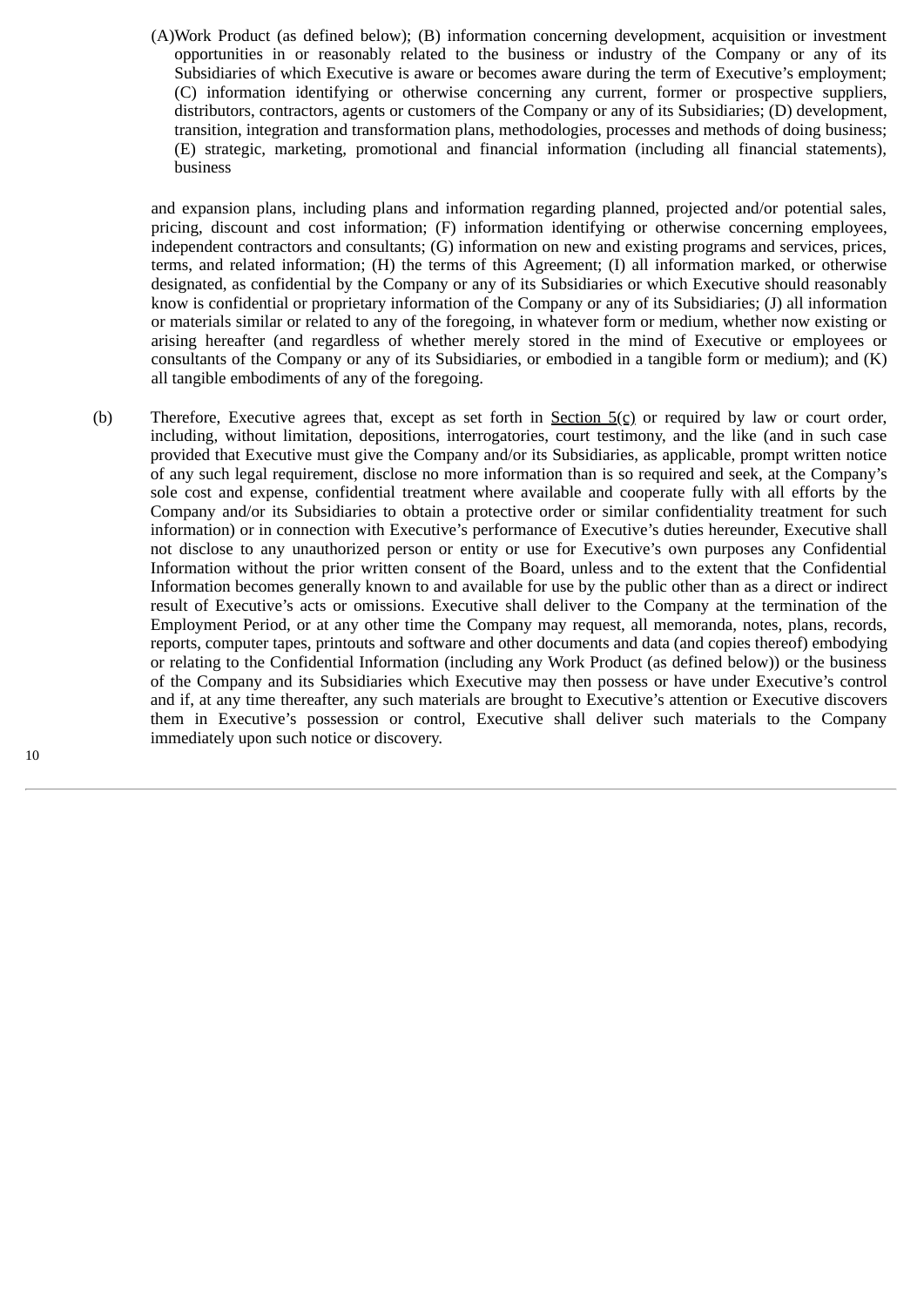(A)Work Product (as defined below); (B) information concerning development, acquisition or investment opportunities in or reasonably related to the business or industry of the Company or any of its Subsidiaries of which Executive is aware or becomes aware during the term of Executive's employment; (C) information identifying or otherwise concerning any current, former or prospective suppliers, distributors, contractors, agents or customers of the Company or any of its Subsidiaries; (D) development, transition, integration and transformation plans, methodologies, processes and methods of doing business; (E) strategic, marketing, promotional and financial information (including all financial statements), business

and expansion plans, including plans and information regarding planned, projected and/or potential sales, pricing, discount and cost information; (F) information identifying or otherwise concerning employees, independent contractors and consultants; (G) information on new and existing programs and services, prices, terms, and related information; (H) the terms of this Agreement; (I) all information marked, or otherwise designated, as confidential by the Company or any of its Subsidiaries or which Executive should reasonably know is confidential or proprietary information of the Company or any of its Subsidiaries; (J) all information or materials similar or related to any of the foregoing, in whatever form or medium, whether now existing or arising hereafter (and regardless of whether merely stored in the mind of Executive or employees or consultants of the Company or any of its Subsidiaries, or embodied in a tangible form or medium); and (K) all tangible embodiments of any of the foregoing.

(b) Therefore, Executive agrees that, except as set forth in Section 5(c) or required by law or court order, including, without limitation, depositions, interrogatories, court testimony, and the like (and in such case provided that Executive must give the Company and/or its Subsidiaries, as applicable, prompt written notice of any such legal requirement, disclose no more information than is so required and seek, at the Company's sole cost and expense, confidential treatment where available and cooperate fully with all efforts by the Company and/or its Subsidiaries to obtain a protective order or similar confidentiality treatment for such information) or in connection with Executive's performance of Executive's duties hereunder, Executive shall not disclose to any unauthorized person or entity or use for Executive's own purposes any Confidential Information without the prior written consent of the Board, unless and to the extent that the Confidential Information becomes generally known to and available for use by the public other than as a direct or indirect result of Executive's acts or omissions. Executive shall deliver to the Company at the termination of the Employment Period, or at any other time the Company may request, all memoranda, notes, plans, records, reports, computer tapes, printouts and software and other documents and data (and copies thereof) embodying or relating to the Confidential Information (including any Work Product (as defined below)) or the business of the Company and its Subsidiaries which Executive may then possess or have under Executive's control and if, at any time thereafter, any such materials are brought to Executive's attention or Executive discovers them in Executive's possession or control, Executive shall deliver such materials to the Company immediately upon such notice or discovery.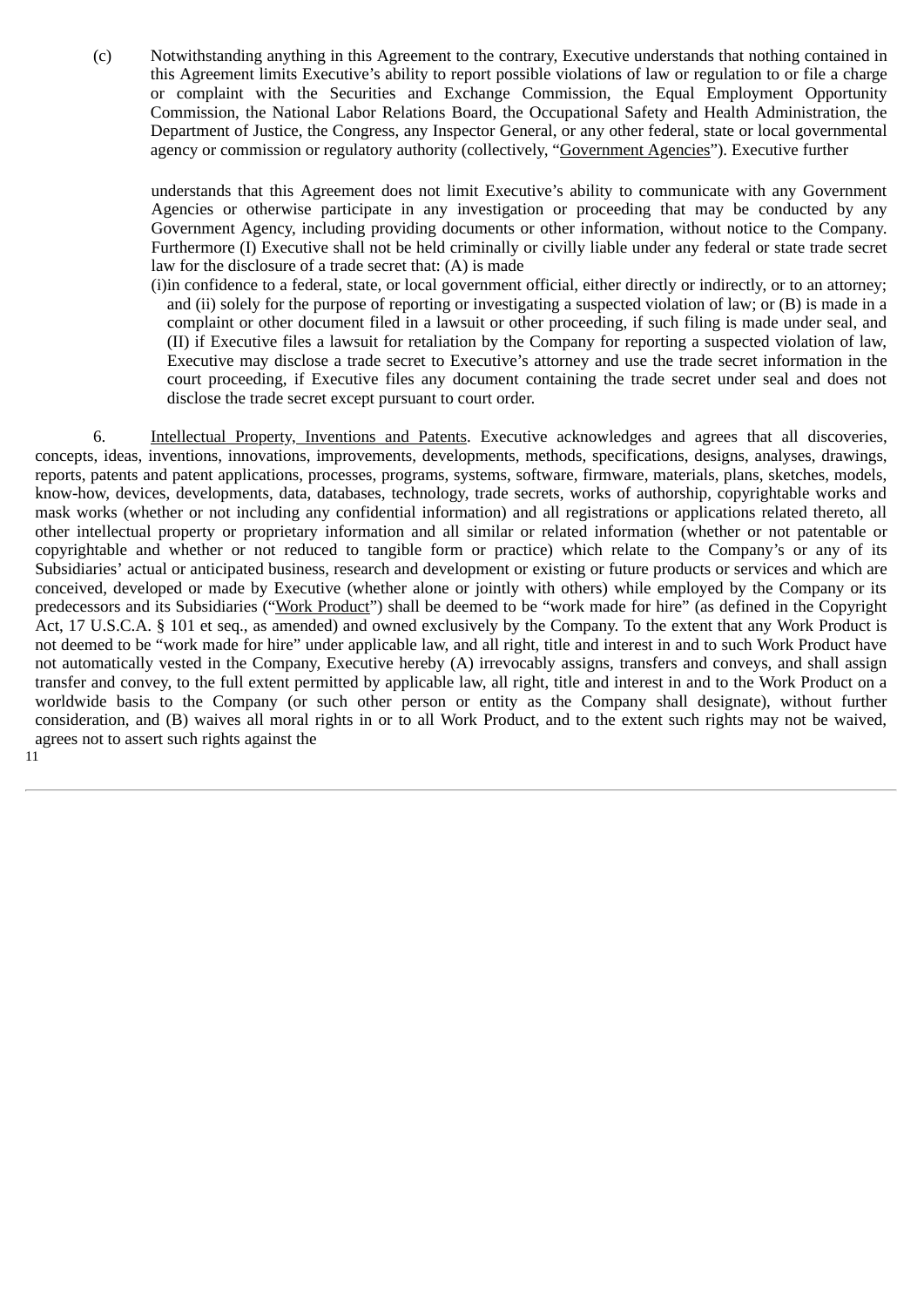(c) Notwithstanding anything in this Agreement to the contrary, Executive understands that nothing contained in this Agreement limits Executive's ability to report possible violations of law or regulation to or file a charge or complaint with the Securities and Exchange Commission, the Equal Employment Opportunity Commission, the National Labor Relations Board, the Occupational Safety and Health Administration, the Department of Justice, the Congress, any Inspector General, or any other federal, state or local governmental agency or commission or regulatory authority (collectively, "Government Agencies"). Executive further

understands that this Agreement does not limit Executive's ability to communicate with any Government Agencies or otherwise participate in any investigation or proceeding that may be conducted by any Government Agency, including providing documents or other information, without notice to the Company. Furthermore (I) Executive shall not be held criminally or civilly liable under any federal or state trade secret law for the disclosure of a trade secret that: (A) is made

(i)in confidence to a federal, state, or local government official, either directly or indirectly, or to an attorney; and (ii) solely for the purpose of reporting or investigating a suspected violation of law; or (B) is made in a complaint or other document filed in a lawsuit or other proceeding, if such filing is made under seal, and (II) if Executive files a lawsuit for retaliation by the Company for reporting a suspected violation of law, Executive may disclose a trade secret to Executive's attorney and use the trade secret information in the court proceeding, if Executive files any document containing the trade secret under seal and does not disclose the trade secret except pursuant to court order.

6. Intellectual Property, Inventions and Patents. Executive acknowledges and agrees that all discoveries, concepts, ideas, inventions, innovations, improvements, developments, methods, specifications, designs, analyses, drawings, reports, patents and patent applications, processes, programs, systems, software, firmware, materials, plans, sketches, models, know-how, devices, developments, data, databases, technology, trade secrets, works of authorship, copyrightable works and mask works (whether or not including any confidential information) and all registrations or applications related thereto, all other intellectual property or proprietary information and all similar or related information (whether or not patentable or copyrightable and whether or not reduced to tangible form or practice) which relate to the Company's or any of its Subsidiaries' actual or anticipated business, research and development or existing or future products or services and which are conceived, developed or made by Executive (whether alone or jointly with others) while employed by the Company or its predecessors and its Subsidiaries ("Work Product") shall be deemed to be "work made for hire" (as defined in the Copyright Act, 17 U.S.C.A. § 101 et seq., as amended) and owned exclusively by the Company. To the extent that any Work Product is not deemed to be "work made for hire" under applicable law, and all right, title and interest in and to such Work Product have not automatically vested in the Company, Executive hereby (A) irrevocably assigns, transfers and conveys, and shall assign transfer and convey, to the full extent permitted by applicable law, all right, title and interest in and to the Work Product on a worldwide basis to the Company (or such other person or entity as the Company shall designate), without further consideration, and (B) waives all moral rights in or to all Work Product, and to the extent such rights may not be waived, agrees not to assert such rights against the 11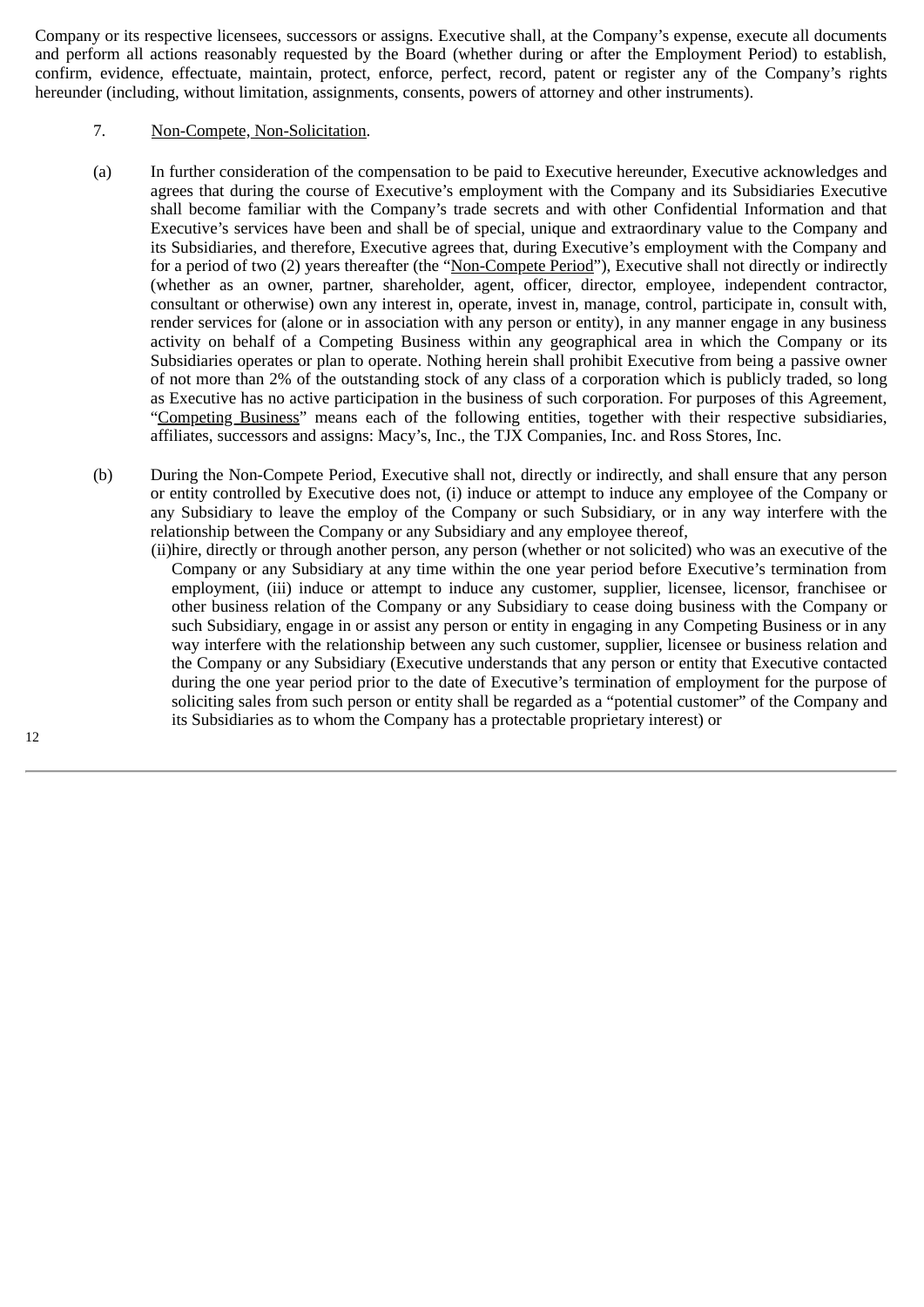Company or its respective licensees, successors or assigns. Executive shall, at the Company's expense, execute all documents and perform all actions reasonably requested by the Board (whether during or after the Employment Period) to establish, confirm, evidence, effectuate, maintain, protect, enforce, perfect, record, patent or register any of the Company's rights hereunder (including, without limitation, assignments, consents, powers of attorney and other instruments).

# 7. Non-Compete, Non-Solicitation.

- (a) In further consideration of the compensation to be paid to Executive hereunder, Executive acknowledges and agrees that during the course of Executive's employment with the Company and its Subsidiaries Executive shall become familiar with the Company's trade secrets and with other Confidential Information and that Executive's services have been and shall be of special, unique and extraordinary value to the Company and its Subsidiaries, and therefore, Executive agrees that, during Executive's employment with the Company and for a period of two (2) years thereafter (the "Non-Compete Period"), Executive shall not directly or indirectly (whether as an owner, partner, shareholder, agent, officer, director, employee, independent contractor, consultant or otherwise) own any interest in, operate, invest in, manage, control, participate in, consult with, render services for (alone or in association with any person or entity), in any manner engage in any business activity on behalf of a Competing Business within any geographical area in which the Company or its Subsidiaries operates or plan to operate. Nothing herein shall prohibit Executive from being a passive owner of not more than 2% of the outstanding stock of any class of a corporation which is publicly traded, so long as Executive has no active participation in the business of such corporation. For purposes of this Agreement, "Competing Business" means each of the following entities, together with their respective subsidiaries, affiliates, successors and assigns: Macy's, Inc., the TJX Companies, Inc. and Ross Stores, Inc.
- (b) During the Non-Compete Period, Executive shall not, directly or indirectly, and shall ensure that any person or entity controlled by Executive does not, (i) induce or attempt to induce any employee of the Company or any Subsidiary to leave the employ of the Company or such Subsidiary, or in any way interfere with the relationship between the Company or any Subsidiary and any employee thereof,
	- (ii)hire, directly or through another person, any person (whether or not solicited) who was an executive of the Company or any Subsidiary at any time within the one year period before Executive's termination from employment, (iii) induce or attempt to induce any customer, supplier, licensee, licensor, franchisee or other business relation of the Company or any Subsidiary to cease doing business with the Company or such Subsidiary, engage in or assist any person or entity in engaging in any Competing Business or in any way interfere with the relationship between any such customer, supplier, licensee or business relation and the Company or any Subsidiary (Executive understands that any person or entity that Executive contacted during the one year period prior to the date of Executive's termination of employment for the purpose of soliciting sales from such person or entity shall be regarded as a "potential customer" of the Company and its Subsidiaries as to whom the Company has a protectable proprietary interest) or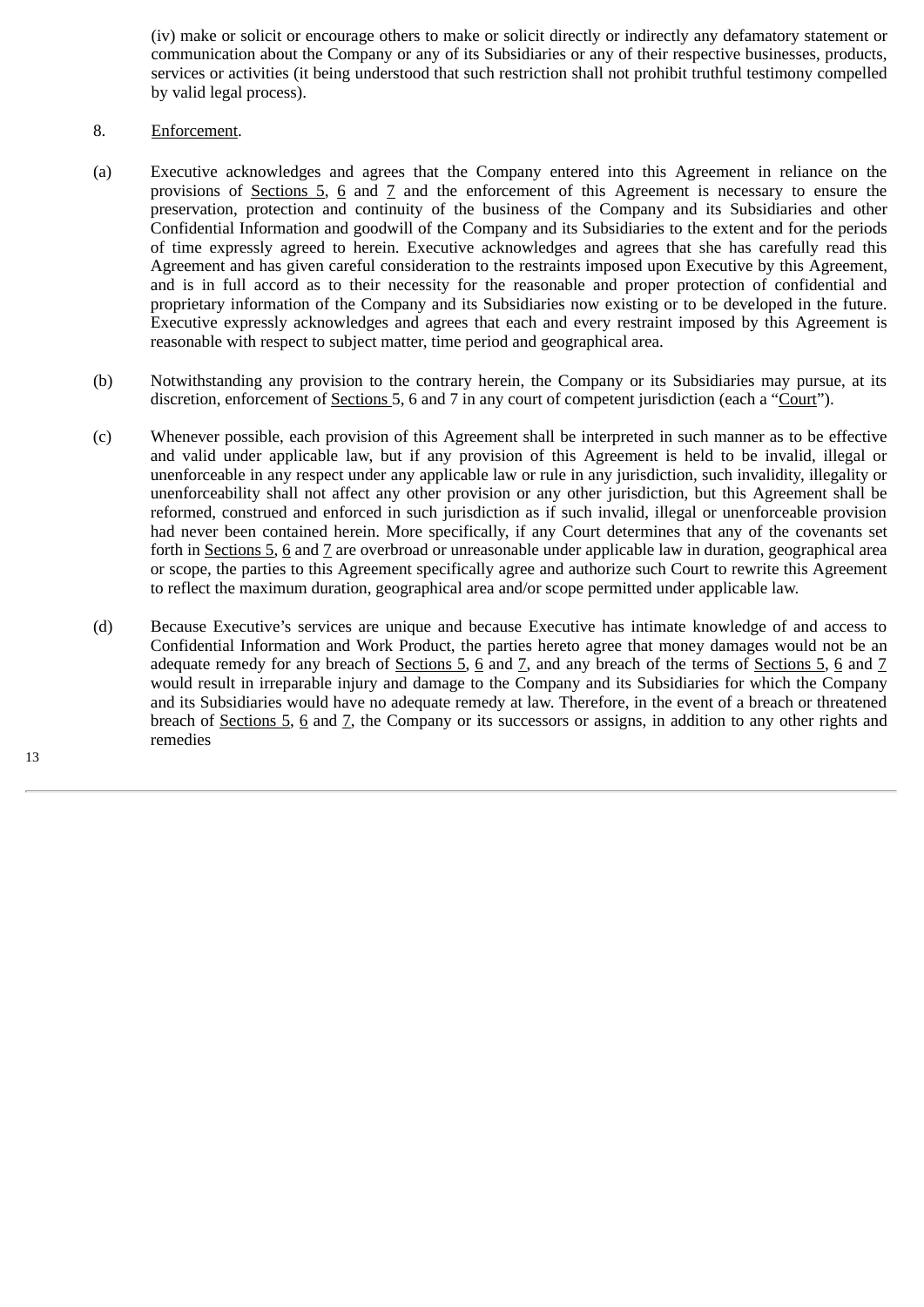(iv) make or solicit or encourage others to make or solicit directly or indirectly any defamatory statement or communication about the Company or any of its Subsidiaries or any of their respective businesses, products, services or activities (it being understood that such restriction shall not prohibit truthful testimony compelled by valid legal process).

# 8. Enforcement.

- (a) Executive acknowledges and agrees that the Company entered into this Agreement in reliance on the provisions of <u>Sections 5, 6</u> and  $\overline{Z}$  and the enforcement of this Agreement is necessary to ensure the preservation, protection and continuity of the business of the Company and its Subsidiaries and other Confidential Information and goodwill of the Company and its Subsidiaries to the extent and for the periods of time expressly agreed to herein. Executive acknowledges and agrees that she has carefully read this Agreement and has given careful consideration to the restraints imposed upon Executive by this Agreement, and is in full accord as to their necessity for the reasonable and proper protection of confidential and proprietary information of the Company and its Subsidiaries now existing or to be developed in the future. Executive expressly acknowledges and agrees that each and every restraint imposed by this Agreement is reasonable with respect to subject matter, time period and geographical area.
- (b) Notwithstanding any provision to the contrary herein, the Company or its Subsidiaries may pursue, at its discretion, enforcement of Sections 5, 6 and 7 in any court of competent jurisdiction (each a "Court").
- (c) Whenever possible, each provision of this Agreement shall be interpreted in such manner as to be effective and valid under applicable law, but if any provision of this Agreement is held to be invalid, illegal or unenforceable in any respect under any applicable law or rule in any jurisdiction, such invalidity, illegality or unenforceability shall not affect any other provision or any other jurisdiction, but this Agreement shall be reformed, construed and enforced in such jurisdiction as if such invalid, illegal or unenforceable provision had never been contained herein. More specifically, if any Court determines that any of the covenants set forth in Sections 5, 6 and 7 are overbroad or unreasonable under applicable law in duration, geographical area or scope, the parties to this Agreement specifically agree and authorize such Court to rewrite this Agreement to reflect the maximum duration, geographical area and/or scope permitted under applicable law.
- (d) Because Executive's services are unique and because Executive has intimate knowledge of and access to Confidential Information and Work Product, the parties hereto agree that money damages would not be an adequate remedy for any breach of Sections  $5, 6$  and  $7$ , and any breach of the terms of Sections  $5, 6$  and  $7$ would result in irreparable injury and damage to the Company and its Subsidiaries for which the Company and its Subsidiaries would have no adequate remedy at law. Therefore, in the event of a breach or threatened breach of Sections 5, 6 and 7, the Company or its successors or assigns, in addition to any other rights and remedies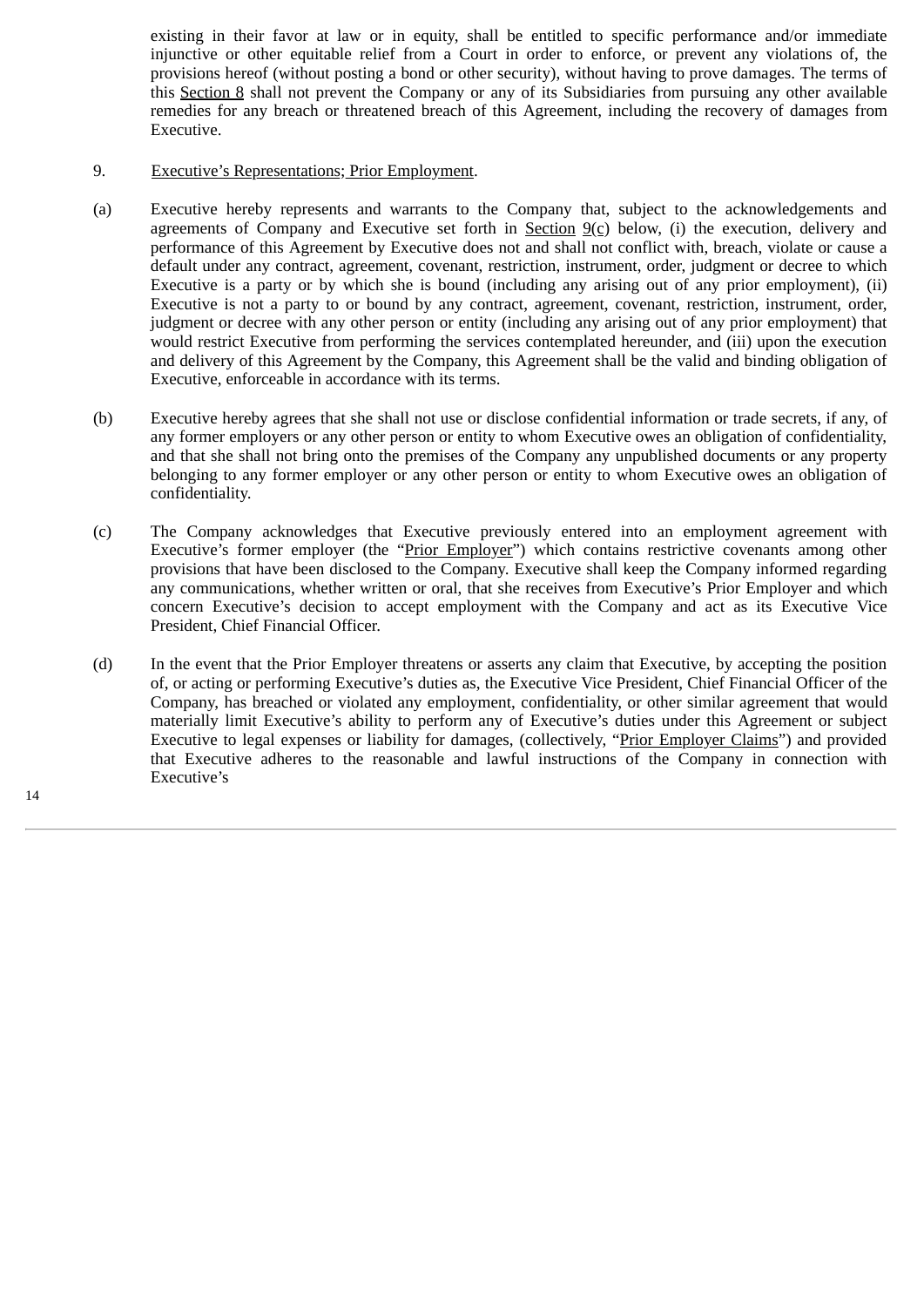existing in their favor at law or in equity, shall be entitled to specific performance and/or immediate injunctive or other equitable relief from a Court in order to enforce, or prevent any violations of, the provisions hereof (without posting a bond or other security), without having to prove damages. The terms of this Section 8 shall not prevent the Company or any of its Subsidiaries from pursuing any other available remedies for any breach or threatened breach of this Agreement, including the recovery of damages from Executive.

# 9. Executive's Representations; Prior Employment.

- (a) Executive hereby represents and warrants to the Company that, subject to the acknowledgements and agreements of Company and Executive set forth in Section  $9(c)$  below, (i) the execution, delivery and performance of this Agreement by Executive does not and shall not conflict with, breach, violate or cause a default under any contract, agreement, covenant, restriction, instrument, order, judgment or decree to which Executive is a party or by which she is bound (including any arising out of any prior employment), (ii) Executive is not a party to or bound by any contract, agreement, covenant, restriction, instrument, order, judgment or decree with any other person or entity (including any arising out of any prior employment) that would restrict Executive from performing the services contemplated hereunder, and (iii) upon the execution and delivery of this Agreement by the Company, this Agreement shall be the valid and binding obligation of Executive, enforceable in accordance with its terms.
- (b) Executive hereby agrees that she shall not use or disclose confidential information or trade secrets, if any, of any former employers or any other person or entity to whom Executive owes an obligation of confidentiality, and that she shall not bring onto the premises of the Company any unpublished documents or any property belonging to any former employer or any other person or entity to whom Executive owes an obligation of confidentiality.
- (c) The Company acknowledges that Executive previously entered into an employment agreement with Executive's former employer (the "Prior Employer") which contains restrictive covenants among other provisions that have been disclosed to the Company. Executive shall keep the Company informed regarding any communications, whether written or oral, that she receives from Executive's Prior Employer and which concern Executive's decision to accept employment with the Company and act as its Executive Vice President, Chief Financial Officer.
- (d) In the event that the Prior Employer threatens or asserts any claim that Executive, by accepting the position of, or acting or performing Executive's duties as, the Executive Vice President, Chief Financial Officer of the Company, has breached or violated any employment, confidentiality, or other similar agreement that would materially limit Executive's ability to perform any of Executive's duties under this Agreement or subject Executive to legal expenses or liability for damages, (collectively, "Prior Employer Claims") and provided that Executive adheres to the reasonable and lawful instructions of the Company in connection with Executive's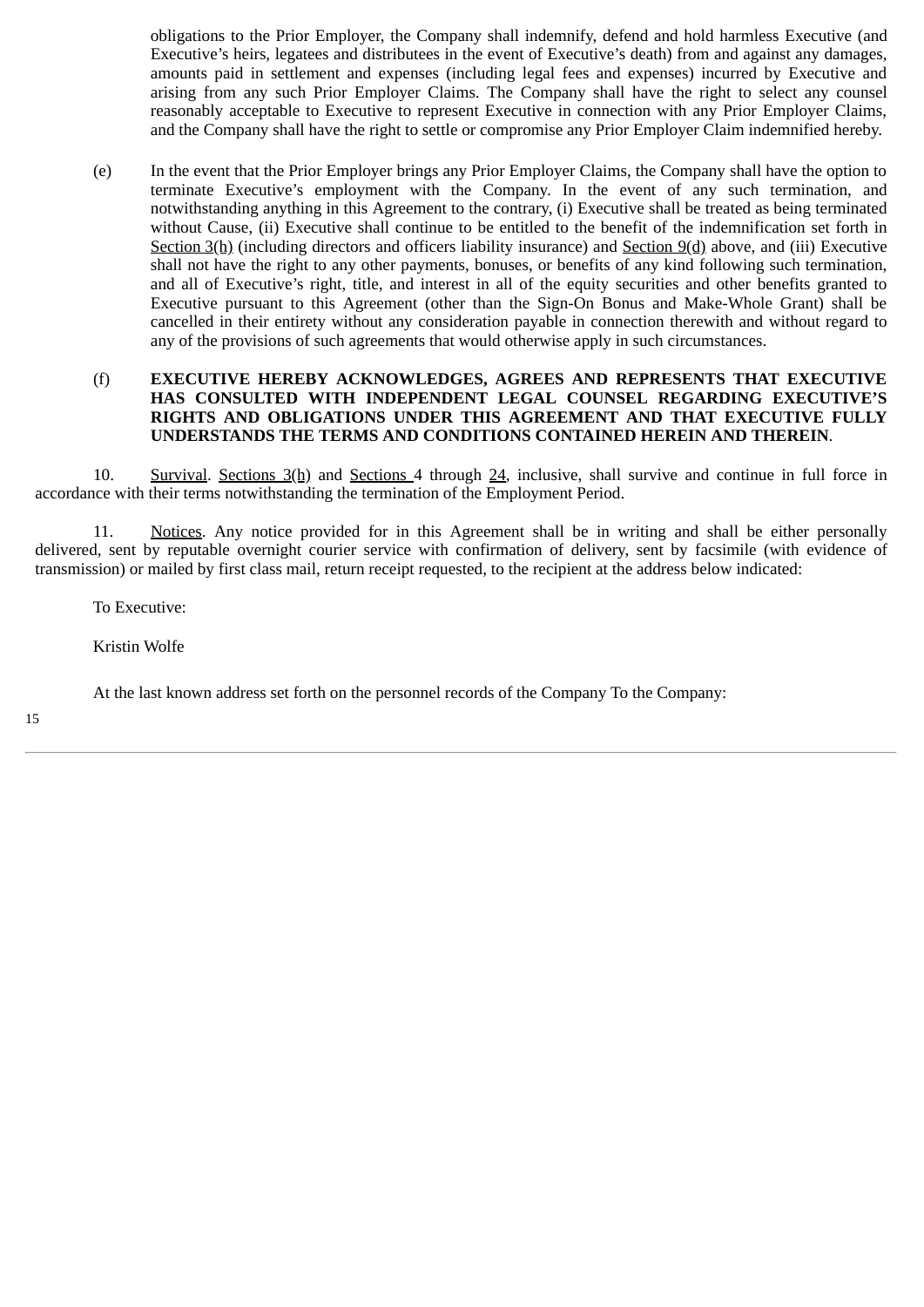obligations to the Prior Employer, the Company shall indemnify, defend and hold harmless Executive (and Executive's heirs, legatees and distributees in the event of Executive's death) from and against any damages, amounts paid in settlement and expenses (including legal fees and expenses) incurred by Executive and arising from any such Prior Employer Claims. The Company shall have the right to select any counsel reasonably acceptable to Executive to represent Executive in connection with any Prior Employer Claims, and the Company shall have the right to settle or compromise any Prior Employer Claim indemnified hereby.

(e) In the event that the Prior Employer brings any Prior Employer Claims, the Company shall have the option to terminate Executive's employment with the Company. In the event of any such termination, and notwithstanding anything in this Agreement to the contrary, (i) Executive shall be treated as being terminated without Cause, (ii) Executive shall continue to be entitled to the benefit of the indemnification set forth in Section 3(h) (including directors and officers liability insurance) and Section 9(d) above, and (iii) Executive shall not have the right to any other payments, bonuses, or benefits of any kind following such termination, and all of Executive's right, title, and interest in all of the equity securities and other benefits granted to Executive pursuant to this Agreement (other than the Sign-On Bonus and Make-Whole Grant) shall be cancelled in their entirety without any consideration payable in connection therewith and without regard to any of the provisions of such agreements that would otherwise apply in such circumstances.

# (f) **EXECUTIVE HEREBY ACKNOWLEDGES, AGREES AND REPRESENTS THAT EXECUTIVE HAS CONSULTED WITH INDEPENDENT LEGAL COUNSEL REGARDING EXECUTIVE'S RIGHTS AND OBLIGATIONS UNDER THIS AGREEMENT AND THAT EXECUTIVE FULLY UNDERSTANDS THE TERMS AND CONDITIONS CONTAINED HEREIN AND THEREIN**.

10. Survival. Sections 3(h) and Sections 4 through 24, inclusive, shall survive and continue in full force in accordance with their terms notwithstanding the termination of the Employment Period.

11. Notices. Any notice provided for in this Agreement shall be in writing and shall be either personally delivered, sent by reputable overnight courier service with confirmation of delivery, sent by facsimile (with evidence of transmission) or mailed by first class mail, return receipt requested, to the recipient at the address below indicated:

To Executive:

Kristin Wolfe

At the last known address set forth on the personnel records of the Company To the Company: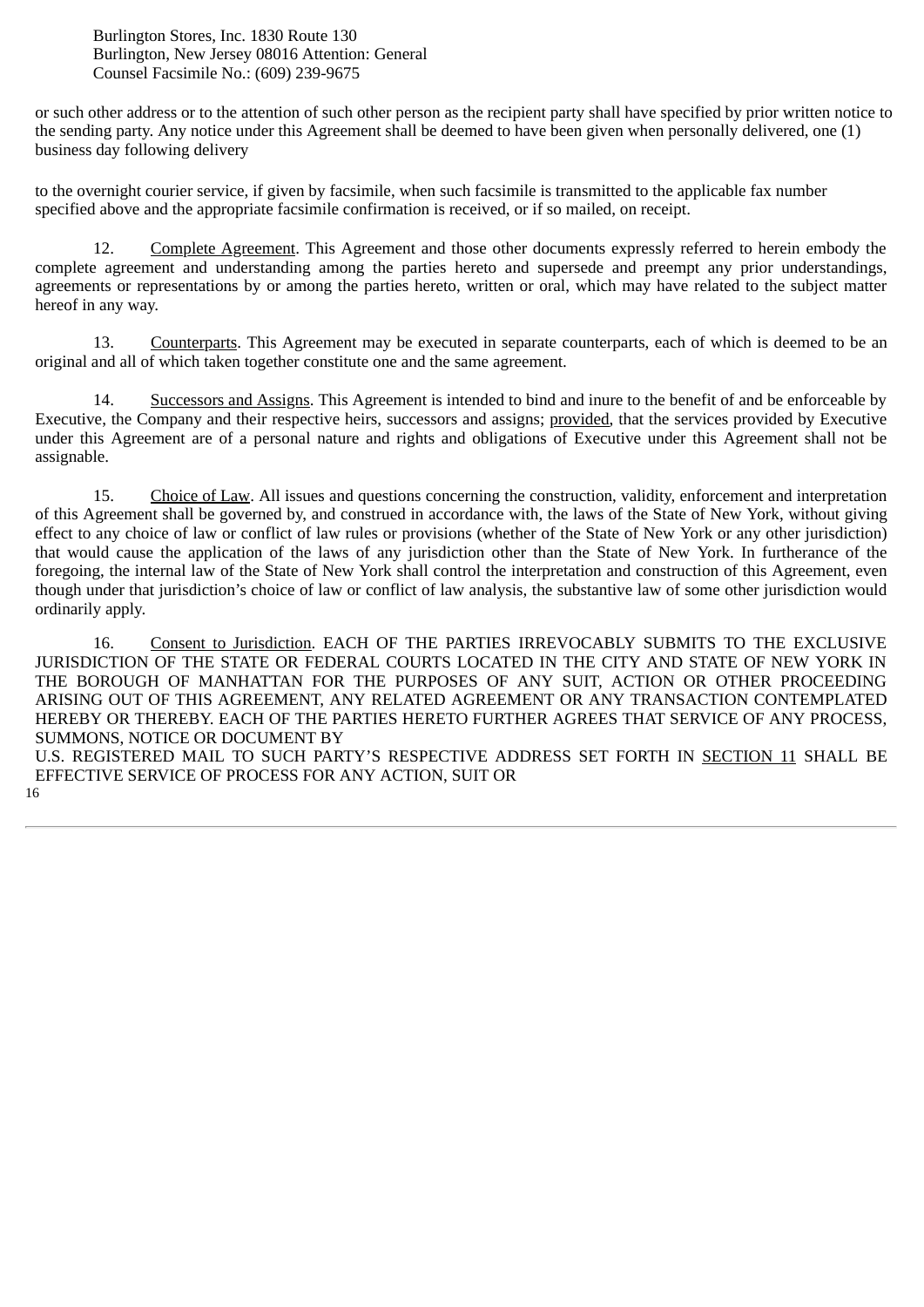Burlington Stores, Inc. 1830 Route 130 Burlington, New Jersey 08016 Attention: General Counsel Facsimile No.: (609) 239-9675

or such other address or to the attention of such other person as the recipient party shall have specified by prior written notice to the sending party. Any notice under this Agreement shall be deemed to have been given when personally delivered, one (1) business day following delivery

to the overnight courier service, if given by facsimile, when such facsimile is transmitted to the applicable fax number specified above and the appropriate facsimile confirmation is received, or if so mailed, on receipt.

12. Complete Agreement. This Agreement and those other documents expressly referred to herein embody the complete agreement and understanding among the parties hereto and supersede and preempt any prior understandings, agreements or representations by or among the parties hereto, written or oral, which may have related to the subject matter hereof in any way.

13. Counterparts. This Agreement may be executed in separate counterparts, each of which is deemed to be an original and all of which taken together constitute one and the same agreement.

14. Successors and Assigns. This Agreement is intended to bind and inure to the benefit of and be enforceable by Executive, the Company and their respective heirs, successors and assigns; provided, that the services provided by Executive under this Agreement are of a personal nature and rights and obligations of Executive under this Agreement shall not be assignable.

15. Choice of Law. All issues and questions concerning the construction, validity, enforcement and interpretation of this Agreement shall be governed by, and construed in accordance with, the laws of the State of New York, without giving effect to any choice of law or conflict of law rules or provisions (whether of the State of New York or any other jurisdiction) that would cause the application of the laws of any jurisdiction other than the State of New York. In furtherance of the foregoing, the internal law of the State of New York shall control the interpretation and construction of this Agreement, even though under that jurisdiction's choice of law or conflict of law analysis, the substantive law of some other jurisdiction would ordinarily apply.

16. Consent to Jurisdiction. EACH OF THE PARTIES IRREVOCABLY SUBMITS TO THE EXCLUSIVE JURISDICTION OF THE STATE OR FEDERAL COURTS LOCATED IN THE CITY AND STATE OF NEW YORK IN THE BOROUGH OF MANHATTAN FOR THE PURPOSES OF ANY SUIT, ACTION OR OTHER PROCEEDING ARISING OUT OF THIS AGREEMENT, ANY RELATED AGREEMENT OR ANY TRANSACTION CONTEMPLATED HEREBY OR THEREBY. EACH OF THE PARTIES HERETO FURTHER AGREES THAT SERVICE OF ANY PROCESS, SUMMONS, NOTICE OR DOCUMENT BY

U.S. REGISTERED MAIL TO SUCH PARTY'S RESPECTIVE ADDRESS SET FORTH IN SECTION 11 SHALL BE EFFECTIVE SERVICE OF PROCESS FOR ANY ACTION, SUIT OR 16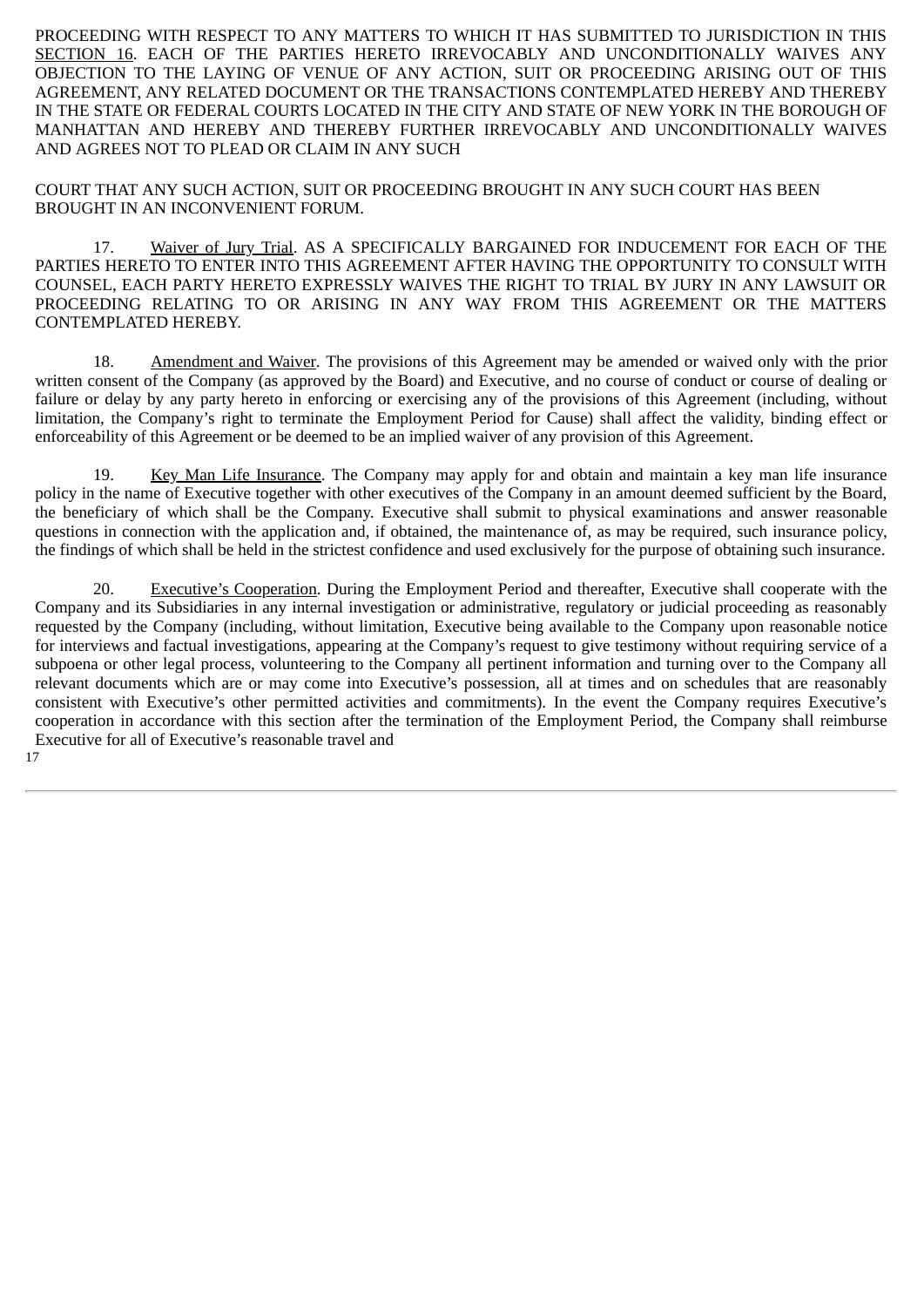PROCEEDING WITH RESPECT TO ANY MATTERS TO WHICH IT HAS SUBMITTED TO JURISDICTION IN THIS SECTION 16. EACH OF THE PARTIES HERETO IRREVOCABLY AND UNCONDITIONALLY WAIVES ANY OBJECTION TO THE LAYING OF VENUE OF ANY ACTION, SUIT OR PROCEEDING ARISING OUT OF THIS AGREEMENT, ANY RELATED DOCUMENT OR THE TRANSACTIONS CONTEMPLATED HEREBY AND THEREBY IN THE STATE OR FEDERAL COURTS LOCATED IN THE CITY AND STATE OF NEW YORK IN THE BOROUGH OF MANHATTAN AND HEREBY AND THEREBY FURTHER IRREVOCABLY AND UNCONDITIONALLY WAIVES AND AGREES NOT TO PLEAD OR CLAIM IN ANY SUCH

COURT THAT ANY SUCH ACTION, SUIT OR PROCEEDING BROUGHT IN ANY SUCH COURT HAS BEEN BROUGHT IN AN INCONVENIENT FORUM.

17. Waiver of Jury Trial. AS A SPECIFICALLY BARGAINED FOR INDUCEMENT FOR EACH OF THE PARTIES HERETO TO ENTER INTO THIS AGREEMENT AFTER HAVING THE OPPORTUNITY TO CONSULT WITH COUNSEL, EACH PARTY HERETO EXPRESSLY WAIVES THE RIGHT TO TRIAL BY JURY IN ANY LAWSUIT OR PROCEEDING RELATING TO OR ARISING IN ANY WAY FROM THIS AGREEMENT OR THE MATTERS CONTEMPLATED HEREBY.

18. Amendment and Waiver. The provisions of this Agreement may be amended or waived only with the prior written consent of the Company (as approved by the Board) and Executive, and no course of conduct or course of dealing or failure or delay by any party hereto in enforcing or exercising any of the provisions of this Agreement (including, without limitation, the Company's right to terminate the Employment Period for Cause) shall affect the validity, binding effect or enforceability of this Agreement or be deemed to be an implied waiver of any provision of this Agreement.

19. Key Man Life Insurance. The Company may apply for and obtain and maintain a key man life insurance policy in the name of Executive together with other executives of the Company in an amount deemed sufficient by the Board, the beneficiary of which shall be the Company. Executive shall submit to physical examinations and answer reasonable questions in connection with the application and, if obtained, the maintenance of, as may be required, such insurance policy, the findings of which shall be held in the strictest confidence and used exclusively for the purpose of obtaining such insurance.

20. Executive's Cooperation. During the Employment Period and thereafter, Executive shall cooperate with the Company and its Subsidiaries in any internal investigation or administrative, regulatory or judicial proceeding as reasonably requested by the Company (including, without limitation, Executive being available to the Company upon reasonable notice for interviews and factual investigations, appearing at the Company's request to give testimony without requiring service of a subpoena or other legal process, volunteering to the Company all pertinent information and turning over to the Company all relevant documents which are or may come into Executive's possession, all at times and on schedules that are reasonably consistent with Executive's other permitted activities and commitments). In the event the Company requires Executive's cooperation in accordance with this section after the termination of the Employment Period, the Company shall reimburse Executive for all of Executive's reasonable travel and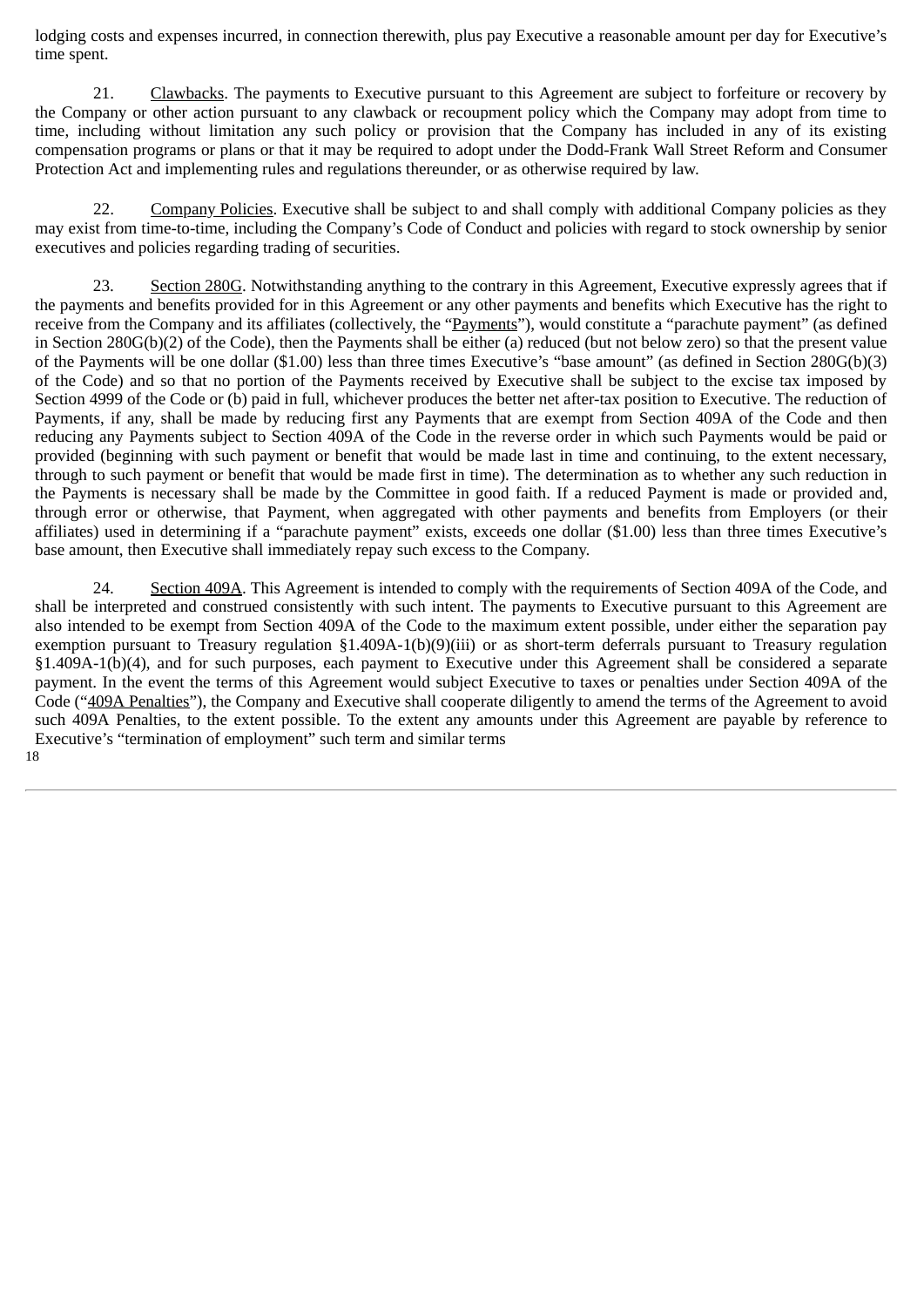lodging costs and expenses incurred, in connection therewith, plus pay Executive a reasonable amount per day for Executive's time spent.

21. Clawbacks. The payments to Executive pursuant to this Agreement are subject to forfeiture or recovery by the Company or other action pursuant to any clawback or recoupment policy which the Company may adopt from time to time, including without limitation any such policy or provision that the Company has included in any of its existing compensation programs or plans or that it may be required to adopt under the Dodd-Frank Wall Street Reform and Consumer Protection Act and implementing rules and regulations thereunder, or as otherwise required by law.

22. Company Policies. Executive shall be subject to and shall comply with additional Company policies as they may exist from time-to-time, including the Company's Code of Conduct and policies with regard to stock ownership by senior executives and policies regarding trading of securities.

23. Section 280G. Notwithstanding anything to the contrary in this Agreement, Executive expressly agrees that if the payments and benefits provided for in this Agreement or any other payments and benefits which Executive has the right to receive from the Company and its affiliates (collectively, the "Payments"), would constitute a "parachute payment" (as defined in Section 280G(b)(2) of the Code), then the Payments shall be either (a) reduced (but not below zero) so that the present value of the Payments will be one dollar (\$1.00) less than three times Executive's "base amount" (as defined in Section 280G(b)(3) of the Code) and so that no portion of the Payments received by Executive shall be subject to the excise tax imposed by Section 4999 of the Code or (b) paid in full, whichever produces the better net after-tax position to Executive. The reduction of Payments, if any, shall be made by reducing first any Payments that are exempt from Section 409A of the Code and then reducing any Payments subject to Section 409A of the Code in the reverse order in which such Payments would be paid or provided (beginning with such payment or benefit that would be made last in time and continuing, to the extent necessary, through to such payment or benefit that would be made first in time). The determination as to whether any such reduction in the Payments is necessary shall be made by the Committee in good faith. If a reduced Payment is made or provided and, through error or otherwise, that Payment, when aggregated with other payments and benefits from Employers (or their affiliates) used in determining if a "parachute payment" exists, exceeds one dollar (\$1.00) less than three times Executive's base amount, then Executive shall immediately repay such excess to the Company.

24. Section 409A. This Agreement is intended to comply with the requirements of Section 409A of the Code, and shall be interpreted and construed consistently with such intent. The payments to Executive pursuant to this Agreement are also intended to be exempt from Section 409A of the Code to the maximum extent possible, under either the separation pay exemption pursuant to Treasury regulation §1.409A-1(b)(9)(iii) or as short-term deferrals pursuant to Treasury regulation §1.409A-1(b)(4), and for such purposes, each payment to Executive under this Agreement shall be considered a separate payment. In the event the terms of this Agreement would subject Executive to taxes or penalties under Section 409A of the Code ("409A Penalties"), the Company and Executive shall cooperate diligently to amend the terms of the Agreement to avoid such 409A Penalties, to the extent possible. To the extent any amounts under this Agreement are payable by reference to Executive's "termination of employment" such term and similar terms 18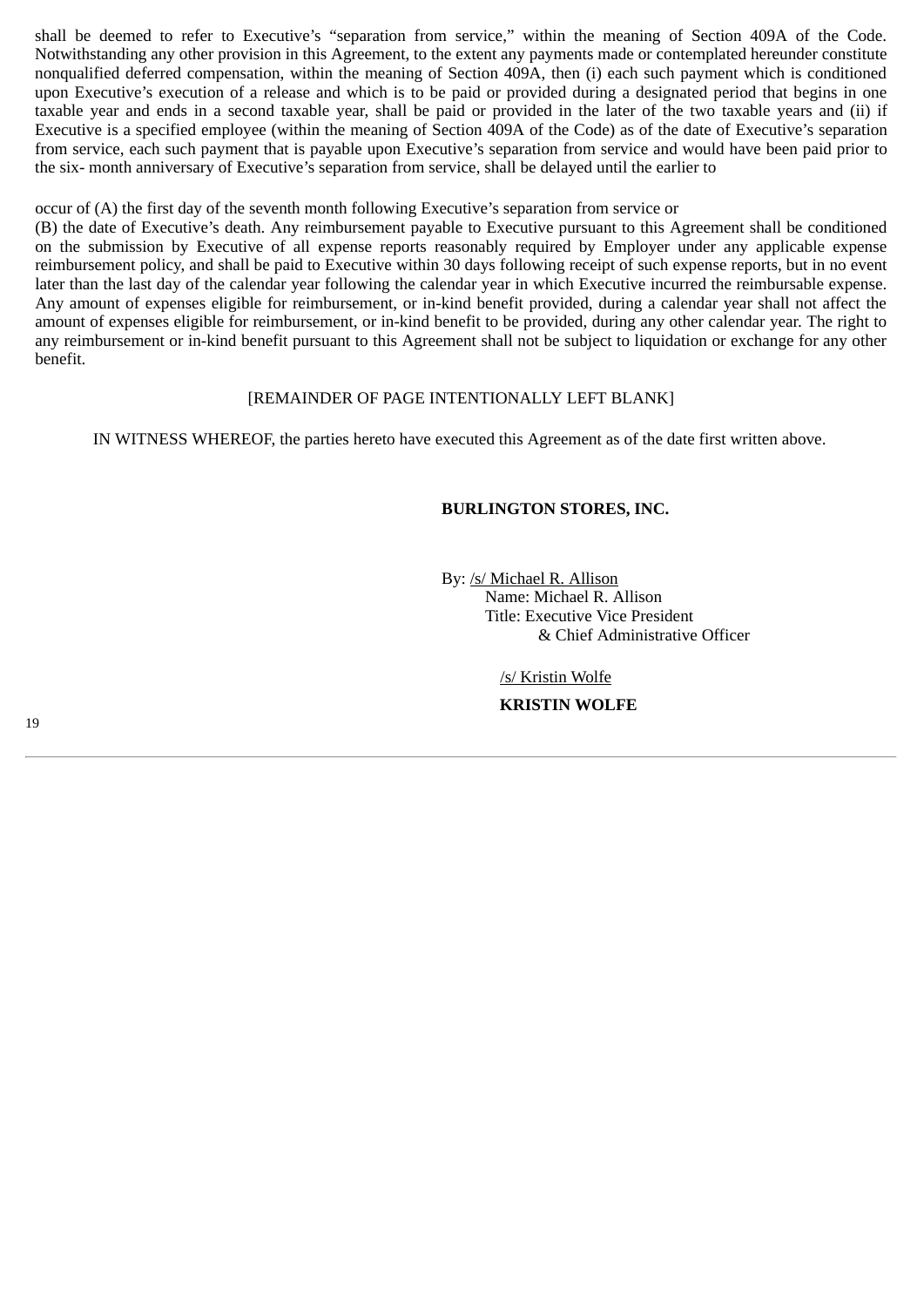shall be deemed to refer to Executive's "separation from service," within the meaning of Section 409A of the Code. Notwithstanding any other provision in this Agreement, to the extent any payments made or contemplated hereunder constitute nonqualified deferred compensation, within the meaning of Section 409A, then (i) each such payment which is conditioned upon Executive's execution of a release and which is to be paid or provided during a designated period that begins in one taxable year and ends in a second taxable year, shall be paid or provided in the later of the two taxable years and (ii) if Executive is a specified employee (within the meaning of Section 409A of the Code) as of the date of Executive's separation from service, each such payment that is payable upon Executive's separation from service and would have been paid prior to the six- month anniversary of Executive's separation from service, shall be delayed until the earlier to

occur of (A) the first day of the seventh month following Executive's separation from service or

(B) the date of Executive's death. Any reimbursement payable to Executive pursuant to this Agreement shall be conditioned on the submission by Executive of all expense reports reasonably required by Employer under any applicable expense reimbursement policy, and shall be paid to Executive within 30 days following receipt of such expense reports, but in no event later than the last day of the calendar year following the calendar year in which Executive incurred the reimbursable expense. Any amount of expenses eligible for reimbursement, or in-kind benefit provided, during a calendar year shall not affect the amount of expenses eligible for reimbursement, or in-kind benefit to be provided, during any other calendar year. The right to any reimbursement or in-kind benefit pursuant to this Agreement shall not be subject to liquidation or exchange for any other benefit.

# [REMAINDER OF PAGE INTENTIONALLY LEFT BLANK]

IN WITNESS WHEREOF, the parties hereto have executed this Agreement as of the date first written above.

# **BURLINGTON STORES, INC.**

By: /s/ Michael R. Allison Name: Michael R. Allison Title: Executive Vice President & Chief Administrative Officer

/s/ Kristin Wolfe

**KRISTIN WOLFE**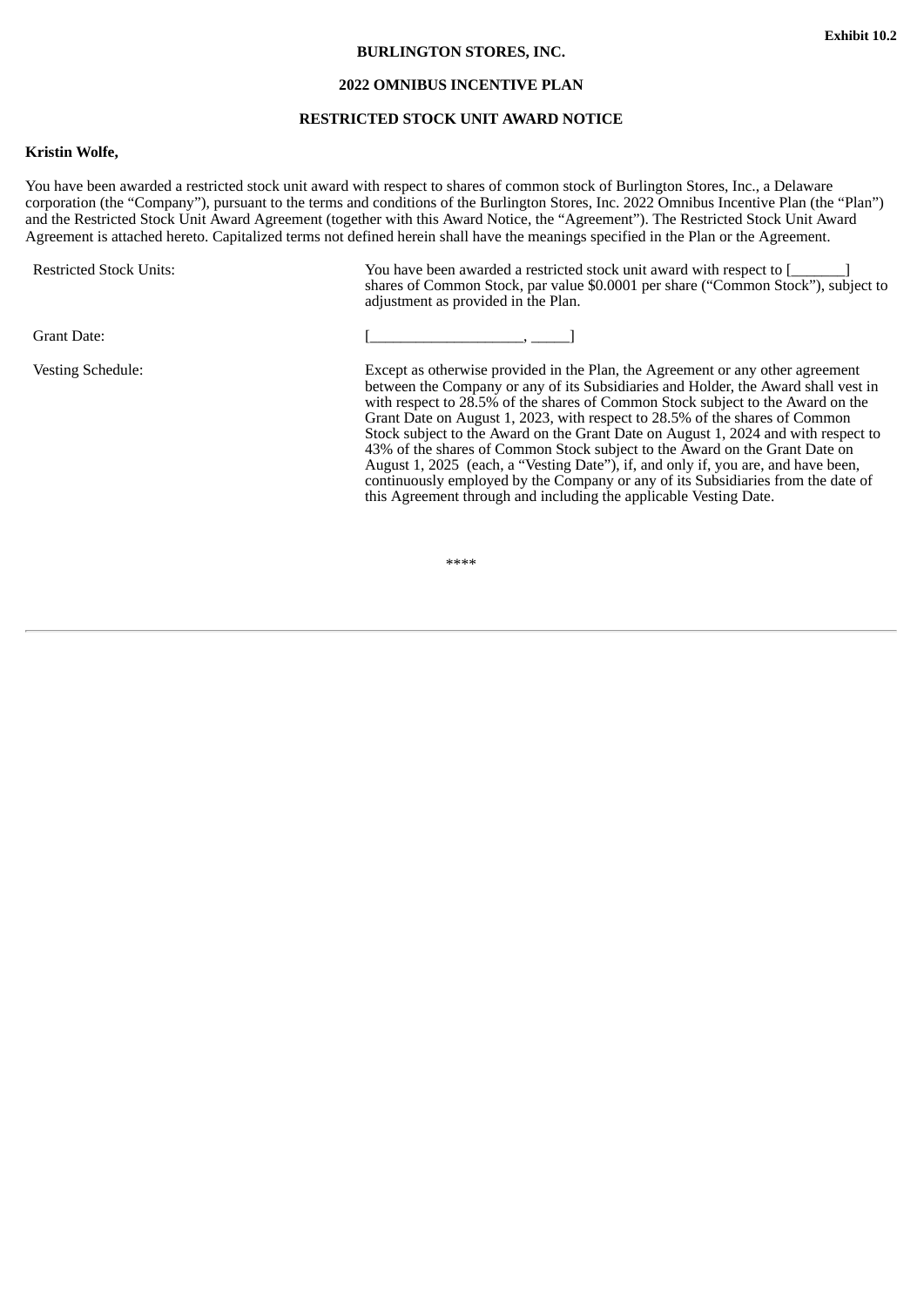#### **BURLINGTON STORES, INC.**

#### **2022 OMNIBUS INCENTIVE PLAN**

#### **RESTRICTED STOCK UNIT AWARD NOTICE**

#### <span id="page-23-0"></span>**Kristin Wolfe,**

You have been awarded a restricted stock unit award with respect to shares of common stock of Burlington Stores, Inc., a Delaware corporation (the "Company"), pursuant to the terms and conditions of the Burlington Stores, Inc. 2022 Omnibus Incentive Plan (the "Plan") and the Restricted Stock Unit Award Agreement (together with this Award Notice, the "Agreement"). The Restricted Stock Unit Award Agreement is attached hereto. Capitalized terms not defined herein shall have the meanings specified in the Plan or the Agreement.

Restricted Stock Units: You have been awarded a restricted stock unit award with respect to [\_\_\_\_\_\_\_] shares of Common Stock, par value \$0.0001 per share ("Common Stock"), subject to adjustment as provided in the Plan.

Grant Date: [\_\_\_\_\_\_\_\_\_\_\_\_\_\_\_\_\_\_\_\_, \_\_\_\_\_]

Vesting Schedule: Except as otherwise provided in the Plan, the Agreement or any other agreement between the Company or any of its Subsidiaries and Holder, the Award shall vest in with respect to 28.5% of the shares of Common Stock subject to the Award on the Grant Date on August 1, 2023, with respect to 28.5% of the shares of Common Stock subject to the Award on the Grant Date on August 1, 2024 and with respect to 43% of the shares of Common Stock subject to the Award on the Grant Date on August 1, 2025 (each, a "Vesting Date"), if, and only if, you are, and have been, continuously employed by the Company or any of its Subsidiaries from the date of this Agreement through and including the applicable Vesting Date.

\*\*\*\*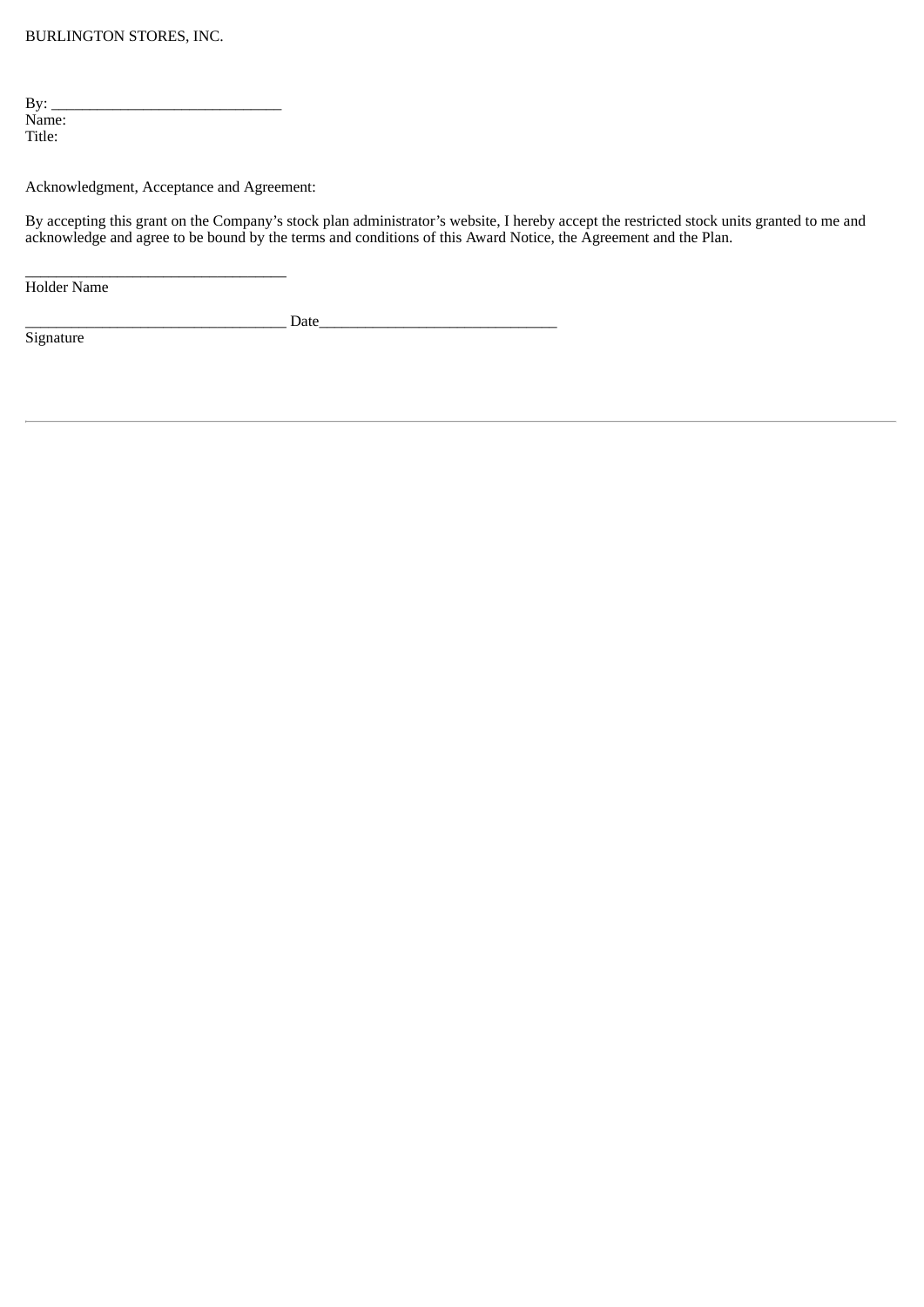| By:    |  |  |
|--------|--|--|
| Name:  |  |  |
| Title: |  |  |

Acknowledgment, Acceptance and Agreement:

By accepting this grant on the Company's stock plan administrator's website, I hereby accept the restricted stock units granted to me and acknowledge and agree to be bound by the terms and conditions of this Award Notice, the Agreement and the Plan.

 $\frac{1}{2}$  ,  $\frac{1}{2}$  ,  $\frac{1}{2}$  ,  $\frac{1}{2}$  ,  $\frac{1}{2}$  ,  $\frac{1}{2}$  ,  $\frac{1}{2}$  ,  $\frac{1}{2}$  ,  $\frac{1}{2}$  ,  $\frac{1}{2}$  ,  $\frac{1}{2}$  ,  $\frac{1}{2}$  ,  $\frac{1}{2}$  ,  $\frac{1}{2}$  ,  $\frac{1}{2}$  ,  $\frac{1}{2}$  ,  $\frac{1}{2}$  ,  $\frac{1}{2}$  ,  $\frac{1$ Holder Name

 $\Box$  Date

**Signature**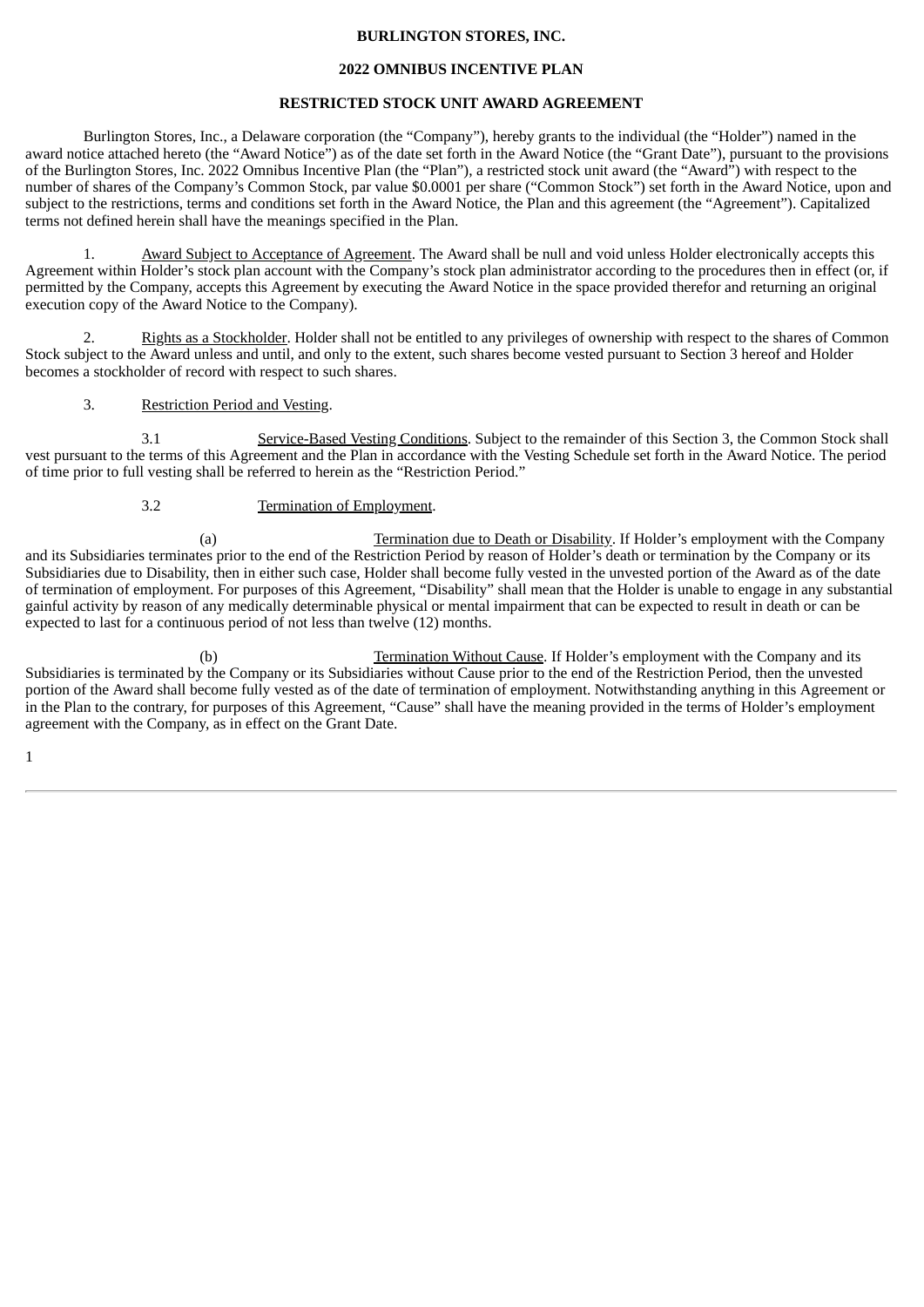#### **BURLINGTON STORES, INC.**

#### **2022 OMNIBUS INCENTIVE PLAN**

#### **RESTRICTED STOCK UNIT AWARD AGREEMENT**

Burlington Stores, Inc., a Delaware corporation (the "Company"), hereby grants to the individual (the "Holder") named in the award notice attached hereto (the "Award Notice") as of the date set forth in the Award Notice (the "Grant Date"), pursuant to the provisions of the Burlington Stores, Inc. 2022 Omnibus Incentive Plan (the "Plan"), a restricted stock unit award (the "Award") with respect to the number of shares of the Company's Common Stock, par value \$0.0001 per share ("Common Stock") set forth in the Award Notice, upon and subject to the restrictions, terms and conditions set forth in the Award Notice, the Plan and this agreement (the "Agreement"). Capitalized terms not defined herein shall have the meanings specified in the Plan.

1. Award Subject to Acceptance of Agreement. The Award shall be null and void unless Holder electronically accepts this Agreement within Holder's stock plan account with the Company's stock plan administrator according to the procedures then in effect (or, if permitted by the Company, accepts this Agreement by executing the Award Notice in the space provided therefor and returning an original execution copy of the Award Notice to the Company).

Rights as a Stockholder. Holder shall not be entitled to any privileges of ownership with respect to the shares of Common Stock subject to the Award unless and until, and only to the extent, such shares become vested pursuant to Section 3 hereof and Holder becomes a stockholder of record with respect to such shares.

3. Restriction Period and Vesting.

3.1 Service-Based Vesting Conditions. Subject to the remainder of this Section 3, the Common Stock shall vest pursuant to the terms of this Agreement and the Plan in accordance with the Vesting Schedule set forth in the Award Notice. The period of time prior to full vesting shall be referred to herein as the "Restriction Period."

#### 3.2 Termination of Employment.

(a) Termination due to Death or Disability. If Holder's employment with the Company and its Subsidiaries terminates prior to the end of the Restriction Period by reason of Holder's death or termination by the Company or its Subsidiaries due to Disability, then in either such case, Holder shall become fully vested in the unvested portion of the Award as of the date of termination of employment. For purposes of this Agreement, "Disability" shall mean that the Holder is unable to engage in any substantial gainful activity by reason of any medically determinable physical or mental impairment that can be expected to result in death or can be expected to last for a continuous period of not less than twelve (12) months.

(b) Termination Without Cause. If Holder's employment with the Company and its Subsidiaries is terminated by the Company or its Subsidiaries without Cause prior to the end of the Restriction Period, then the unvested portion of the Award shall become fully vested as of the date of termination of employment. Notwithstanding anything in this Agreement or in the Plan to the contrary, for purposes of this Agreement, "Cause" shall have the meaning provided in the terms of Holder's employment agreement with the Company, as in effect on the Grant Date.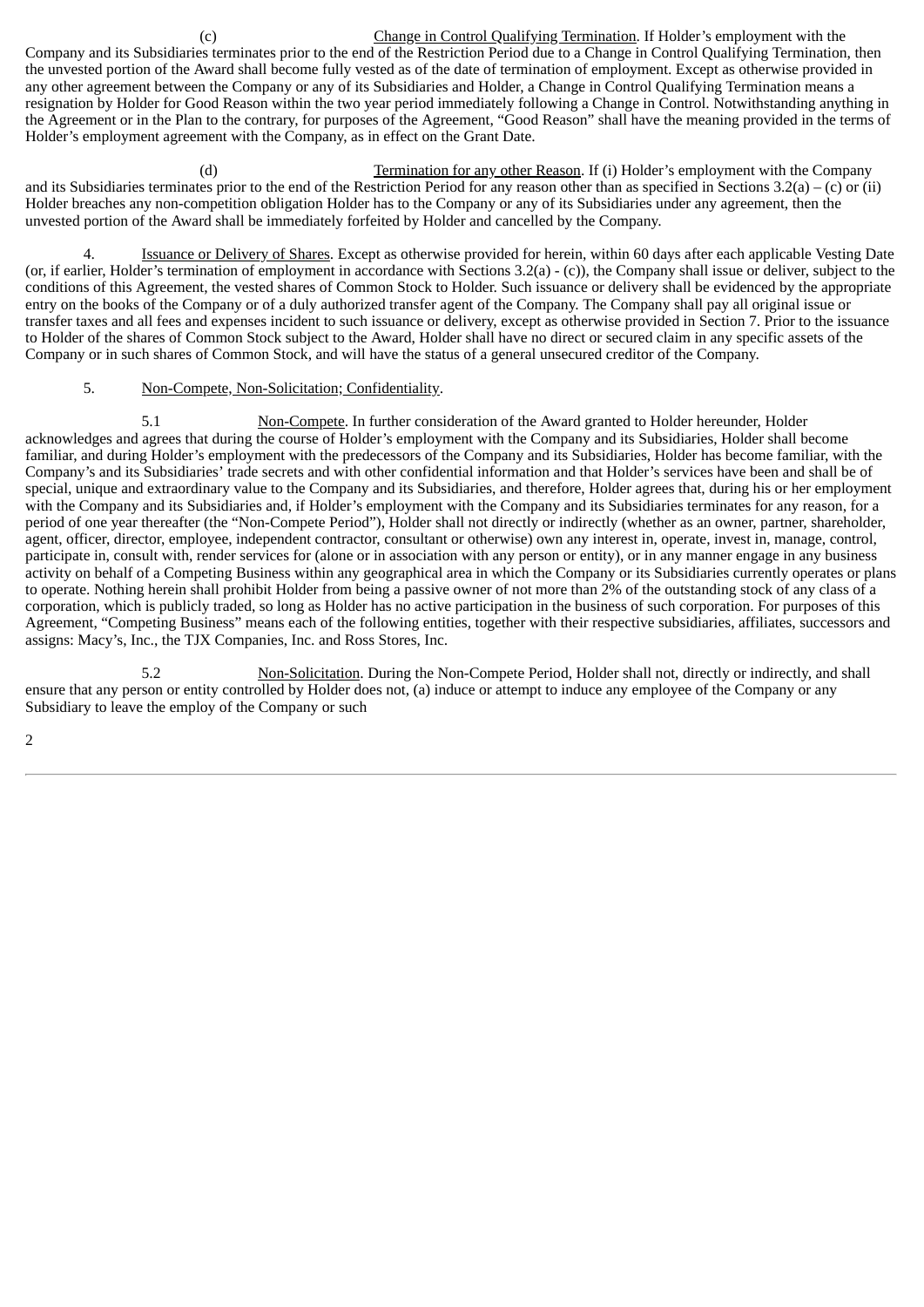(c) Change in Control Qualifying Termination. If Holder's employment with the Company and its Subsidiaries terminates prior to the end of the Restriction Period due to a Change in Control Qualifying Termination, then the unvested portion of the Award shall become fully vested as of the date of termination of employment. Except as otherwise provided in any other agreement between the Company or any of its Subsidiaries and Holder, a Change in Control Qualifying Termination means a resignation by Holder for Good Reason within the two year period immediately following a Change in Control. Notwithstanding anything in the Agreement or in the Plan to the contrary, for purposes of the Agreement, "Good Reason" shall have the meaning provided in the terms of Holder's employment agreement with the Company, as in effect on the Grant Date.

(d) Termination for any other Reason. If (i) Holder's employment with the Company and its Subsidiaries terminates prior to the end of the Restriction Period for any reason other than as specified in Sections  $3.2(a) - (c)$  or (ii) Holder breaches any non-competition obligation Holder has to the Company or any of its Subsidiaries under any agreement, then the unvested portion of the Award shall be immediately forfeited by Holder and cancelled by the Company.

4. **Issuance or Delivery of Shares**. Except as otherwise provided for herein, within 60 days after each applicable Vesting Date (or, if earlier, Holder's termination of employment in accordance with Sections 3.2(a) - (c)), the Company shall issue or deliver, subject to the conditions of this Agreement, the vested shares of Common Stock to Holder. Such issuance or delivery shall be evidenced by the appropriate entry on the books of the Company or of a duly authorized transfer agent of the Company. The Company shall pay all original issue or transfer taxes and all fees and expenses incident to such issuance or delivery, except as otherwise provided in Section 7. Prior to the issuance to Holder of the shares of Common Stock subject to the Award, Holder shall have no direct or secured claim in any specific assets of the Company or in such shares of Common Stock, and will have the status of a general unsecured creditor of the Company.

#### 5. Non-Compete, Non-Solicitation; Confidentiality.

5.1 Non-Compete. In further consideration of the Award granted to Holder hereunder, Holder acknowledges and agrees that during the course of Holder's employment with the Company and its Subsidiaries, Holder shall become familiar, and during Holder's employment with the predecessors of the Company and its Subsidiaries, Holder has become familiar, with the Company's and its Subsidiaries' trade secrets and with other confidential information and that Holder's services have been and shall be of special, unique and extraordinary value to the Company and its Subsidiaries, and therefore, Holder agrees that, during his or her employment with the Company and its Subsidiaries and, if Holder's employment with the Company and its Subsidiaries terminates for any reason, for a period of one year thereafter (the "Non-Compete Period"), Holder shall not directly or indirectly (whether as an owner, partner, shareholder, agent, officer, director, employee, independent contractor, consultant or otherwise) own any interest in, operate, invest in, manage, control, participate in, consult with, render services for (alone or in association with any person or entity), or in any manner engage in any business activity on behalf of a Competing Business within any geographical area in which the Company or its Subsidiaries currently operates or plans to operate. Nothing herein shall prohibit Holder from being a passive owner of not more than 2% of the outstanding stock of any class of a corporation, which is publicly traded, so long as Holder has no active participation in the business of such corporation. For purposes of this Agreement, "Competing Business" means each of the following entities, together with their respective subsidiaries, affiliates, successors and assigns: Macy's, Inc., the TJX Companies, Inc. and Ross Stores, Inc.

5.2 Non-Solicitation. During the Non-Compete Period, Holder shall not, directly or indirectly, and shall ensure that any person or entity controlled by Holder does not, (a) induce or attempt to induce any employee of the Company or any Subsidiary to leave the employ of the Company or such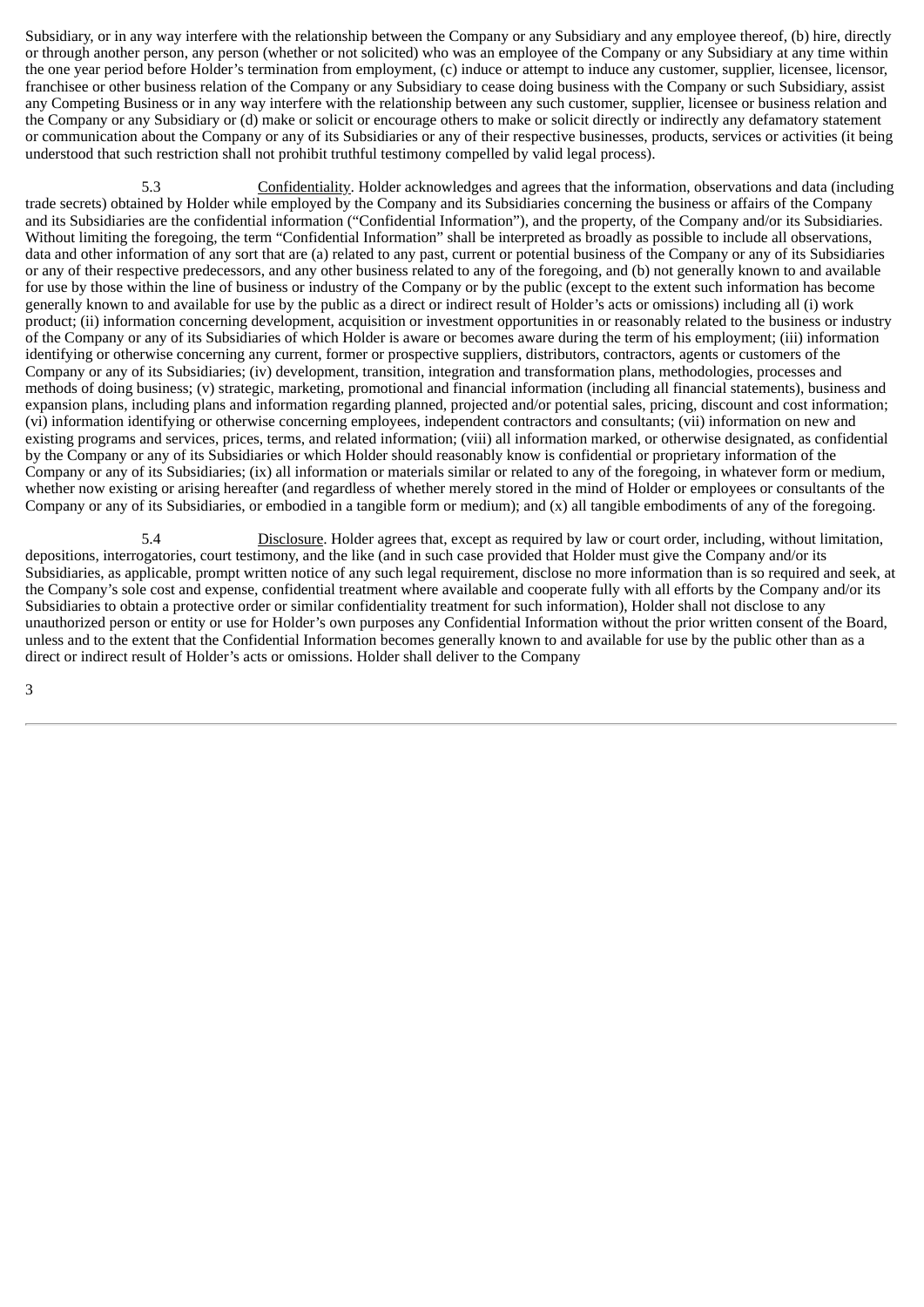Subsidiary, or in any way interfere with the relationship between the Company or any Subsidiary and any employee thereof, (b) hire, directly or through another person, any person (whether or not solicited) who was an employee of the Company or any Subsidiary at any time within the one year period before Holder's termination from employment, (c) induce or attempt to induce any customer, supplier, licensee, licensor, franchisee or other business relation of the Company or any Subsidiary to cease doing business with the Company or such Subsidiary, assist any Competing Business or in any way interfere with the relationship between any such customer, supplier, licensee or business relation and the Company or any Subsidiary or (d) make or solicit or encourage others to make or solicit directly or indirectly any defamatory statement or communication about the Company or any of its Subsidiaries or any of their respective businesses, products, services or activities (it being understood that such restriction shall not prohibit truthful testimony compelled by valid legal process).

5.3 Confidentiality. Holder acknowledges and agrees that the information, observations and data (including trade secrets) obtained by Holder while employed by the Company and its Subsidiaries concerning the business or affairs of the Company and its Subsidiaries are the confidential information ("Confidential Information"), and the property, of the Company and/or its Subsidiaries. Without limiting the foregoing, the term "Confidential Information" shall be interpreted as broadly as possible to include all observations, data and other information of any sort that are (a) related to any past, current or potential business of the Company or any of its Subsidiaries or any of their respective predecessors, and any other business related to any of the foregoing, and (b) not generally known to and available for use by those within the line of business or industry of the Company or by the public (except to the extent such information has become generally known to and available for use by the public as a direct or indirect result of Holder's acts or omissions) including all (i) work product; (ii) information concerning development, acquisition or investment opportunities in or reasonably related to the business or industry of the Company or any of its Subsidiaries of which Holder is aware or becomes aware during the term of his employment; (iii) information identifying or otherwise concerning any current, former or prospective suppliers, distributors, contractors, agents or customers of the Company or any of its Subsidiaries; (iv) development, transition, integration and transformation plans, methodologies, processes and methods of doing business; (v) strategic, marketing, promotional and financial information (including all financial statements), business and expansion plans, including plans and information regarding planned, projected and/or potential sales, pricing, discount and cost information; (vi) information identifying or otherwise concerning employees, independent contractors and consultants; (vii) information on new and existing programs and services, prices, terms, and related information; (viii) all information marked, or otherwise designated, as confidential by the Company or any of its Subsidiaries or which Holder should reasonably know is confidential or proprietary information of the Company or any of its Subsidiaries; (ix) all information or materials similar or related to any of the foregoing, in whatever form or medium, whether now existing or arising hereafter (and regardless of whether merely stored in the mind of Holder or employees or consultants of the Company or any of its Subsidiaries, or embodied in a tangible form or medium); and (x) all tangible embodiments of any of the foregoing.

5.4 Disclosure. Holder agrees that, except as required by law or court order, including, without limitation, depositions, interrogatories, court testimony, and the like (and in such case provided that Holder must give the Company and/or its Subsidiaries, as applicable, prompt written notice of any such legal requirement, disclose no more information than is so required and seek, at the Company's sole cost and expense, confidential treatment where available and cooperate fully with all efforts by the Company and/or its Subsidiaries to obtain a protective order or similar confidentiality treatment for such information), Holder shall not disclose to any unauthorized person or entity or use for Holder's own purposes any Confidential Information without the prior written consent of the Board, unless and to the extent that the Confidential Information becomes generally known to and available for use by the public other than as a direct or indirect result of Holder's acts or omissions. Holder shall deliver to the Company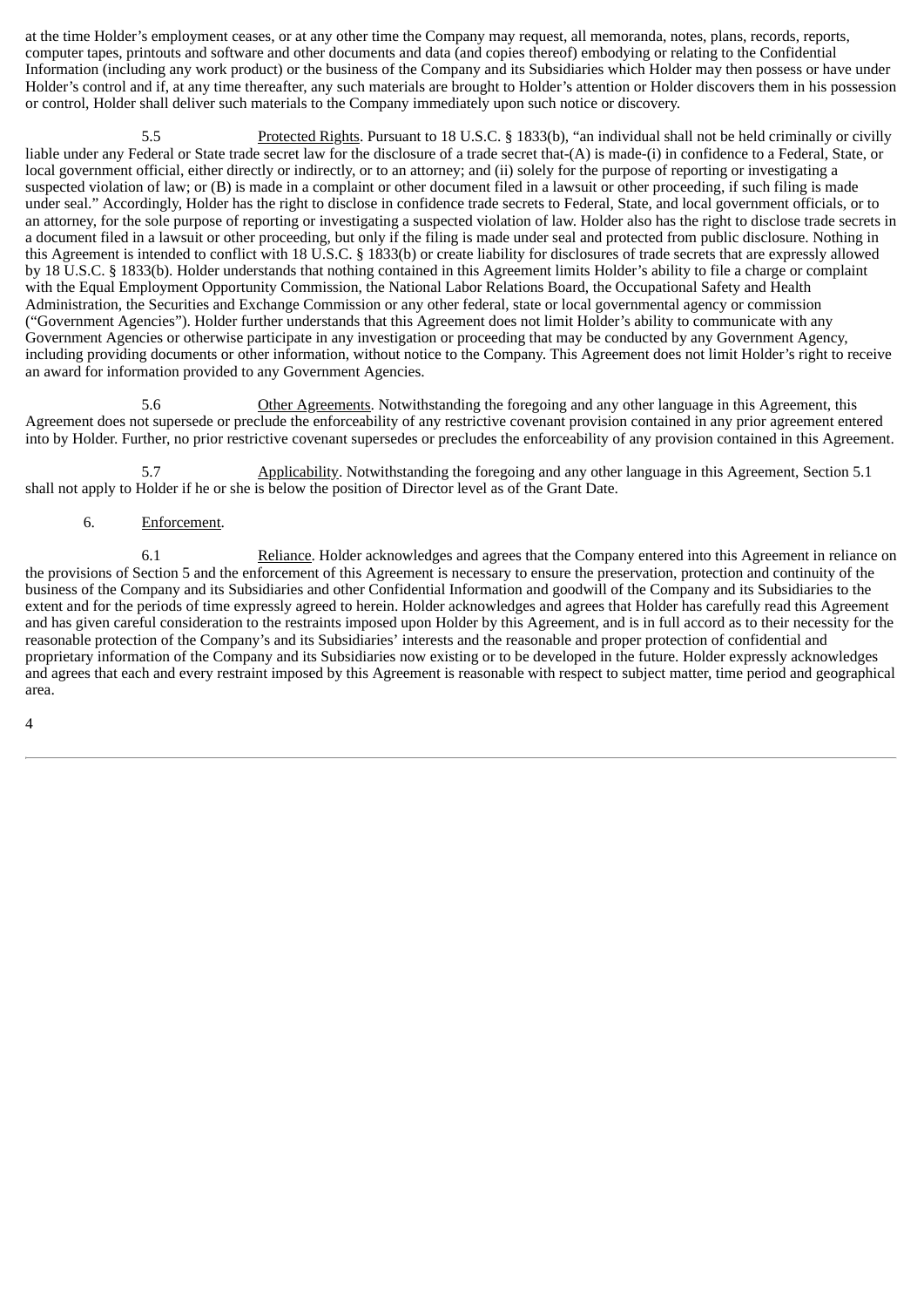at the time Holder's employment ceases, or at any other time the Company may request, all memoranda, notes, plans, records, reports, computer tapes, printouts and software and other documents and data (and copies thereof) embodying or relating to the Confidential Information (including any work product) or the business of the Company and its Subsidiaries which Holder may then possess or have under Holder's control and if, at any time thereafter, any such materials are brought to Holder's attention or Holder discovers them in his possession or control, Holder shall deliver such materials to the Company immediately upon such notice or discovery.

5.5 Protected Rights. Pursuant to 18 U.S.C. § 1833(b), "an individual shall not be held criminally or civilly liable under any Federal or State trade secret law for the disclosure of a trade secret that-(A) is made-(i) in confidence to a Federal, State, or local government official, either directly or indirectly, or to an attorney; and (ii) solely for the purpose of reporting or investigating a suspected violation of law; or (B) is made in a complaint or other document filed in a lawsuit or other proceeding, if such filing is made under seal." Accordingly, Holder has the right to disclose in confidence trade secrets to Federal, State, and local government officials, or to an attorney, for the sole purpose of reporting or investigating a suspected violation of law. Holder also has the right to disclose trade secrets in a document filed in a lawsuit or other proceeding, but only if the filing is made under seal and protected from public disclosure. Nothing in this Agreement is intended to conflict with 18 U.S.C. § 1833(b) or create liability for disclosures of trade secrets that are expressly allowed by 18 U.S.C. § 1833(b). Holder understands that nothing contained in this Agreement limits Holder's ability to file a charge or complaint with the Equal Employment Opportunity Commission, the National Labor Relations Board, the Occupational Safety and Health Administration, the Securities and Exchange Commission or any other federal, state or local governmental agency or commission ("Government Agencies"). Holder further understands that this Agreement does not limit Holder's ability to communicate with any Government Agencies or otherwise participate in any investigation or proceeding that may be conducted by any Government Agency, including providing documents or other information, without notice to the Company. This Agreement does not limit Holder's right to receive an award for information provided to any Government Agencies.

5.6 Other Agreements. Notwithstanding the foregoing and any other language in this Agreement, this Agreement does not supersede or preclude the enforceability of any restrictive covenant provision contained in any prior agreement entered into by Holder. Further, no prior restrictive covenant supersedes or precludes the enforceability of any provision contained in this Agreement.

5.7 Applicability. Notwithstanding the foregoing and any other language in this Agreement, Section 5.1 shall not apply to Holder if he or she is below the position of Director level as of the Grant Date.

# 6. Enforcement.

6.1 Reliance. Holder acknowledges and agrees that the Company entered into this Agreement in reliance on the provisions of Section 5 and the enforcement of this Agreement is necessary to ensure the preservation, protection and continuity of the business of the Company and its Subsidiaries and other Confidential Information and goodwill of the Company and its Subsidiaries to the extent and for the periods of time expressly agreed to herein. Holder acknowledges and agrees that Holder has carefully read this Agreement and has given careful consideration to the restraints imposed upon Holder by this Agreement, and is in full accord as to their necessity for the reasonable protection of the Company's and its Subsidiaries' interests and the reasonable and proper protection of confidential and proprietary information of the Company and its Subsidiaries now existing or to be developed in the future. Holder expressly acknowledges and agrees that each and every restraint imposed by this Agreement is reasonable with respect to subject matter, time period and geographical area.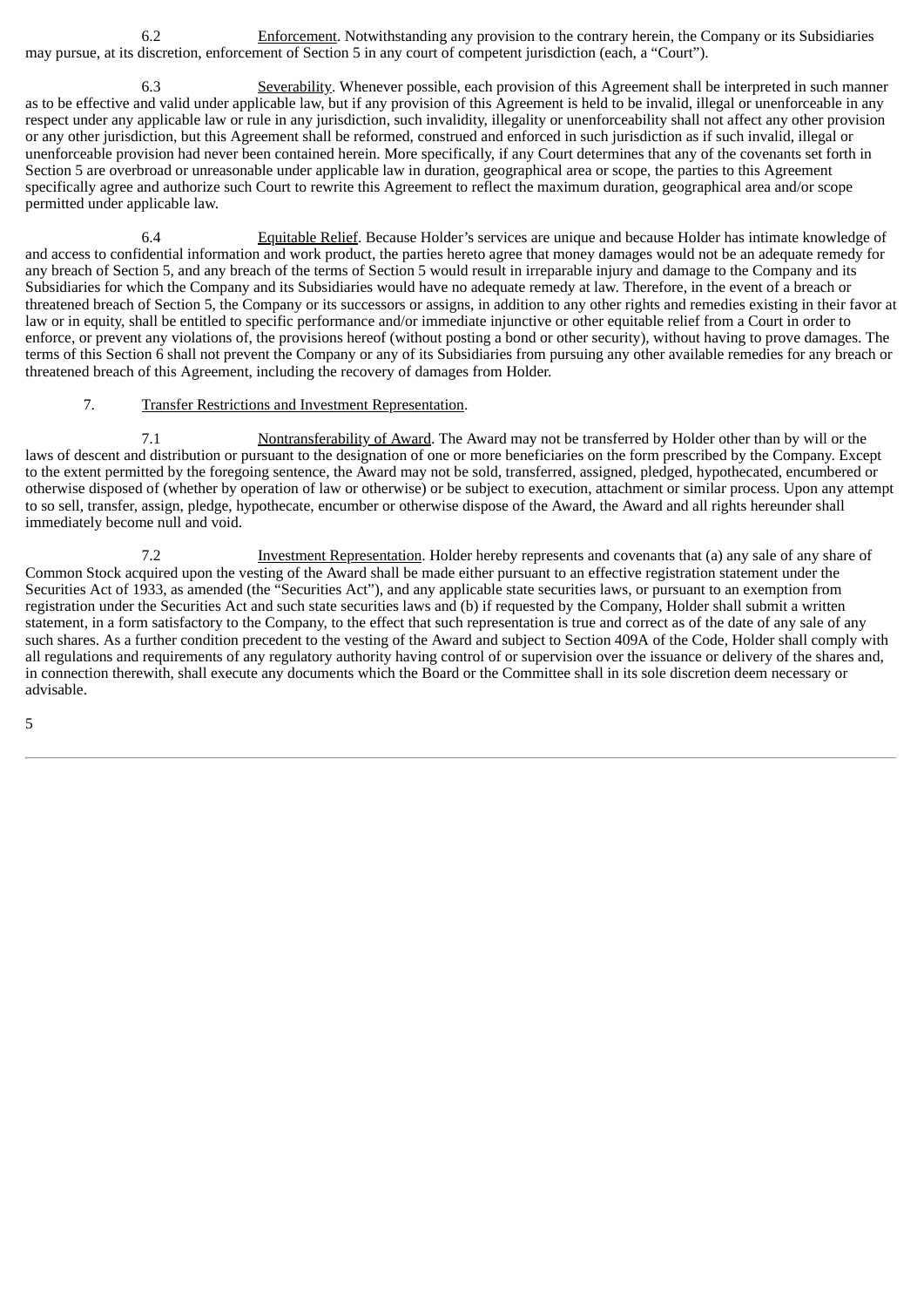6.2 Enforcement. Notwithstanding any provision to the contrary herein, the Company or its Subsidiaries may pursue, at its discretion, enforcement of Section 5 in any court of competent jurisdiction (each, a "Court").

6.3 Severability. Whenever possible, each provision of this Agreement shall be interpreted in such manner as to be effective and valid under applicable law, but if any provision of this Agreement is held to be invalid, illegal or unenforceable in any respect under any applicable law or rule in any jurisdiction, such invalidity, illegality or unenforceability shall not affect any other provision or any other jurisdiction, but this Agreement shall be reformed, construed and enforced in such jurisdiction as if such invalid, illegal or unenforceable provision had never been contained herein. More specifically, if any Court determines that any of the covenants set forth in Section 5 are overbroad or unreasonable under applicable law in duration, geographical area or scope, the parties to this Agreement specifically agree and authorize such Court to rewrite this Agreement to reflect the maximum duration, geographical area and/or scope permitted under applicable law.

6.4 Equitable Relief. Because Holder's services are unique and because Holder has intimate knowledge of and access to confidential information and work product, the parties hereto agree that money damages would not be an adequate remedy for any breach of Section 5, and any breach of the terms of Section 5 would result in irreparable injury and damage to the Company and its Subsidiaries for which the Company and its Subsidiaries would have no adequate remedy at law. Therefore, in the event of a breach or threatened breach of Section 5, the Company or its successors or assigns, in addition to any other rights and remedies existing in their favor at law or in equity, shall be entitled to specific performance and/or immediate injunctive or other equitable relief from a Court in order to enforce, or prevent any violations of, the provisions hereof (without posting a bond or other security), without having to prove damages. The terms of this Section 6 shall not prevent the Company or any of its Subsidiaries from pursuing any other available remedies for any breach or threatened breach of this Agreement, including the recovery of damages from Holder.

#### 7. Transfer Restrictions and Investment Representation.

7.1 Nontransferability of Award. The Award may not be transferred by Holder other than by will or the laws of descent and distribution or pursuant to the designation of one or more beneficiaries on the form prescribed by the Company. Except to the extent permitted by the foregoing sentence, the Award may not be sold, transferred, assigned, pledged, hypothecated, encumbered or otherwise disposed of (whether by operation of law or otherwise) or be subject to execution, attachment or similar process. Upon any attempt to so sell, transfer, assign, pledge, hypothecate, encumber or otherwise dispose of the Award, the Award and all rights hereunder shall immediately become null and void.

7.2 Investment Representation. Holder hereby represents and covenants that (a) any sale of any share of Common Stock acquired upon the vesting of the Award shall be made either pursuant to an effective registration statement under the Securities Act of 1933, as amended (the "Securities Act"), and any applicable state securities laws, or pursuant to an exemption from registration under the Securities Act and such state securities laws and (b) if requested by the Company, Holder shall submit a written statement, in a form satisfactory to the Company, to the effect that such representation is true and correct as of the date of any sale of any such shares. As a further condition precedent to the vesting of the Award and subject to Section 409A of the Code, Holder shall comply with all regulations and requirements of any regulatory authority having control of or supervision over the issuance or delivery of the shares and, in connection therewith, shall execute any documents which the Board or the Committee shall in its sole discretion deem necessary or advisable.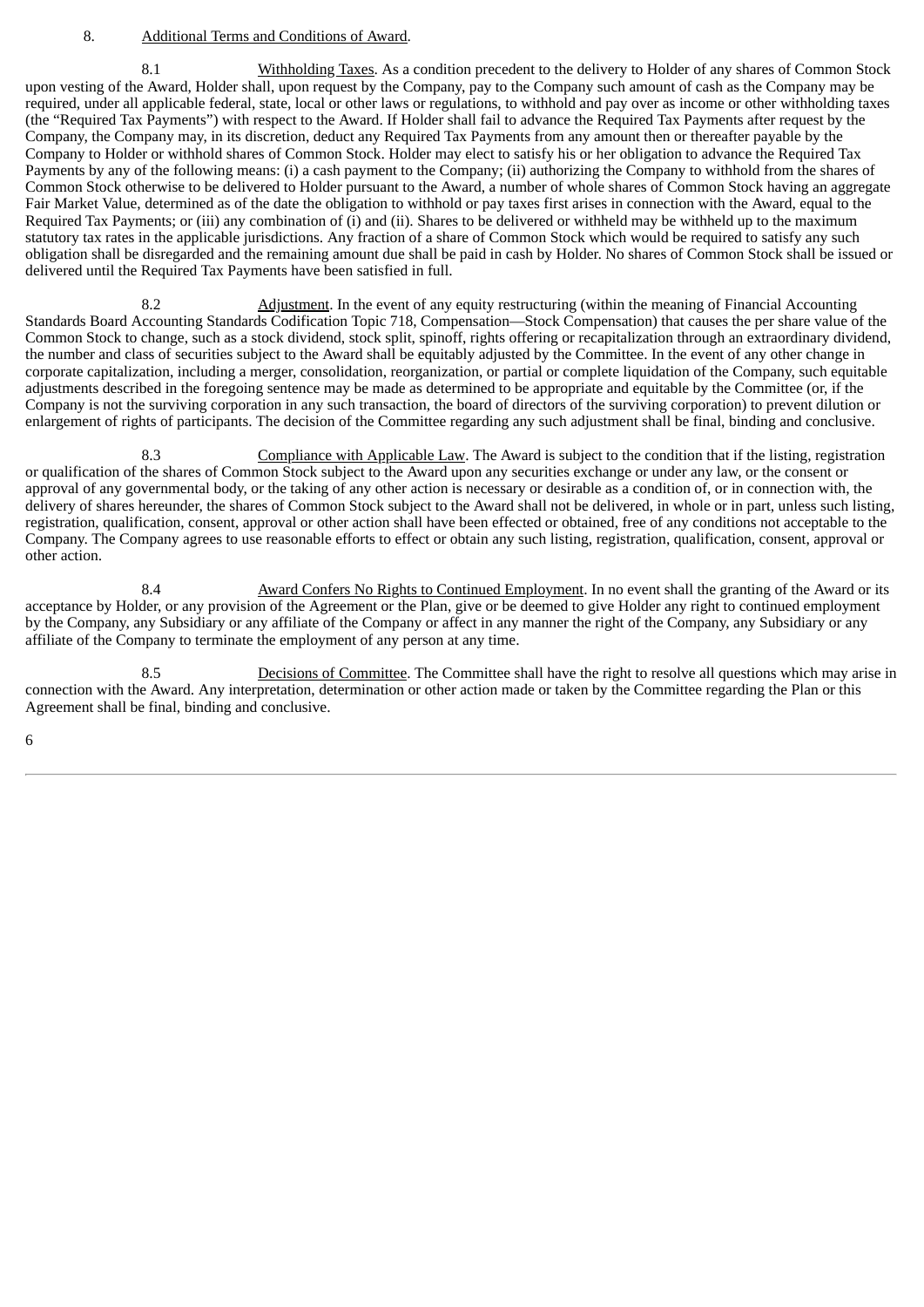#### 8. Additional Terms and Conditions of Award.

8.1 Withholding Taxes. As a condition precedent to the delivery to Holder of any shares of Common Stock upon vesting of the Award, Holder shall, upon request by the Company, pay to the Company such amount of cash as the Company may be required, under all applicable federal, state, local or other laws or regulations, to withhold and pay over as income or other withholding taxes (the "Required Tax Payments") with respect to the Award. If Holder shall fail to advance the Required Tax Payments after request by the Company, the Company may, in its discretion, deduct any Required Tax Payments from any amount then or thereafter payable by the Company to Holder or withhold shares of Common Stock. Holder may elect to satisfy his or her obligation to advance the Required Tax Payments by any of the following means: (i) a cash payment to the Company; (ii) authorizing the Company to withhold from the shares of Common Stock otherwise to be delivered to Holder pursuant to the Award, a number of whole shares of Common Stock having an aggregate Fair Market Value, determined as of the date the obligation to withhold or pay taxes first arises in connection with the Award, equal to the Required Tax Payments; or (iii) any combination of (i) and (ii). Shares to be delivered or withheld may be withheld up to the maximum statutory tax rates in the applicable jurisdictions. Any fraction of a share of Common Stock which would be required to satisfy any such obligation shall be disregarded and the remaining amount due shall be paid in cash by Holder. No shares of Common Stock shall be issued or delivered until the Required Tax Payments have been satisfied in full.

8.2 Adjustment. In the event of any equity restructuring (within the meaning of Financial Accounting Standards Board Accounting Standards Codification Topic 718, Compensation—Stock Compensation) that causes the per share value of the Common Stock to change, such as a stock dividend, stock split, spinoff, rights offering or recapitalization through an extraordinary dividend, the number and class of securities subject to the Award shall be equitably adjusted by the Committee. In the event of any other change in corporate capitalization, including a merger, consolidation, reorganization, or partial or complete liquidation of the Company, such equitable adjustments described in the foregoing sentence may be made as determined to be appropriate and equitable by the Committee (or, if the Company is not the surviving corporation in any such transaction, the board of directors of the surviving corporation) to prevent dilution or enlargement of rights of participants. The decision of the Committee regarding any such adjustment shall be final, binding and conclusive.

8.3 Compliance with Applicable Law. The Award is subject to the condition that if the listing, registration or qualification of the shares of Common Stock subject to the Award upon any securities exchange or under any law, or the consent or approval of any governmental body, or the taking of any other action is necessary or desirable as a condition of, or in connection with, the delivery of shares hereunder, the shares of Common Stock subject to the Award shall not be delivered, in whole or in part, unless such listing, registration, qualification, consent, approval or other action shall have been effected or obtained, free of any conditions not acceptable to the Company. The Company agrees to use reasonable efforts to effect or obtain any such listing, registration, qualification, consent, approval or other action.

8.4 Award Confers No Rights to Continued Employment. In no event shall the granting of the Award or its acceptance by Holder, or any provision of the Agreement or the Plan, give or be deemed to give Holder any right to continued employment by the Company, any Subsidiary or any affiliate of the Company or affect in any manner the right of the Company, any Subsidiary or any affiliate of the Company to terminate the employment of any person at any time.

8.5 Decisions of Committee. The Committee shall have the right to resolve all questions which may arise in connection with the Award. Any interpretation, determination or other action made or taken by the Committee regarding the Plan or this Agreement shall be final, binding and conclusive.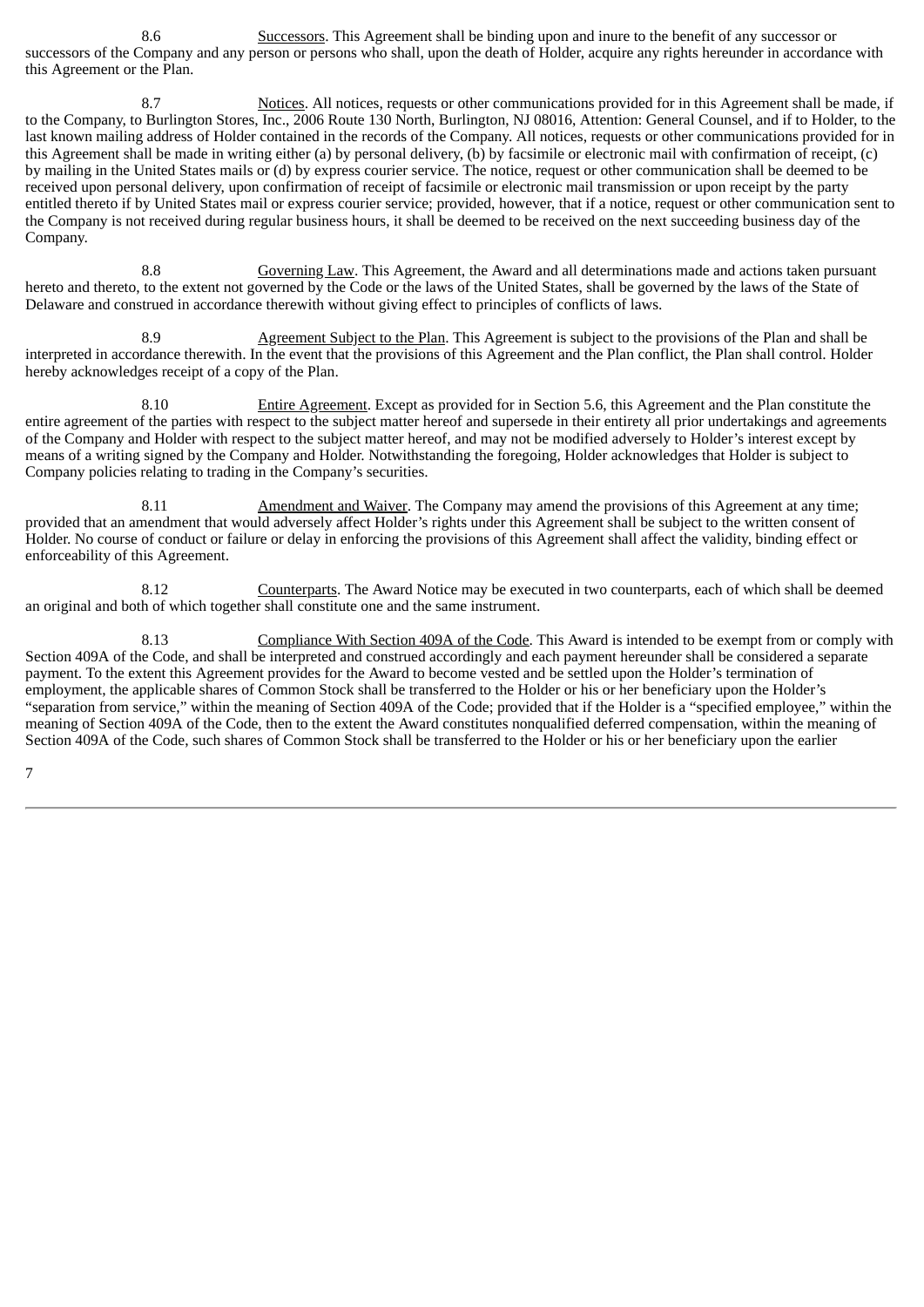8.6 Successors. This Agreement shall be binding upon and inure to the benefit of any successor or successors of the Company and any person or persons who shall, upon the death of Holder, acquire any rights hereunder in accordance with this Agreement or the Plan.

8.7 Notices. All notices, requests or other communications provided for in this Agreement shall be made, if to the Company, to Burlington Stores, Inc., 2006 Route 130 North, Burlington, NJ 08016, Attention: General Counsel, and if to Holder, to the last known mailing address of Holder contained in the records of the Company. All notices, requests or other communications provided for in this Agreement shall be made in writing either (a) by personal delivery, (b) by facsimile or electronic mail with confirmation of receipt, (c) by mailing in the United States mails or (d) by express courier service. The notice, request or other communication shall be deemed to be received upon personal delivery, upon confirmation of receipt of facsimile or electronic mail transmission or upon receipt by the party entitled thereto if by United States mail or express courier service; provided, however, that if a notice, request or other communication sent to the Company is not received during regular business hours, it shall be deemed to be received on the next succeeding business day of the Company.

8.8 Governing Law. This Agreement, the Award and all determinations made and actions taken pursuant hereto and thereto, to the extent not governed by the Code or the laws of the United States, shall be governed by the laws of the State of Delaware and construed in accordance therewith without giving effect to principles of conflicts of laws.

8.9 Agreement Subject to the Plan. This Agreement is subject to the provisions of the Plan and shall be interpreted in accordance therewith. In the event that the provisions of this Agreement and the Plan conflict, the Plan shall control. Holder hereby acknowledges receipt of a copy of the Plan.

8.10 Entire Agreement. Except as provided for in Section 5.6, this Agreement and the Plan constitute the entire agreement of the parties with respect to the subject matter hereof and supersede in their entirety all prior undertakings and agreements of the Company and Holder with respect to the subject matter hereof, and may not be modified adversely to Holder's interest except by means of a writing signed by the Company and Holder. Notwithstanding the foregoing, Holder acknowledges that Holder is subject to Company policies relating to trading in the Company's securities.

8.11 Amendment and Waiver. The Company may amend the provisions of this Agreement at any time; provided that an amendment that would adversely affect Holder's rights under this Agreement shall be subject to the written consent of Holder. No course of conduct or failure or delay in enforcing the provisions of this Agreement shall affect the validity, binding effect or enforceability of this Agreement.

8.12 Counterparts. The Award Notice may be executed in two counterparts, each of which shall be deemed an original and both of which together shall constitute one and the same instrument.

8.13 Compliance With Section 409A of the Code. This Award is intended to be exempt from or comply with Section 409A of the Code, and shall be interpreted and construed accordingly and each payment hereunder shall be considered a separate payment. To the extent this Agreement provides for the Award to become vested and be settled upon the Holder's termination of employment, the applicable shares of Common Stock shall be transferred to the Holder or his or her beneficiary upon the Holder's "separation from service," within the meaning of Section 409A of the Code; provided that if the Holder is a "specified employee," within the meaning of Section 409A of the Code, then to the extent the Award constitutes nonqualified deferred compensation, within the meaning of Section 409A of the Code, such shares of Common Stock shall be transferred to the Holder or his or her beneficiary upon the earlier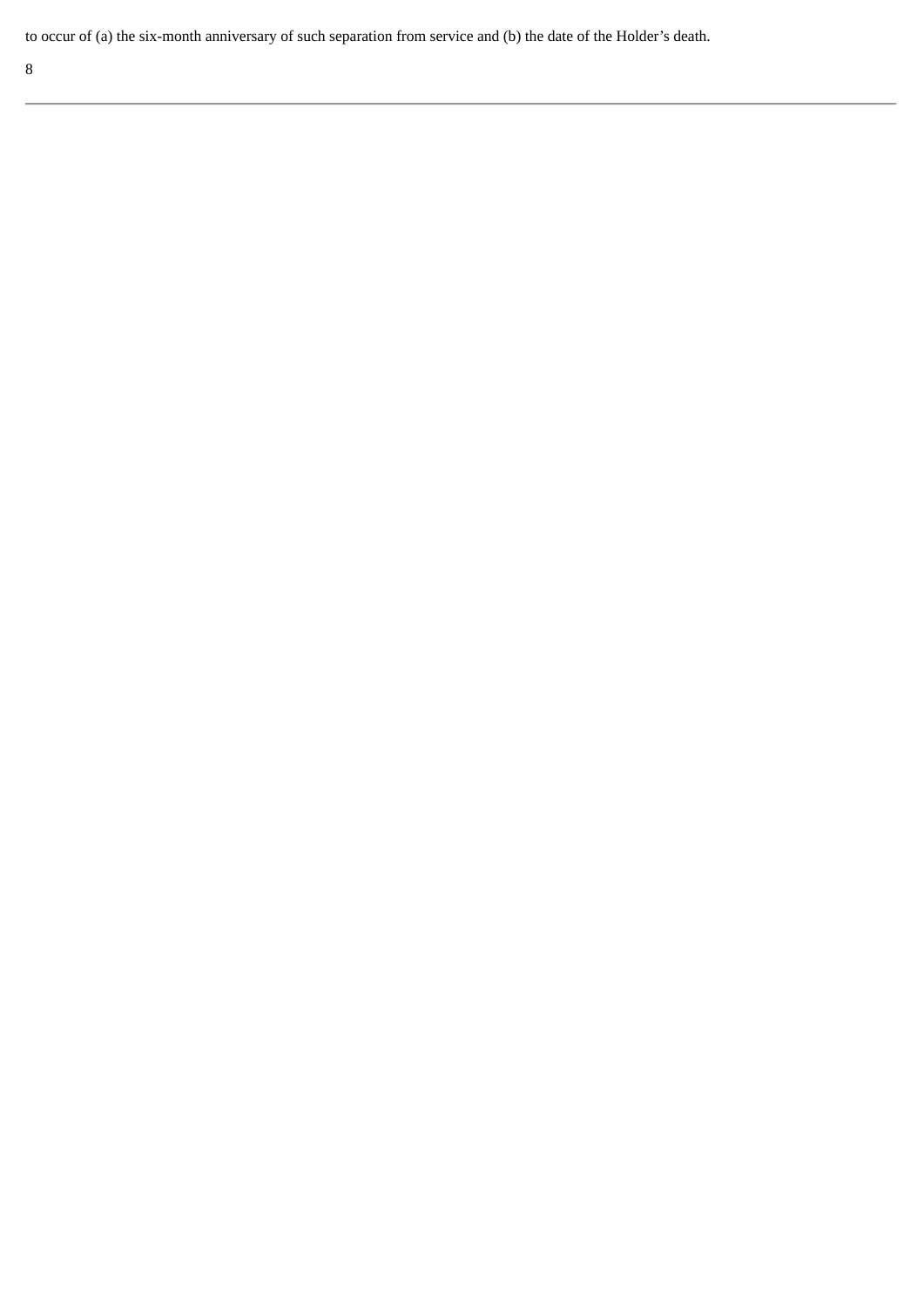to occur of (a) the six-month anniversary of such separation from service and (b) the date of the Holder's death.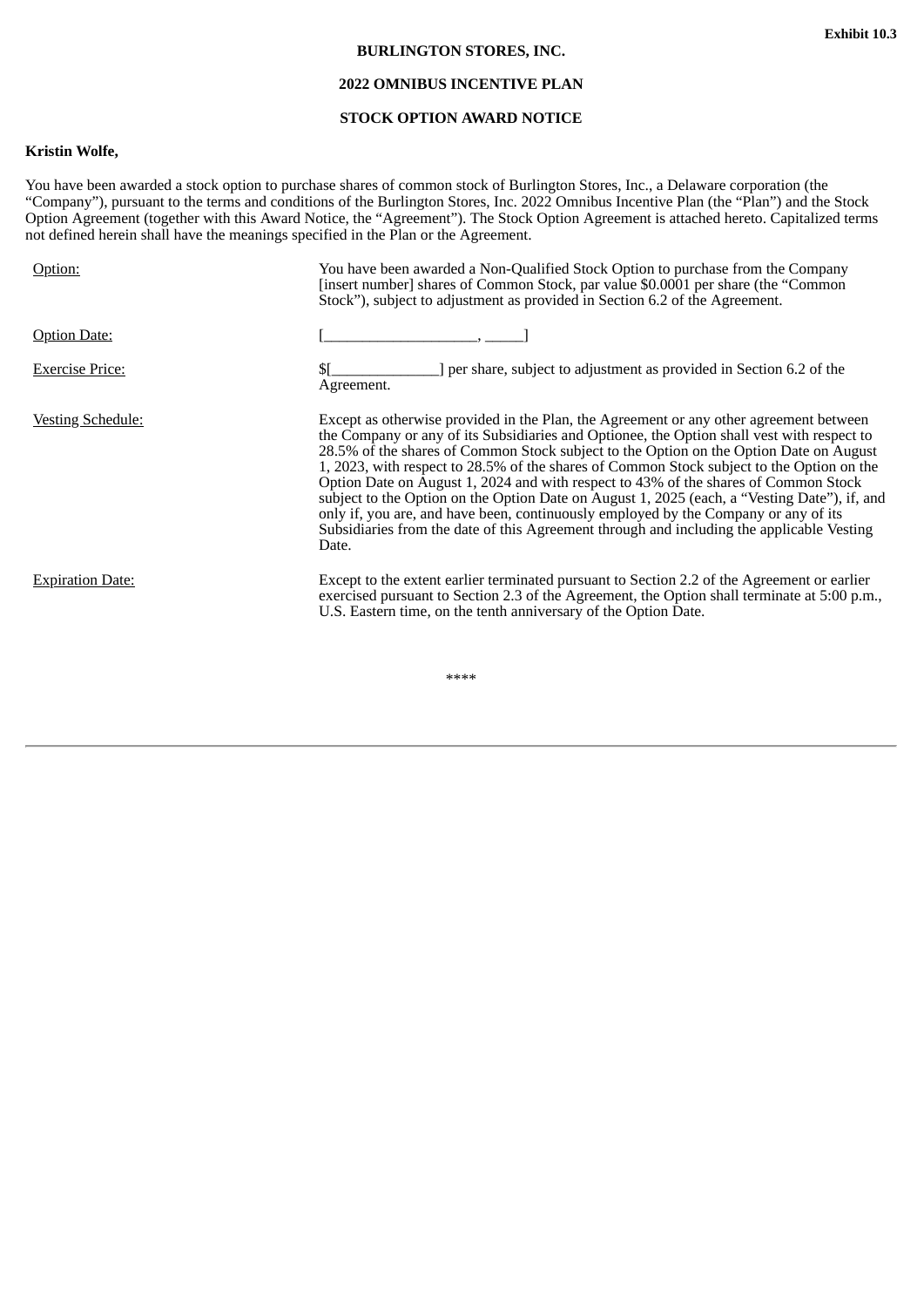#### **BURLINGTON STORES, INC.**

# **2022 OMNIBUS INCENTIVE PLAN**

## **STOCK OPTION AWARD NOTICE**

# <span id="page-33-0"></span>**Kristin Wolfe,**

You have been awarded a stock option to purchase shares of common stock of Burlington Stores, Inc., a Delaware corporation (the "Company"), pursuant to the terms and conditions of the Burlington Stores, Inc. 2022 Omnibus Incentive Plan (the "Plan") and the Stock Option Agreement (together with this Award Notice, the "Agreement"). The Stock Option Agreement is attached hereto. Capitalized terms not defined herein shall have the meanings specified in the Plan or the Agreement.

| Option:                  | You have been awarded a Non-Qualified Stock Option to purchase from the Company<br>[insert number] shares of Common Stock, par value \$0.0001 per share (the "Common<br>Stock"), subject to adjustment as provided in Section 6.2 of the Agreement.                                                                                                                                                                                                                                                                                                                                                                                                                                                                                                             |
|--------------------------|-----------------------------------------------------------------------------------------------------------------------------------------------------------------------------------------------------------------------------------------------------------------------------------------------------------------------------------------------------------------------------------------------------------------------------------------------------------------------------------------------------------------------------------------------------------------------------------------------------------------------------------------------------------------------------------------------------------------------------------------------------------------|
| <b>Option Date:</b>      |                                                                                                                                                                                                                                                                                                                                                                                                                                                                                                                                                                                                                                                                                                                                                                 |
| <b>Exercise Price:</b>   | ] per share, subject to adjustment as provided in Section 6.2 of the<br>Agreement.                                                                                                                                                                                                                                                                                                                                                                                                                                                                                                                                                                                                                                                                              |
| <u>Vesting Schedule:</u> | Except as otherwise provided in the Plan, the Agreement or any other agreement between<br>the Company or any of its Subsidiaries and Optionee, the Option shall vest with respect to<br>28.5% of the shares of Common Stock subject to the Option on the Option Date on August<br>1, 2023, with respect to 28.5% of the shares of Common Stock subject to the Option on the<br>Option Date on August 1, 2024 and with respect to 43% of the shares of Common Stock<br>subject to the Option on the Option Date on August 1, 2025 (each, a "Vesting Date"), if, and<br>only if, you are, and have been, continuously employed by the Company or any of its<br>Subsidiaries from the date of this Agreement through and including the applicable Vesting<br>Date. |
| <b>Expiration Date:</b>  | Except to the extent earlier terminated pursuant to Section 2.2 of the Agreement or earlier<br>exercised pursuant to Section 2.3 of the Agreement, the Option shall terminate at 5:00 p.m.,<br>U.S. Eastern time, on the tenth anniversary of the Option Date.                                                                                                                                                                                                                                                                                                                                                                                                                                                                                                  |

\*\*\*\*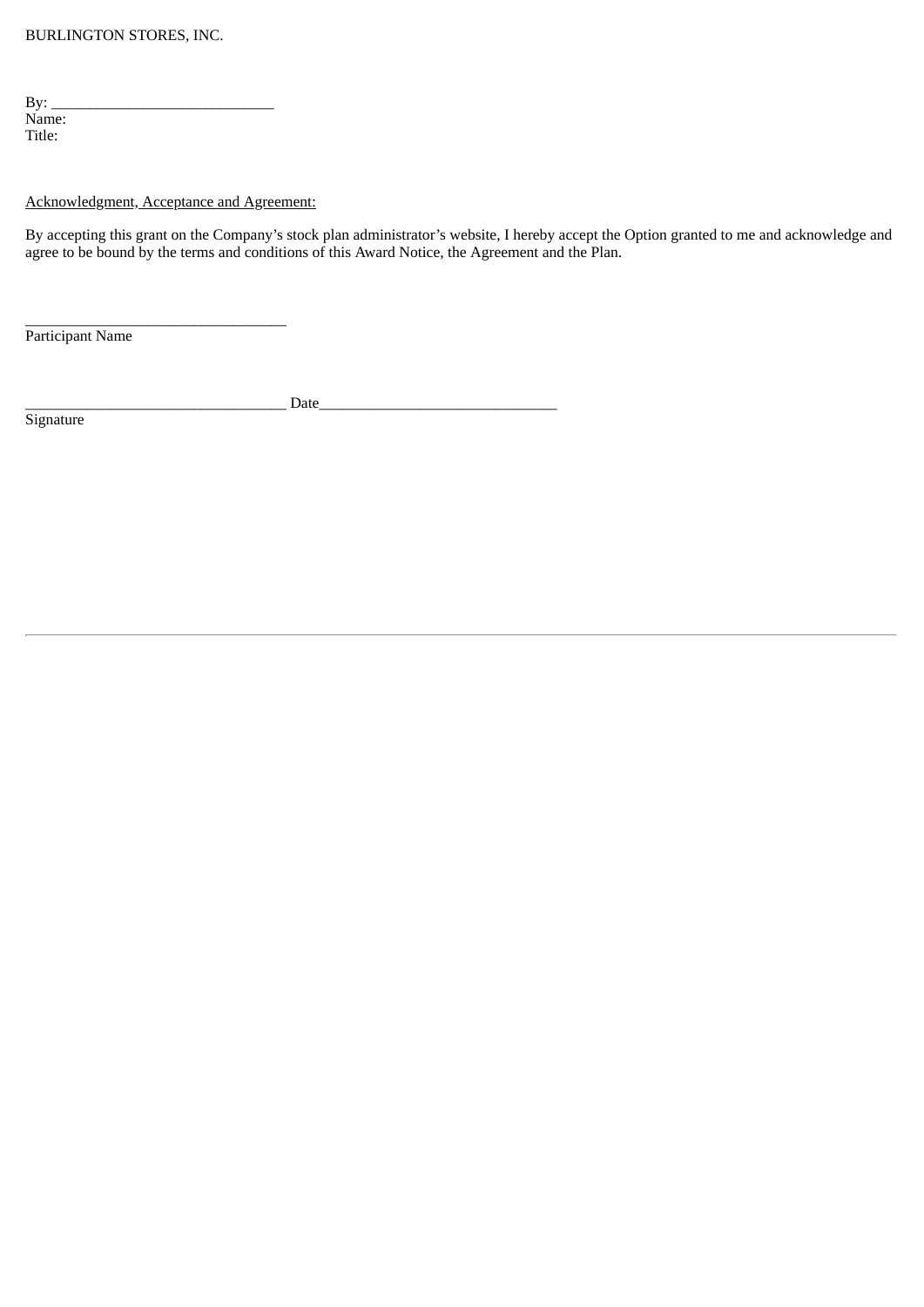| By:    |  |  |
|--------|--|--|
| Name:  |  |  |
| Title: |  |  |

# Acknowledgment, Acceptance and Agreement:

 $\frac{1}{2}$  ,  $\frac{1}{2}$  ,  $\frac{1}{2}$  ,  $\frac{1}{2}$  ,  $\frac{1}{2}$  ,  $\frac{1}{2}$  ,  $\frac{1}{2}$  ,  $\frac{1}{2}$  ,  $\frac{1}{2}$  ,  $\frac{1}{2}$  ,  $\frac{1}{2}$  ,  $\frac{1}{2}$  ,  $\frac{1}{2}$  ,  $\frac{1}{2}$  ,  $\frac{1}{2}$  ,  $\frac{1}{2}$  ,  $\frac{1}{2}$  ,  $\frac{1}{2}$  ,  $\frac{1$ 

By accepting this grant on the Company's stock plan administrator's website, I hereby accept the Option granted to me and acknowledge and agree to be bound by the terms and conditions of this Award Notice, the Agreement and the Plan.

Participant Name

\_\_\_\_\_\_\_\_\_\_\_\_\_\_\_\_\_\_\_\_\_\_\_\_\_\_\_\_\_\_\_\_\_\_ Date\_\_\_\_\_\_\_\_\_\_\_\_\_\_\_\_\_\_\_\_\_\_\_\_\_\_\_\_\_\_\_

**Signature**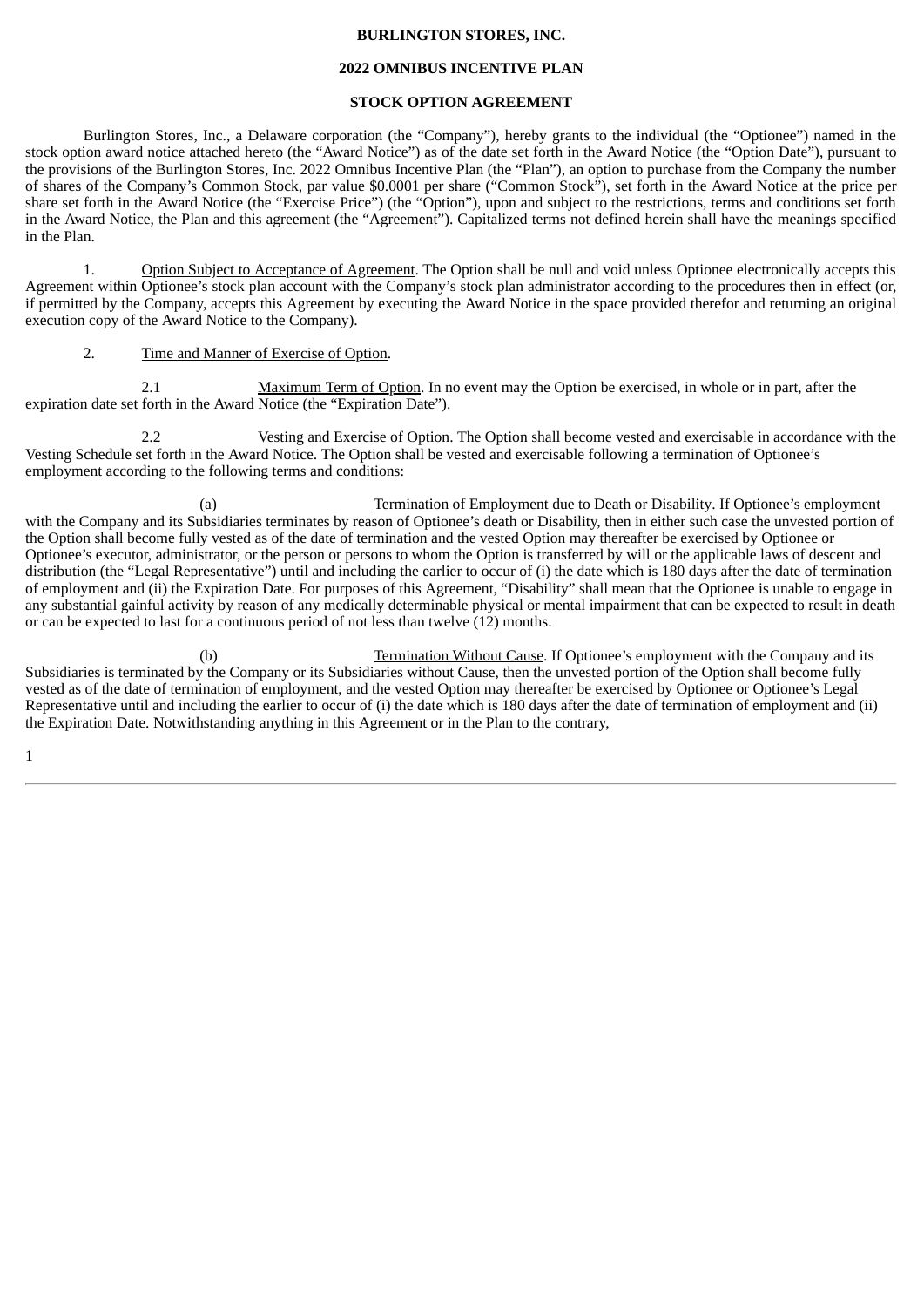#### **BURLINGTON STORES, INC.**

#### **2022 OMNIBUS INCENTIVE PLAN**

#### **STOCK OPTION AGREEMENT**

Burlington Stores, Inc., a Delaware corporation (the "Company"), hereby grants to the individual (the "Optionee") named in the stock option award notice attached hereto (the "Award Notice") as of the date set forth in the Award Notice (the "Option Date"), pursuant to the provisions of the Burlington Stores, Inc. 2022 Omnibus Incentive Plan (the "Plan"), an option to purchase from the Company the number of shares of the Company's Common Stock, par value \$0.0001 per share ("Common Stock"), set forth in the Award Notice at the price per share set forth in the Award Notice (the "Exercise Price") (the "Option"), upon and subject to the restrictions, terms and conditions set forth in the Award Notice, the Plan and this agreement (the "Agreement"). Capitalized terms not defined herein shall have the meanings specified in the Plan.

1. Option Subject to Acceptance of Agreement. The Option shall be null and void unless Optionee electronically accepts this Agreement within Optionee's stock plan account with the Company's stock plan administrator according to the procedures then in effect (or, if permitted by the Company, accepts this Agreement by executing the Award Notice in the space provided therefor and returning an original execution copy of the Award Notice to the Company).

#### 2. Time and Manner of Exercise of Option.

2.1 Maximum Term of Option. In no event may the Option be exercised, in whole or in part, after the expiration date set forth in the Award Notice (the "Expiration Date").

2.2 Vesting and Exercise of Option. The Option shall become vested and exercisable in accordance with the Vesting Schedule set forth in the Award Notice. The Option shall be vested and exercisable following a termination of Optionee's employment according to the following terms and conditions:

(a) Termination of Employment due to Death or Disability. If Optionee's employment with the Company and its Subsidiaries terminates by reason of Optionee's death or Disability, then in either such case the unvested portion of the Option shall become fully vested as of the date of termination and the vested Option may thereafter be exercised by Optionee or Optionee's executor, administrator, or the person or persons to whom the Option is transferred by will or the applicable laws of descent and distribution (the "Legal Representative") until and including the earlier to occur of (i) the date which is 180 days after the date of termination of employment and (ii) the Expiration Date. For purposes of this Agreement, "Disability" shall mean that the Optionee is unable to engage in any substantial gainful activity by reason of any medically determinable physical or mental impairment that can be expected to result in death or can be expected to last for a continuous period of not less than twelve (12) months.

(b) Termination Without Cause. If Optionee's employment with the Company and its Subsidiaries is terminated by the Company or its Subsidiaries without Cause, then the unvested portion of the Option shall become fully vested as of the date of termination of employment, and the vested Option may thereafter be exercised by Optionee or Optionee's Legal Representative until and including the earlier to occur of (i) the date which is 180 days after the date of termination of employment and (ii) the Expiration Date. Notwithstanding anything in this Agreement or in the Plan to the contrary,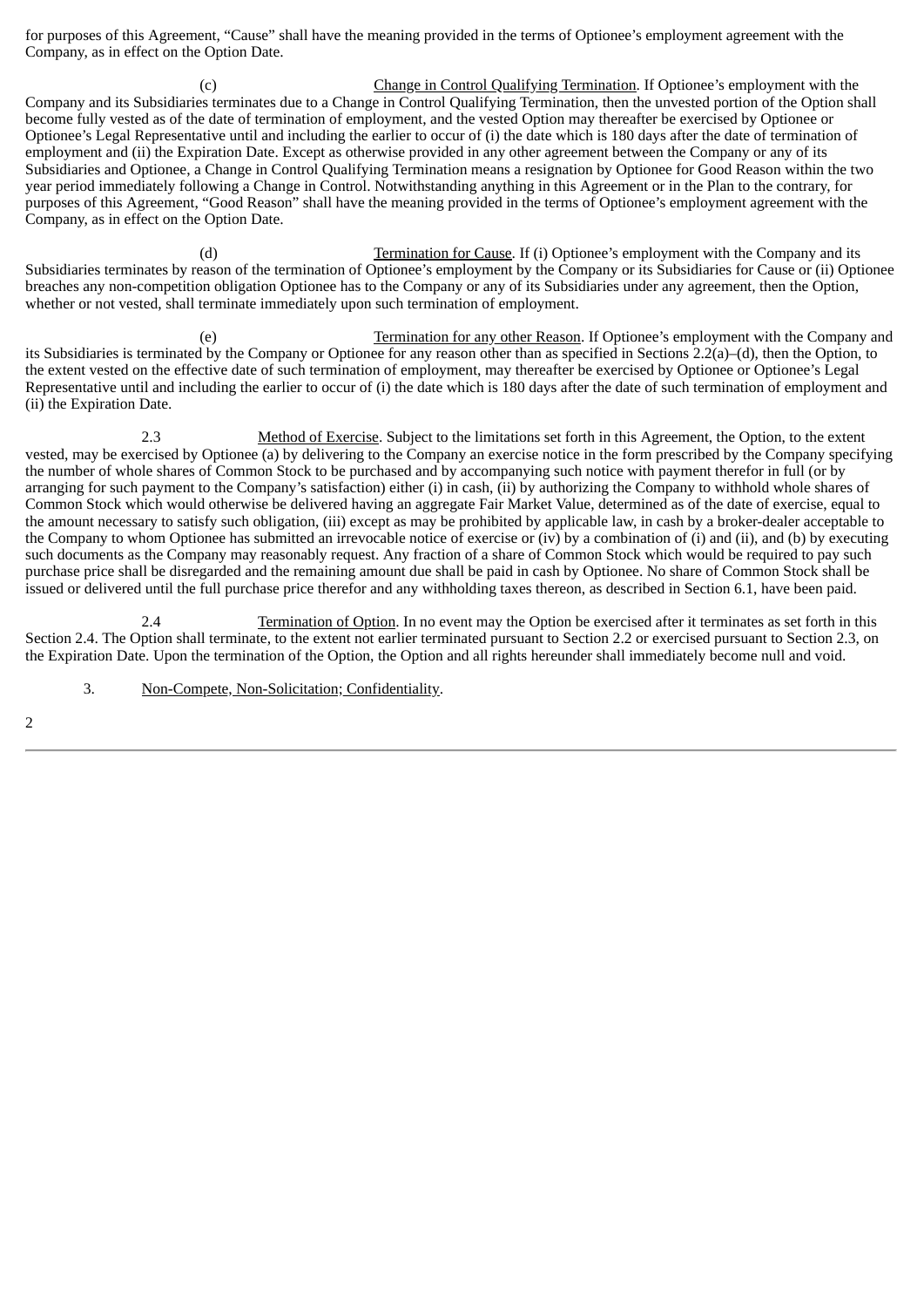for purposes of this Agreement, "Cause" shall have the meaning provided in the terms of Optionee's employment agreement with the Company, as in effect on the Option Date.

(c) Change in Control Qualifying Termination. If Optionee's employment with the Company and its Subsidiaries terminates due to a Change in Control Qualifying Termination, then the unvested portion of the Option shall become fully vested as of the date of termination of employment, and the vested Option may thereafter be exercised by Optionee or Optionee's Legal Representative until and including the earlier to occur of (i) the date which is 180 days after the date of termination of employment and (ii) the Expiration Date. Except as otherwise provided in any other agreement between the Company or any of its Subsidiaries and Optionee, a Change in Control Qualifying Termination means a resignation by Optionee for Good Reason within the two year period immediately following a Change in Control. Notwithstanding anything in this Agreement or in the Plan to the contrary, for purposes of this Agreement, "Good Reason" shall have the meaning provided in the terms of Optionee's employment agreement with the Company, as in effect on the Option Date.

(d) Termination for Cause. If (i) Optionee's employment with the Company and its Subsidiaries terminates by reason of the termination of Optionee's employment by the Company or its Subsidiaries for Cause or (ii) Optionee breaches any non-competition obligation Optionee has to the Company or any of its Subsidiaries under any agreement, then the Option, whether or not vested, shall terminate immediately upon such termination of employment.

(e) Termination for any other Reason. If Optionee's employment with the Company and its Subsidiaries is terminated by the Company or Optionee for any reason other than as specified in Sections 2.2(a)–(d), then the Option, to the extent vested on the effective date of such termination of employment, may thereafter be exercised by Optionee or Optionee's Legal Representative until and including the earlier to occur of (i) the date which is 180 days after the date of such termination of employment and (ii) the Expiration Date.

2.3 Method of Exercise. Subject to the limitations set forth in this Agreement, the Option, to the extent vested, may be exercised by Optionee (a) by delivering to the Company an exercise notice in the form prescribed by the Company specifying the number of whole shares of Common Stock to be purchased and by accompanying such notice with payment therefor in full (or by arranging for such payment to the Company's satisfaction) either (i) in cash, (ii) by authorizing the Company to withhold whole shares of Common Stock which would otherwise be delivered having an aggregate Fair Market Value, determined as of the date of exercise, equal to the amount necessary to satisfy such obligation, (iii) except as may be prohibited by applicable law, in cash by a broker-dealer acceptable to the Company to whom Optionee has submitted an irrevocable notice of exercise or (iv) by a combination of (i) and (ii), and (b) by executing such documents as the Company may reasonably request. Any fraction of a share of Common Stock which would be required to pay such purchase price shall be disregarded and the remaining amount due shall be paid in cash by Optionee. No share of Common Stock shall be issued or delivered until the full purchase price therefor and any withholding taxes thereon, as described in Section 6.1, have been paid.

2.4 Termination of Option. In no event may the Option be exercised after it terminates as set forth in this Section 2.4. The Option shall terminate, to the extent not earlier terminated pursuant to Section 2.2 or exercised pursuant to Section 2.3, on the Expiration Date. Upon the termination of the Option, the Option and all rights hereunder shall immediately become null and void.

3. Non-Compete, Non-Solicitation; Confidentiality.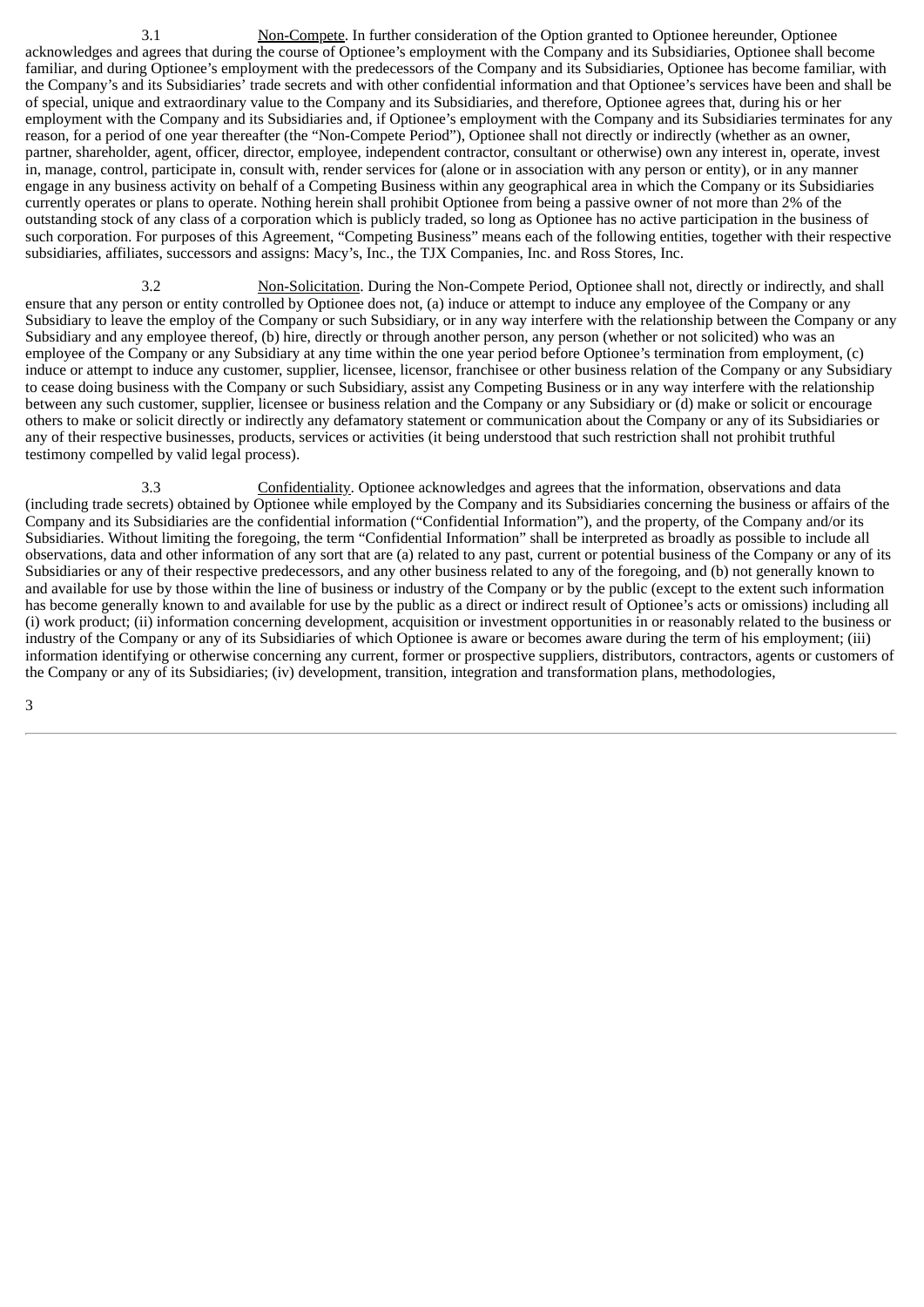3.1 Non-Compete. In further consideration of the Option granted to Optionee hereunder, Optionee acknowledges and agrees that during the course of Optionee's employment with the Company and its Subsidiaries, Optionee shall become familiar, and during Optionee's employment with the predecessors of the Company and its Subsidiaries, Optionee has become familiar, with the Company's and its Subsidiaries' trade secrets and with other confidential information and that Optionee's services have been and shall be of special, unique and extraordinary value to the Company and its Subsidiaries, and therefore, Optionee agrees that, during his or her employment with the Company and its Subsidiaries and, if Optionee's employment with the Company and its Subsidiaries terminates for any reason, for a period of one year thereafter (the "Non-Compete Period"), Optionee shall not directly or indirectly (whether as an owner, partner, shareholder, agent, officer, director, employee, independent contractor, consultant or otherwise) own any interest in, operate, invest in, manage, control, participate in, consult with, render services for (alone or in association with any person or entity), or in any manner engage in any business activity on behalf of a Competing Business within any geographical area in which the Company or its Subsidiaries currently operates or plans to operate. Nothing herein shall prohibit Optionee from being a passive owner of not more than 2% of the outstanding stock of any class of a corporation which is publicly traded, so long as Optionee has no active participation in the business of such corporation. For purposes of this Agreement, "Competing Business" means each of the following entities, together with their respective subsidiaries, affiliates, successors and assigns: Macy's, Inc., the TJX Companies, Inc. and Ross Stores, Inc.

3.2 Non-Solicitation. During the Non-Compete Period, Optionee shall not, directly or indirectly, and shall ensure that any person or entity controlled by Optionee does not, (a) induce or attempt to induce any employee of the Company or any Subsidiary to leave the employ of the Company or such Subsidiary, or in any way interfere with the relationship between the Company or any Subsidiary and any employee thereof, (b) hire, directly or through another person, any person (whether or not solicited) who was an employee of the Company or any Subsidiary at any time within the one year period before Optionee's termination from employment, (c) induce or attempt to induce any customer, supplier, licensee, licensor, franchisee or other business relation of the Company or any Subsidiary to cease doing business with the Company or such Subsidiary, assist any Competing Business or in any way interfere with the relationship between any such customer, supplier, licensee or business relation and the Company or any Subsidiary or (d) make or solicit or encourage others to make or solicit directly or indirectly any defamatory statement or communication about the Company or any of its Subsidiaries or any of their respective businesses, products, services or activities (it being understood that such restriction shall not prohibit truthful testimony compelled by valid legal process).

3.3 Confidentiality. Optionee acknowledges and agrees that the information, observations and data (including trade secrets) obtained by Optionee while employed by the Company and its Subsidiaries concerning the business or affairs of the Company and its Subsidiaries are the confidential information ("Confidential Information"), and the property, of the Company and/or its Subsidiaries. Without limiting the foregoing, the term "Confidential Information" shall be interpreted as broadly as possible to include all observations, data and other information of any sort that are (a) related to any past, current or potential business of the Company or any of its Subsidiaries or any of their respective predecessors, and any other business related to any of the foregoing, and (b) not generally known to and available for use by those within the line of business or industry of the Company or by the public (except to the extent such information has become generally known to and available for use by the public as a direct or indirect result of Optionee's acts or omissions) including all (i) work product; (ii) information concerning development, acquisition or investment opportunities in or reasonably related to the business or industry of the Company or any of its Subsidiaries of which Optionee is aware or becomes aware during the term of his employment; (iii) information identifying or otherwise concerning any current, former or prospective suppliers, distributors, contractors, agents or customers of the Company or any of its Subsidiaries; (iv) development, transition, integration and transformation plans, methodologies,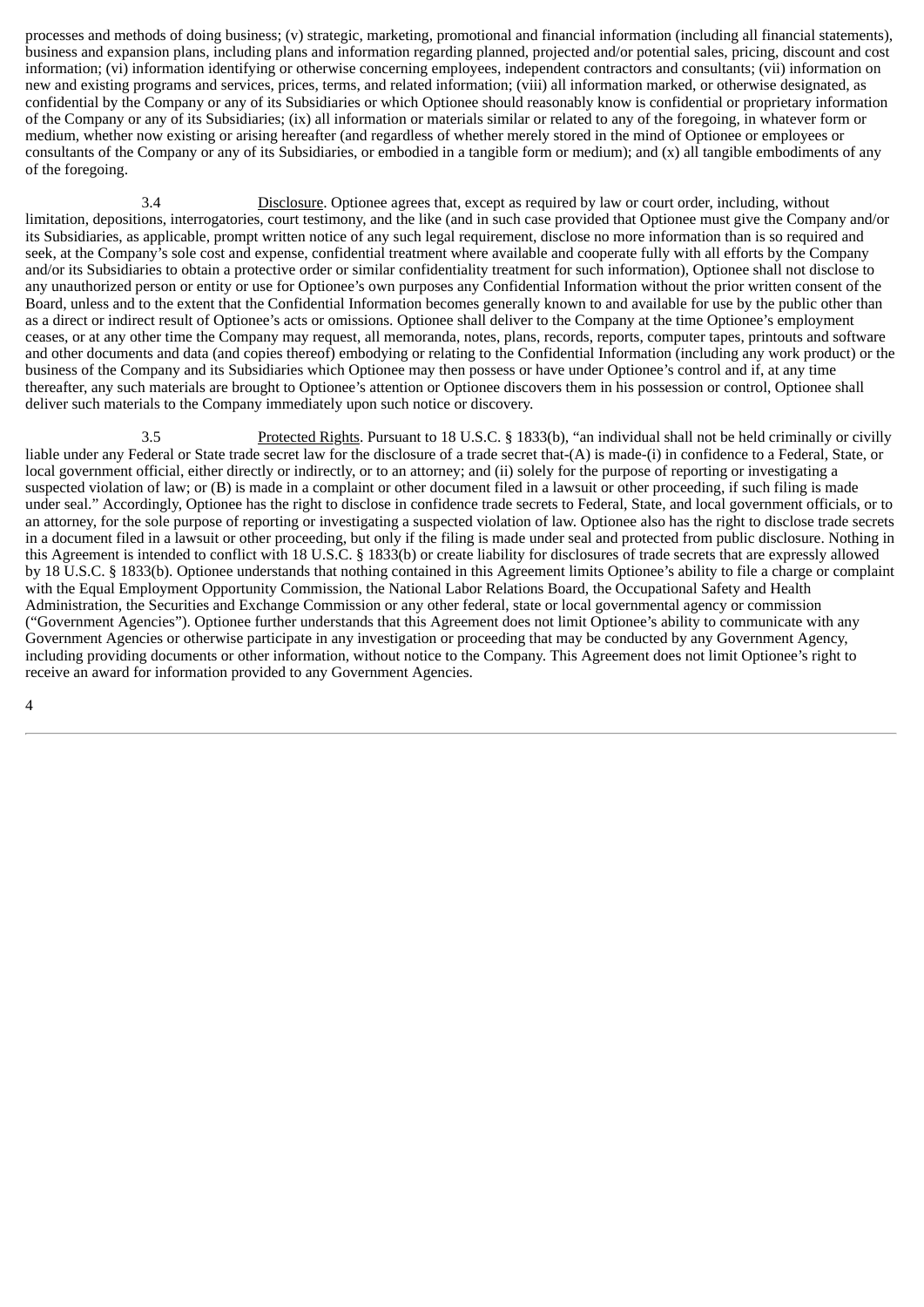processes and methods of doing business; (v) strategic, marketing, promotional and financial information (including all financial statements), business and expansion plans, including plans and information regarding planned, projected and/or potential sales, pricing, discount and cost information; (vi) information identifying or otherwise concerning employees, independent contractors and consultants; (vii) information on new and existing programs and services, prices, terms, and related information; (viii) all information marked, or otherwise designated, as confidential by the Company or any of its Subsidiaries or which Optionee should reasonably know is confidential or proprietary information of the Company or any of its Subsidiaries; (ix) all information or materials similar or related to any of the foregoing, in whatever form or medium, whether now existing or arising hereafter (and regardless of whether merely stored in the mind of Optionee or employees or consultants of the Company or any of its Subsidiaries, or embodied in a tangible form or medium); and (x) all tangible embodiments of any of the foregoing.

3.4 Disclosure. Optionee agrees that, except as required by law or court order, including, without limitation, depositions, interrogatories, court testimony, and the like (and in such case provided that Optionee must give the Company and/or its Subsidiaries, as applicable, prompt written notice of any such legal requirement, disclose no more information than is so required and seek, at the Company's sole cost and expense, confidential treatment where available and cooperate fully with all efforts by the Company and/or its Subsidiaries to obtain a protective order or similar confidentiality treatment for such information), Optionee shall not disclose to any unauthorized person or entity or use for Optionee's own purposes any Confidential Information without the prior written consent of the Board, unless and to the extent that the Confidential Information becomes generally known to and available for use by the public other than as a direct or indirect result of Optionee's acts or omissions. Optionee shall deliver to the Company at the time Optionee's employment ceases, or at any other time the Company may request, all memoranda, notes, plans, records, reports, computer tapes, printouts and software and other documents and data (and copies thereof) embodying or relating to the Confidential Information (including any work product) or the business of the Company and its Subsidiaries which Optionee may then possess or have under Optionee's control and if, at any time thereafter, any such materials are brought to Optionee's attention or Optionee discovers them in his possession or control, Optionee shall deliver such materials to the Company immediately upon such notice or discovery.

3.5 Protected Rights. Pursuant to 18 U.S.C. § 1833(b), "an individual shall not be held criminally or civilly liable under any Federal or State trade secret law for the disclosure of a trade secret that-(A) is made-(i) in confidence to a Federal, State, or local government official, either directly or indirectly, or to an attorney; and (ii) solely for the purpose of reporting or investigating a suspected violation of law; or (B) is made in a complaint or other document filed in a lawsuit or other proceeding, if such filing is made under seal." Accordingly, Optionee has the right to disclose in confidence trade secrets to Federal, State, and local government officials, or to an attorney, for the sole purpose of reporting or investigating a suspected violation of law. Optionee also has the right to disclose trade secrets in a document filed in a lawsuit or other proceeding, but only if the filing is made under seal and protected from public disclosure. Nothing in this Agreement is intended to conflict with 18 U.S.C. § 1833(b) or create liability for disclosures of trade secrets that are expressly allowed by 18 U.S.C. § 1833(b). Optionee understands that nothing contained in this Agreement limits Optionee's ability to file a charge or complaint with the Equal Employment Opportunity Commission, the National Labor Relations Board, the Occupational Safety and Health Administration, the Securities and Exchange Commission or any other federal, state or local governmental agency or commission ("Government Agencies"). Optionee further understands that this Agreement does not limit Optionee's ability to communicate with any Government Agencies or otherwise participate in any investigation or proceeding that may be conducted by any Government Agency, including providing documents or other information, without notice to the Company. This Agreement does not limit Optionee's right to receive an award for information provided to any Government Agencies.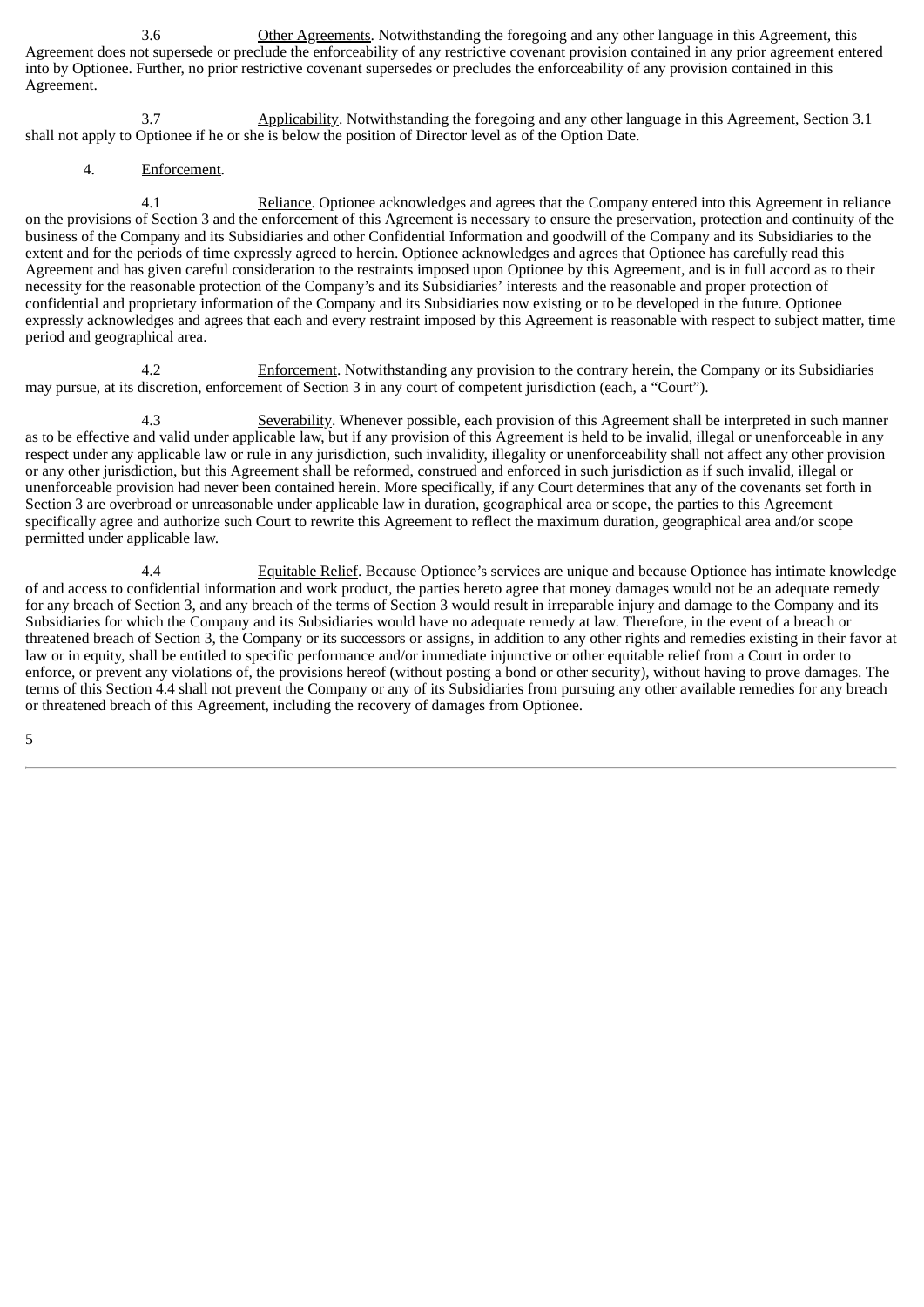3.6 Other Agreements. Notwithstanding the foregoing and any other language in this Agreement, this Agreement does not supersede or preclude the enforceability of any restrictive covenant provision contained in any prior agreement entered into by Optionee. Further, no prior restrictive covenant supersedes or precludes the enforceability of any provision contained in this Agreement.

3.7 Applicability. Notwithstanding the foregoing and any other language in this Agreement, Section 3.1 shall not apply to Optionee if he or she is below the position of Director level as of the Option Date.

4. Enforcement.

4.1 Reliance. Optionee acknowledges and agrees that the Company entered into this Agreement in reliance on the provisions of Section 3 and the enforcement of this Agreement is necessary to ensure the preservation, protection and continuity of the business of the Company and its Subsidiaries and other Confidential Information and goodwill of the Company and its Subsidiaries to the extent and for the periods of time expressly agreed to herein. Optionee acknowledges and agrees that Optionee has carefully read this Agreement and has given careful consideration to the restraints imposed upon Optionee by this Agreement, and is in full accord as to their necessity for the reasonable protection of the Company's and its Subsidiaries' interests and the reasonable and proper protection of confidential and proprietary information of the Company and its Subsidiaries now existing or to be developed in the future. Optionee expressly acknowledges and agrees that each and every restraint imposed by this Agreement is reasonable with respect to subject matter, time period and geographical area.

4.2 Enforcement. Notwithstanding any provision to the contrary herein, the Company or its Subsidiaries may pursue, at its discretion, enforcement of Section 3 in any court of competent jurisdiction (each, a "Court").

4.3 Severability. Whenever possible, each provision of this Agreement shall be interpreted in such manner as to be effective and valid under applicable law, but if any provision of this Agreement is held to be invalid, illegal or unenforceable in any respect under any applicable law or rule in any jurisdiction, such invalidity, illegality or unenforceability shall not affect any other provision or any other jurisdiction, but this Agreement shall be reformed, construed and enforced in such jurisdiction as if such invalid, illegal or unenforceable provision had never been contained herein. More specifically, if any Court determines that any of the covenants set forth in Section 3 are overbroad or unreasonable under applicable law in duration, geographical area or scope, the parties to this Agreement specifically agree and authorize such Court to rewrite this Agreement to reflect the maximum duration, geographical area and/or scope permitted under applicable law.

4.4 Equitable Relief. Because Optionee's services are unique and because Optionee has intimate knowledge of and access to confidential information and work product, the parties hereto agree that money damages would not be an adequate remedy for any breach of Section 3, and any breach of the terms of Section 3 would result in irreparable injury and damage to the Company and its Subsidiaries for which the Company and its Subsidiaries would have no adequate remedy at law. Therefore, in the event of a breach or threatened breach of Section 3, the Company or its successors or assigns, in addition to any other rights and remedies existing in their favor at law or in equity, shall be entitled to specific performance and/or immediate injunctive or other equitable relief from a Court in order to enforce, or prevent any violations of, the provisions hereof (without posting a bond or other security), without having to prove damages. The terms of this Section 4.4 shall not prevent the Company or any of its Subsidiaries from pursuing any other available remedies for any breach or threatened breach of this Agreement, including the recovery of damages from Optionee.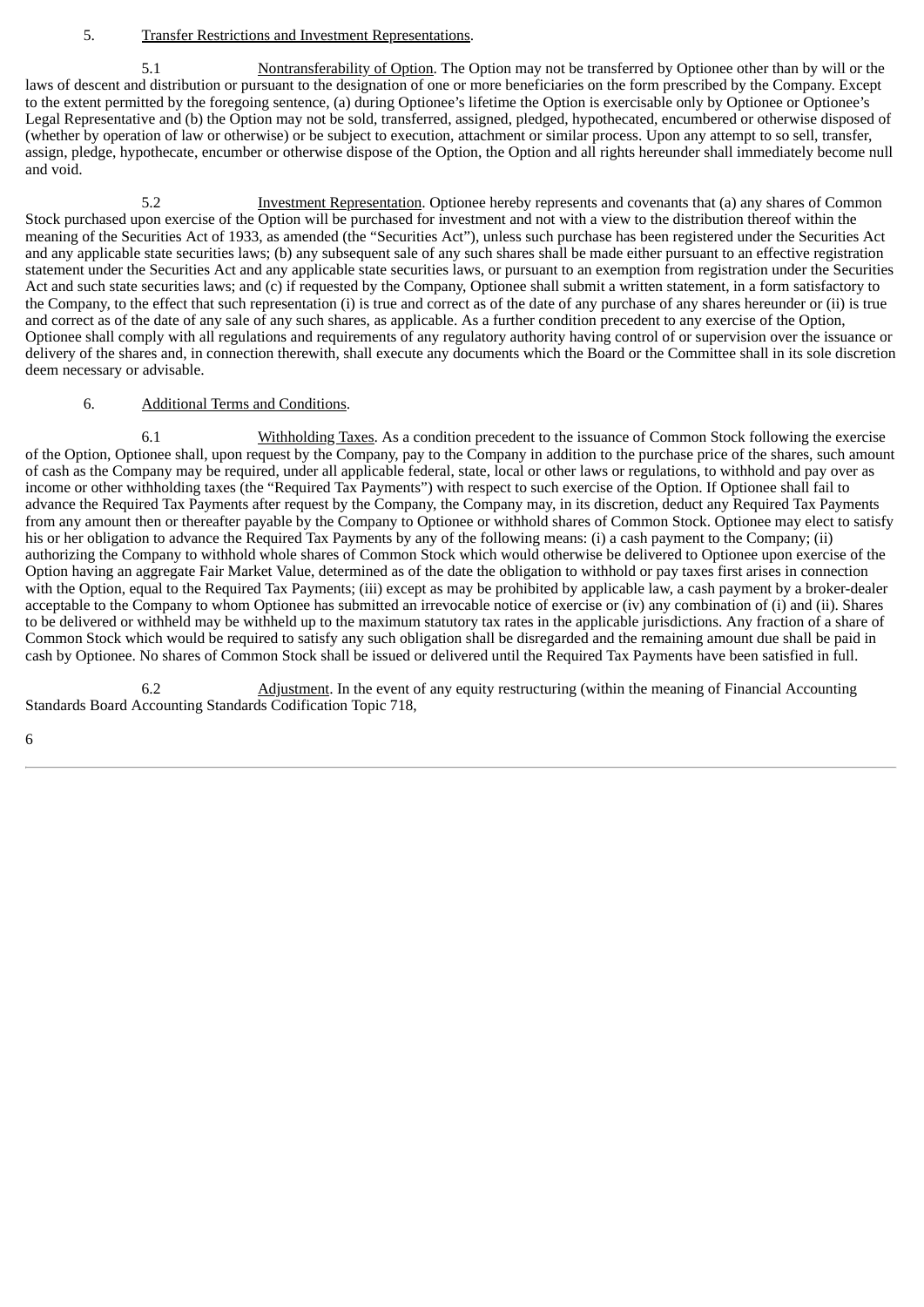# 5. Transfer Restrictions and Investment Representations.

5.1 Nontransferability of Option. The Option may not be transferred by Optionee other than by will or the laws of descent and distribution or pursuant to the designation of one or more beneficiaries on the form prescribed by the Company. Except to the extent permitted by the foregoing sentence, (a) during Optionee's lifetime the Option is exercisable only by Optionee or Optionee's Legal Representative and (b) the Option may not be sold, transferred, assigned, pledged, hypothecated, encumbered or otherwise disposed of (whether by operation of law or otherwise) or be subject to execution, attachment or similar process. Upon any attempt to so sell, transfer, assign, pledge, hypothecate, encumber or otherwise dispose of the Option, the Option and all rights hereunder shall immediately become null and void.

5.2 **Investment Representation**. Optionee hereby represents and covenants that (a) any shares of Common Stock purchased upon exercise of the Option will be purchased for investment and not with a view to the distribution thereof within the meaning of the Securities Act of 1933, as amended (the "Securities Act"), unless such purchase has been registered under the Securities Act and any applicable state securities laws; (b) any subsequent sale of any such shares shall be made either pursuant to an effective registration statement under the Securities Act and any applicable state securities laws, or pursuant to an exemption from registration under the Securities Act and such state securities laws; and (c) if requested by the Company, Optionee shall submit a written statement, in a form satisfactory to the Company, to the effect that such representation (i) is true and correct as of the date of any purchase of any shares hereunder or (ii) is true and correct as of the date of any sale of any such shares, as applicable. As a further condition precedent to any exercise of the Option, Optionee shall comply with all regulations and requirements of any regulatory authority having control of or supervision over the issuance or delivery of the shares and, in connection therewith, shall execute any documents which the Board or the Committee shall in its sole discretion deem necessary or advisable.

#### 6. Additional Terms and Conditions.

6.1 Withholding Taxes. As a condition precedent to the issuance of Common Stock following the exercise of the Option, Optionee shall, upon request by the Company, pay to the Company in addition to the purchase price of the shares, such amount of cash as the Company may be required, under all applicable federal, state, local or other laws or regulations, to withhold and pay over as income or other withholding taxes (the "Required Tax Payments") with respect to such exercise of the Option. If Optionee shall fail to advance the Required Tax Payments after request by the Company, the Company may, in its discretion, deduct any Required Tax Payments from any amount then or thereafter payable by the Company to Optionee or withhold shares of Common Stock. Optionee may elect to satisfy his or her obligation to advance the Required Tax Payments by any of the following means: (i) a cash payment to the Company; (ii) authorizing the Company to withhold whole shares of Common Stock which would otherwise be delivered to Optionee upon exercise of the Option having an aggregate Fair Market Value, determined as of the date the obligation to withhold or pay taxes first arises in connection with the Option, equal to the Required Tax Payments; (iii) except as may be prohibited by applicable law, a cash payment by a broker-dealer acceptable to the Company to whom Optionee has submitted an irrevocable notice of exercise or (iv) any combination of (i) and (ii). Shares to be delivered or withheld may be withheld up to the maximum statutory tax rates in the applicable jurisdictions. Any fraction of a share of Common Stock which would be required to satisfy any such obligation shall be disregarded and the remaining amount due shall be paid in cash by Optionee. No shares of Common Stock shall be issued or delivered until the Required Tax Payments have been satisfied in full.

6.2 Adjustment. In the event of any equity restructuring (within the meaning of Financial Accounting Standards Board Accounting Standards Codification Topic 718,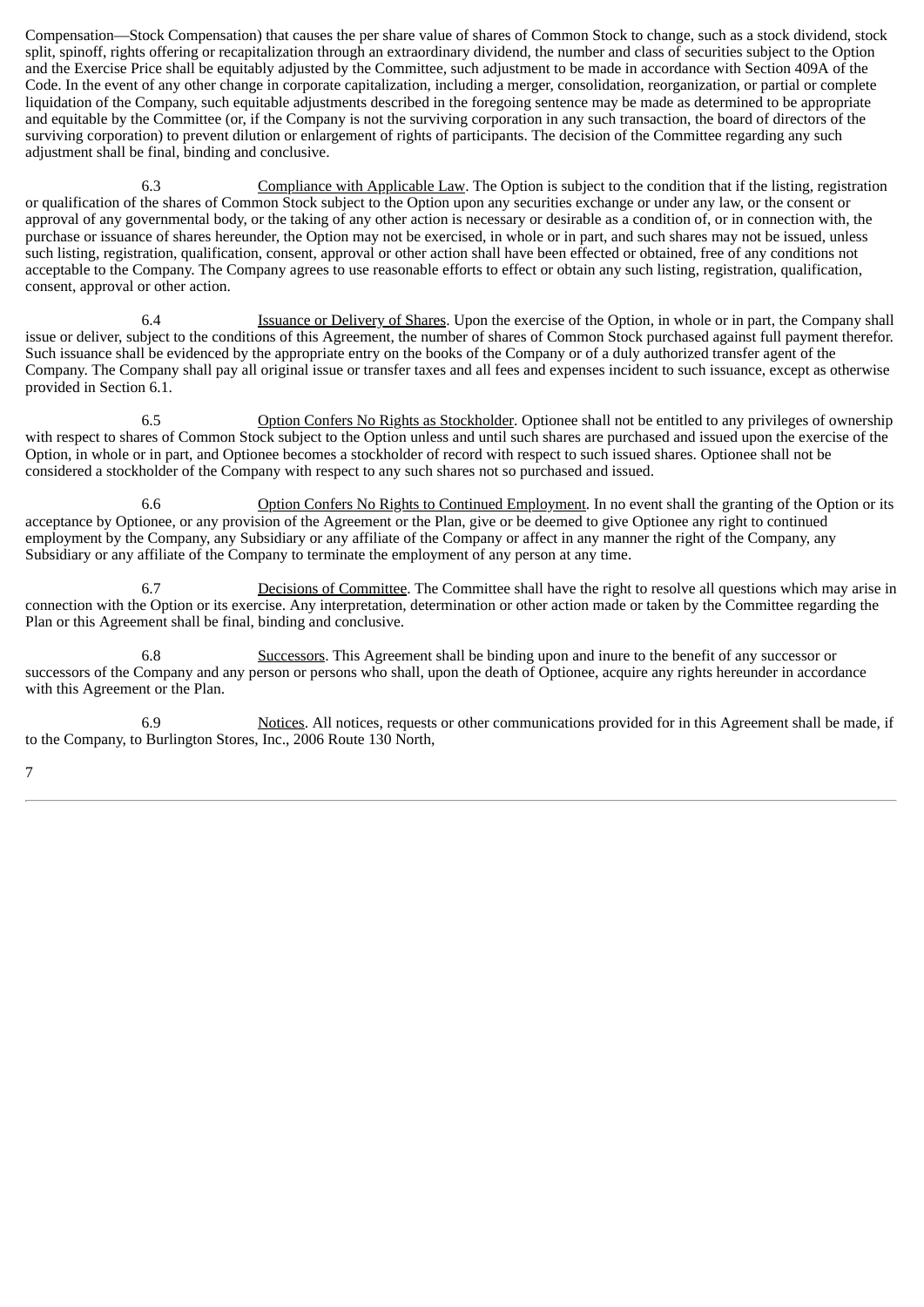Compensation—Stock Compensation) that causes the per share value of shares of Common Stock to change, such as a stock dividend, stock split, spinoff, rights offering or recapitalization through an extraordinary dividend, the number and class of securities subject to the Option and the Exercise Price shall be equitably adjusted by the Committee, such adjustment to be made in accordance with Section 409A of the Code. In the event of any other change in corporate capitalization, including a merger, consolidation, reorganization, or partial or complete liquidation of the Company, such equitable adjustments described in the foregoing sentence may be made as determined to be appropriate and equitable by the Committee (or, if the Company is not the surviving corporation in any such transaction, the board of directors of the surviving corporation) to prevent dilution or enlargement of rights of participants. The decision of the Committee regarding any such adjustment shall be final, binding and conclusive.

6.3 Compliance with Applicable Law. The Option is subject to the condition that if the listing, registration or qualification of the shares of Common Stock subject to the Option upon any securities exchange or under any law, or the consent or approval of any governmental body, or the taking of any other action is necessary or desirable as a condition of, or in connection with, the purchase or issuance of shares hereunder, the Option may not be exercised, in whole or in part, and such shares may not be issued, unless such listing, registration, qualification, consent, approval or other action shall have been effected or obtained, free of any conditions not acceptable to the Company. The Company agrees to use reasonable efforts to effect or obtain any such listing, registration, qualification, consent, approval or other action.

6.4 Issuance or Delivery of Shares. Upon the exercise of the Option, in whole or in part, the Company shall issue or deliver, subject to the conditions of this Agreement, the number of shares of Common Stock purchased against full payment therefor. Such issuance shall be evidenced by the appropriate entry on the books of the Company or of a duly authorized transfer agent of the Company. The Company shall pay all original issue or transfer taxes and all fees and expenses incident to such issuance, except as otherwise provided in Section 6.1.

6.5 Option Confers No Rights as Stockholder. Optionee shall not be entitled to any privileges of ownership with respect to shares of Common Stock subject to the Option unless and until such shares are purchased and issued upon the exercise of the Option, in whole or in part, and Optionee becomes a stockholder of record with respect to such issued shares. Optionee shall not be considered a stockholder of the Company with respect to any such shares not so purchased and issued.

6.6 Option Confers No Rights to Continued Employment. In no event shall the granting of the Option or its acceptance by Optionee, or any provision of the Agreement or the Plan, give or be deemed to give Optionee any right to continued employment by the Company, any Subsidiary or any affiliate of the Company or affect in any manner the right of the Company, any Subsidiary or any affiliate of the Company to terminate the employment of any person at any time.

Decisions of Committee. The Committee shall have the right to resolve all questions which may arise in connection with the Option or its exercise. Any interpretation, determination or other action made or taken by the Committee regarding the Plan or this Agreement shall be final, binding and conclusive.

6.8 Successors. This Agreement shall be binding upon and inure to the benefit of any successor or successors of the Company and any person or persons who shall, upon the death of Optionee, acquire any rights hereunder in accordance with this Agreement or the Plan.

6.9 Notices. All notices, requests or other communications provided for in this Agreement shall be made, if to the Company, to Burlington Stores, Inc., 2006 Route 130 North,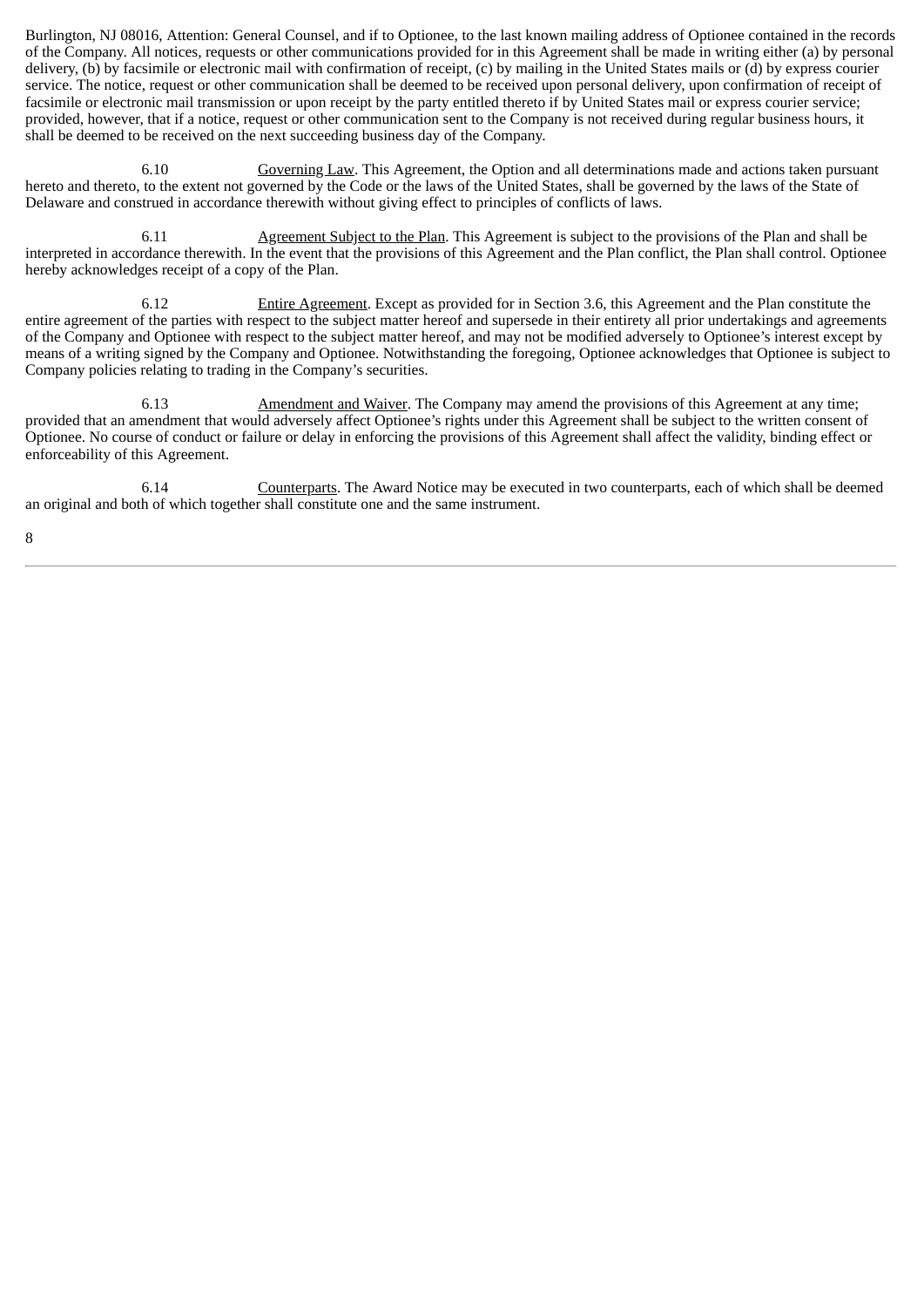Burlington, NJ 08016, Attention: General Counsel, and if to Optionee, to the last known mailing address of Optionee contained in the records of the Company. All notices, requests or other communications provided for in this Agreement shall be made in writing either (a) by personal delivery, (b) by facsimile or electronic mail with confirmation of receipt, (c) by mailing in the United States mails or (d) by express courier service. The notice, request or other communication shall be deemed to be received upon personal delivery, upon confirmation of receipt of facsimile or electronic mail transmission or upon receipt by the party entitled thereto if by United States mail or express courier service; provided, however, that if a notice, request or other communication sent to the Company is not received during regular business hours, it shall be deemed to be received on the next succeeding business day of the Company.

6.10 Governing Law. This Agreement, the Option and all determinations made and actions taken pursuant hereto and thereto, to the extent not governed by the Code or the laws of the United States, shall be governed by the laws of the State of Delaware and construed in accordance therewith without giving effect to principles of conflicts of laws.

6.11 Agreement Subject to the Plan. This Agreement is subject to the provisions of the Plan and shall be interpreted in accordance therewith. In the event that the provisions of this Agreement and the Plan conflict, the Plan shall control. Optionee hereby acknowledges receipt of a copy of the Plan.

6.12 Entire Agreement. Except as provided for in Section 3.6, this Agreement and the Plan constitute the entire agreement of the parties with respect to the subject matter hereof and supersede in their entirety all prior undertakings and agreements of the Company and Optionee with respect to the subject matter hereof, and may not be modified adversely to Optionee's interest except by means of a writing signed by the Company and Optionee. Notwithstanding the foregoing, Optionee acknowledges that Optionee is subject to Company policies relating to trading in the Company's securities.

6.13 Amendment and Waiver. The Company may amend the provisions of this Agreement at any time; provided that an amendment that would adversely affect Optionee's rights under this Agreement shall be subject to the written consent of Optionee. No course of conduct or failure or delay in enforcing the provisions of this Agreement shall affect the validity, binding effect or enforceability of this Agreement.

6.14 Counterparts. The Award Notice may be executed in two counterparts, each of which shall be deemed an original and both of which together shall constitute one and the same instrument.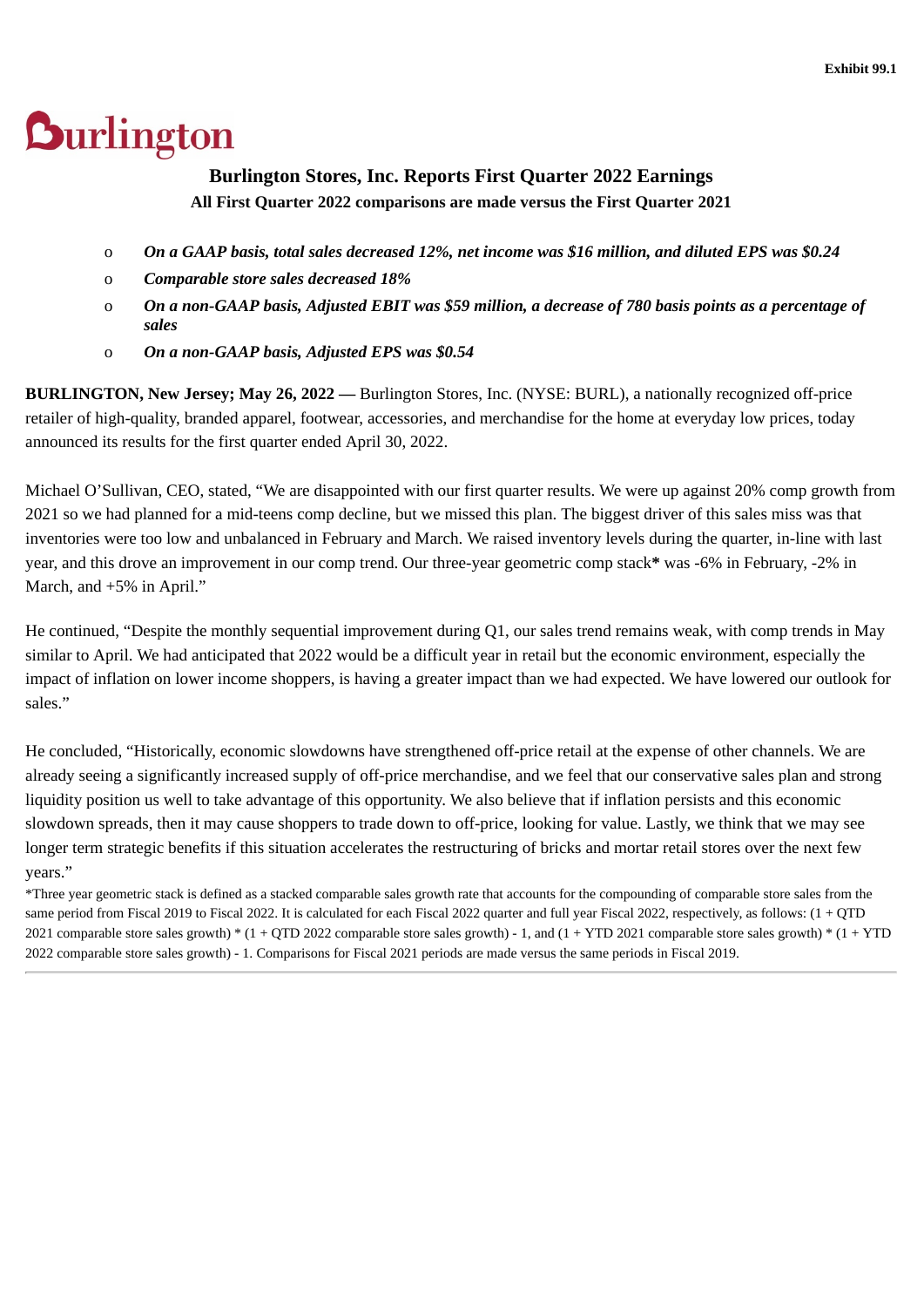# <span id="page-43-0"></span>**Burlington**

# **Burlington Stores, Inc. Reports First Quarter 2022 Earnings All First Quarter 2022 comparisons are made versus the First Quarter 2021**

- o *On a GAAP basis, total sales decreased 12%, net income was \$16 million, and diluted EPS was \$0.24*
- o *Comparable store sales decreased 18%*
- o *On a non-GAAP basis, Adjusted EBIT was \$59 million, a decrease of 780 basis points as a percentage of sales*
- o *On a non-GAAP basis, Adjusted EPS was \$0.54*

**BURLINGTON, New Jersey; May 26, 2022 —** Burlington Stores, Inc. (NYSE: BURL), a nationally recognized off-price retailer of high-quality, branded apparel, footwear, accessories, and merchandise for the home at everyday low prices, today announced its results for the first quarter ended April 30, 2022.

Michael O'Sullivan, CEO, stated, "We are disappointed with our first quarter results. We were up against 20% comp growth from 2021 so we had planned for a mid-teens comp decline, but we missed this plan. The biggest driver of this sales miss was that inventories were too low and unbalanced in February and March. We raised inventory levels during the quarter, in-line with last year, and this drove an improvement in our comp trend. Our three-year geometric comp stack**\*** was -6% in February, -2% in March, and +5% in April."

He continued, "Despite the monthly sequential improvement during Q1, our sales trend remains weak, with comp trends in May similar to April. We had anticipated that 2022 would be a difficult year in retail but the economic environment, especially the impact of inflation on lower income shoppers, is having a greater impact than we had expected. We have lowered our outlook for sales."

He concluded, "Historically, economic slowdowns have strengthened off-price retail at the expense of other channels. We are already seeing a significantly increased supply of off-price merchandise, and we feel that our conservative sales plan and strong liquidity position us well to take advantage of this opportunity. We also believe that if inflation persists and this economic slowdown spreads, then it may cause shoppers to trade down to off-price, looking for value. Lastly, we think that we may see longer term strategic benefits if this situation accelerates the restructuring of bricks and mortar retail stores over the next few years."

\*Three year geometric stack is defined as a stacked comparable sales growth rate that accounts for the compounding of comparable store sales from the same period from Fiscal 2019 to Fiscal 2022. It is calculated for each Fiscal 2022 quarter and full year Fiscal 2022, respectively, as follows:  $(1 + OTD)$ 2021 comparable store sales growth)  $*(1 + \text{OTD } 2022$  comparable store sales growth) - 1, and  $(1 + \text{YTD } 2021$  comparable store sales growth)  $*(1 + \text{YTD } 2021)$ 2022 comparable store sales growth) - 1. Comparisons for Fiscal 2021 periods are made versus the same periods in Fiscal 2019.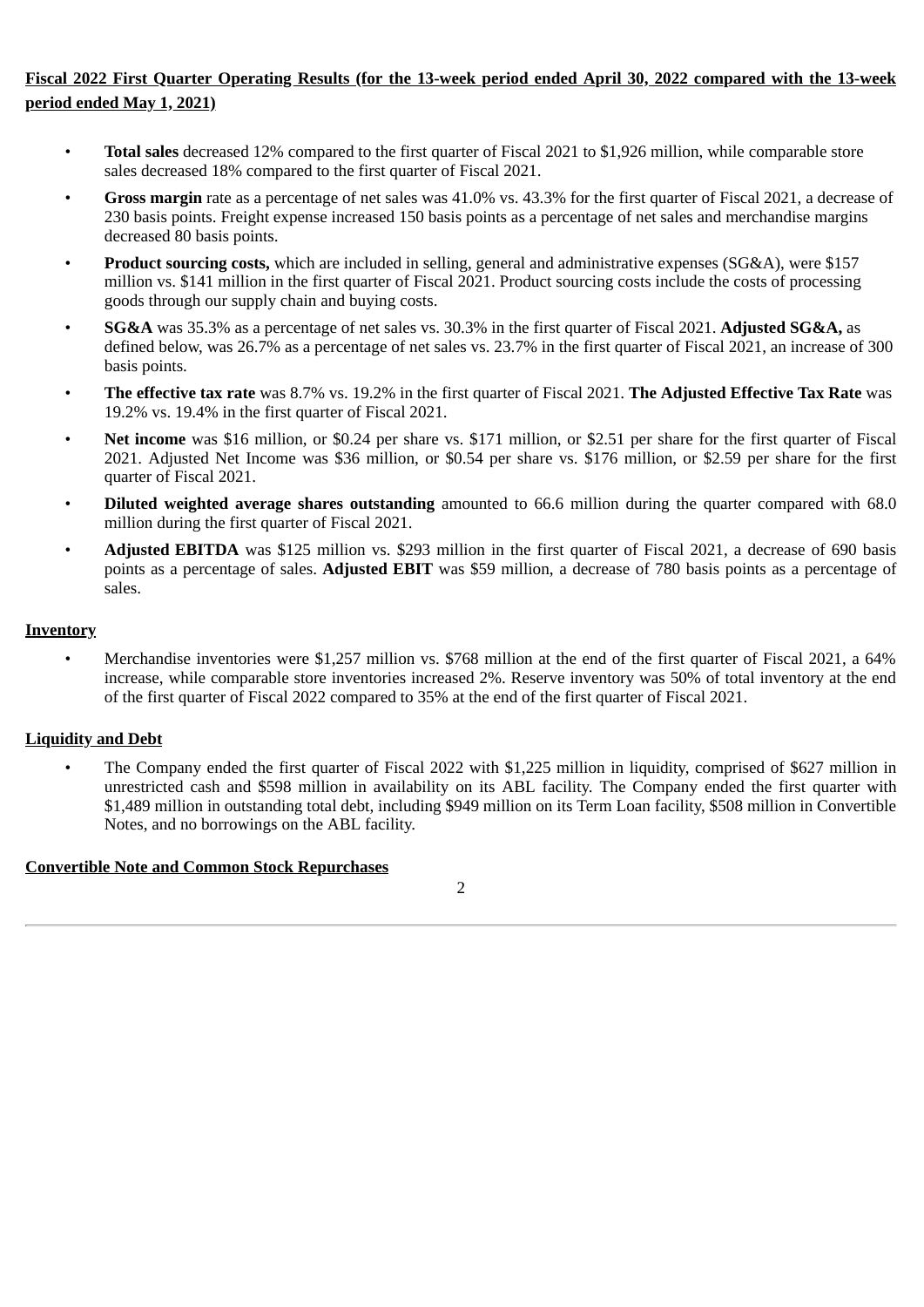# **Fiscal 2022 First Quarter Operating Results (for the 13-week period ended April 30, 2022 compared with the 13-week period ended May 1, 2021)**

- **Total sales** decreased 12% compared to the first quarter of Fiscal 2021 to \$1,926 million, while comparable store sales decreased 18% compared to the first quarter of Fiscal 2021.
- **Gross margin** rate as a percentage of net sales was 41.0% vs. 43.3% for the first quarter of Fiscal 2021, a decrease of 230 basis points. Freight expense increased 150 basis points as a percentage of net sales and merchandise margins decreased 80 basis points.
- **Product sourcing costs,** which are included in selling, general and administrative expenses (SG&A), were \$157 million vs. \$141 million in the first quarter of Fiscal 2021. Product sourcing costs include the costs of processing goods through our supply chain and buying costs.
- **SG&A** was 35.3% as a percentage of net sales vs. 30.3% in the first quarter of Fiscal 2021. **Adjusted SG&A,** as defined below, was 26.7% as a percentage of net sales vs. 23.7% in the first quarter of Fiscal 2021, an increase of 300 basis points.
- **The effective tax rate** was 8.7% vs. 19.2% in the first quarter of Fiscal 2021. **The Adjusted Effective Tax Rate** was 19.2% vs. 19.4% in the first quarter of Fiscal 2021.
- **Net income** was \$16 million, or \$0.24 per share vs. \$171 million, or \$2.51 per share for the first quarter of Fiscal 2021. Adjusted Net Income was \$36 million, or \$0.54 per share vs. \$176 million, or \$2.59 per share for the first quarter of Fiscal 2021.
- **Diluted weighted average shares outstanding** amounted to 66.6 million during the quarter compared with 68.0 million during the first quarter of Fiscal 2021.
- **Adjusted EBITDA** was \$125 million vs. \$293 million in the first quarter of Fiscal 2021, a decrease of 690 basis points as a percentage of sales. **Adjusted EBIT** was \$59 million, a decrease of 780 basis points as a percentage of sales.

# **Inventory**

• Merchandise inventories were \$1,257 million vs. \$768 million at the end of the first quarter of Fiscal 2021, a 64% increase, while comparable store inventories increased 2%. Reserve inventory was 50% of total inventory at the end of the first quarter of Fiscal 2022 compared to 35% at the end of the first quarter of Fiscal 2021.

# **Liquidity and Debt**

• The Company ended the first quarter of Fiscal 2022 with \$1,225 million in liquidity, comprised of \$627 million in unrestricted cash and \$598 million in availability on its ABL facility. The Company ended the first quarter with \$1,489 million in outstanding total debt, including \$949 million on its Term Loan facility, \$508 million in Convertible Notes, and no borrowings on the ABL facility.

# **Convertible Note and Common Stock Repurchases**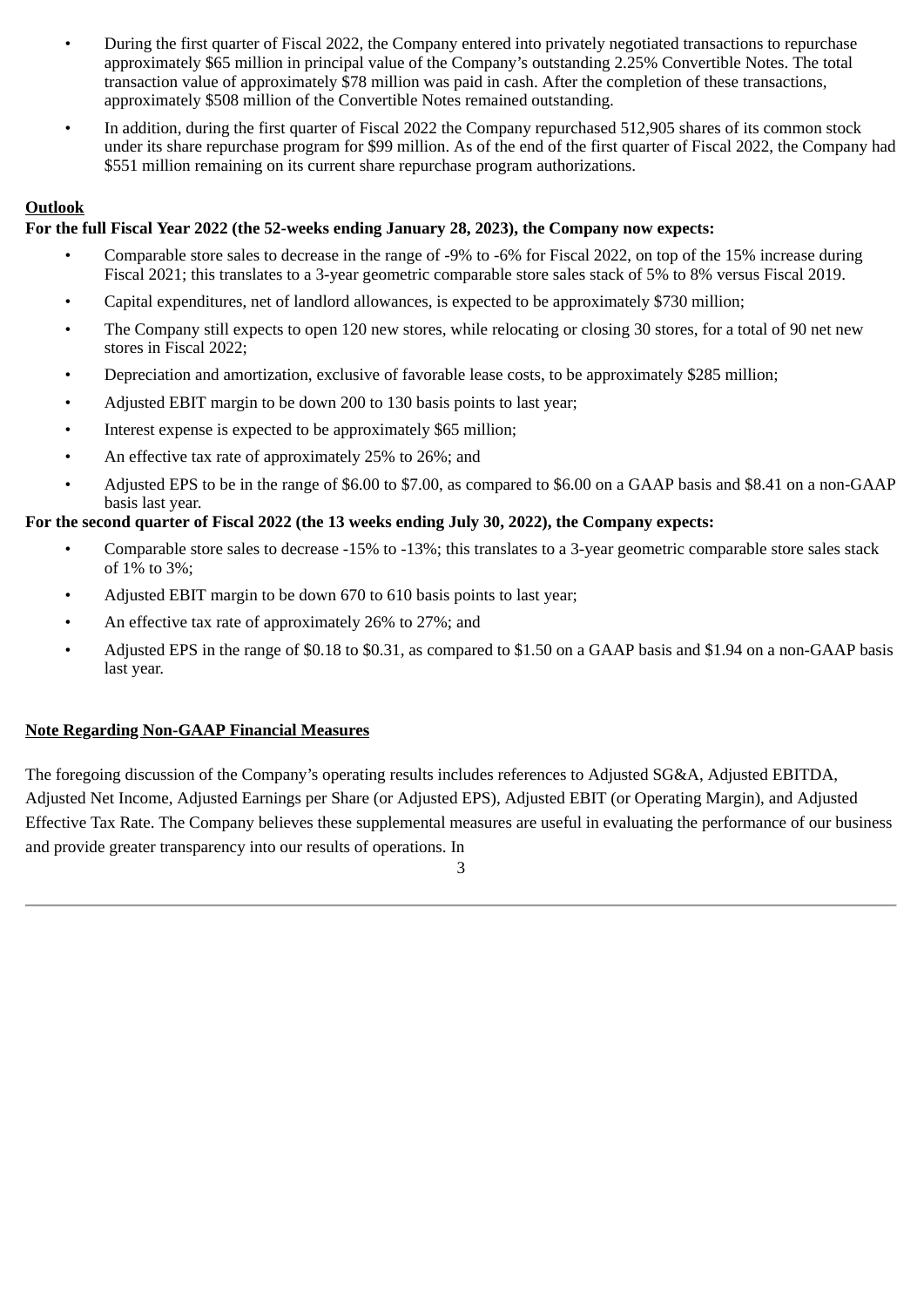- During the first quarter of Fiscal 2022, the Company entered into privately negotiated transactions to repurchase approximately \$65 million in principal value of the Company's outstanding 2.25% Convertible Notes. The total transaction value of approximately \$78 million was paid in cash. After the completion of these transactions, approximately \$508 million of the Convertible Notes remained outstanding.
- In addition, during the first quarter of Fiscal 2022 the Company repurchased 512,905 shares of its common stock under its share repurchase program for \$99 million. As of the end of the first quarter of Fiscal 2022, the Company had \$551 million remaining on its current share repurchase program authorizations.

# **Outlook**

# **For the full Fiscal Year 2022 (the 52-weeks ending January 28, 2023), the Company now expects:**

- Comparable store sales to decrease in the range of -9% to -6% for Fiscal 2022, on top of the 15% increase during Fiscal 2021; this translates to a 3-year geometric comparable store sales stack of 5% to 8% versus Fiscal 2019.
- Capital expenditures, net of landlord allowances, is expected to be approximately \$730 million;
- The Company still expects to open 120 new stores, while relocating or closing 30 stores, for a total of 90 net new stores in Fiscal 2022;
- Depreciation and amortization, exclusive of favorable lease costs, to be approximately \$285 million;
- Adjusted EBIT margin to be down 200 to 130 basis points to last year;
- Interest expense is expected to be approximately \$65 million;
- An effective tax rate of approximately 25% to 26%; and
- Adjusted EPS to be in the range of \$6.00 to \$7.00, as compared to \$6.00 on a GAAP basis and \$8.41 on a non-GAAP basis last year.

# **For the second quarter of Fiscal 2022 (the 13 weeks ending July 30, 2022), the Company expects:**

- Comparable store sales to decrease -15% to -13%; this translates to a 3-year geometric comparable store sales stack of 1% to 3%;
- Adjusted EBIT margin to be down 670 to 610 basis points to last year;
- An effective tax rate of approximately 26% to 27%; and
- Adjusted EPS in the range of \$0.18 to \$0.31, as compared to \$1.50 on a GAAP basis and \$1.94 on a non-GAAP basis last year.

# **Note Regarding Non-GAAP Financial Measures**

The foregoing discussion of the Company's operating results includes references to Adjusted SG&A, Adjusted EBITDA, Adjusted Net Income, Adjusted Earnings per Share (or Adjusted EPS), Adjusted EBIT (or Operating Margin), and Adjusted Effective Tax Rate. The Company believes these supplemental measures are useful in evaluating the performance of our business and provide greater transparency into our results of operations. In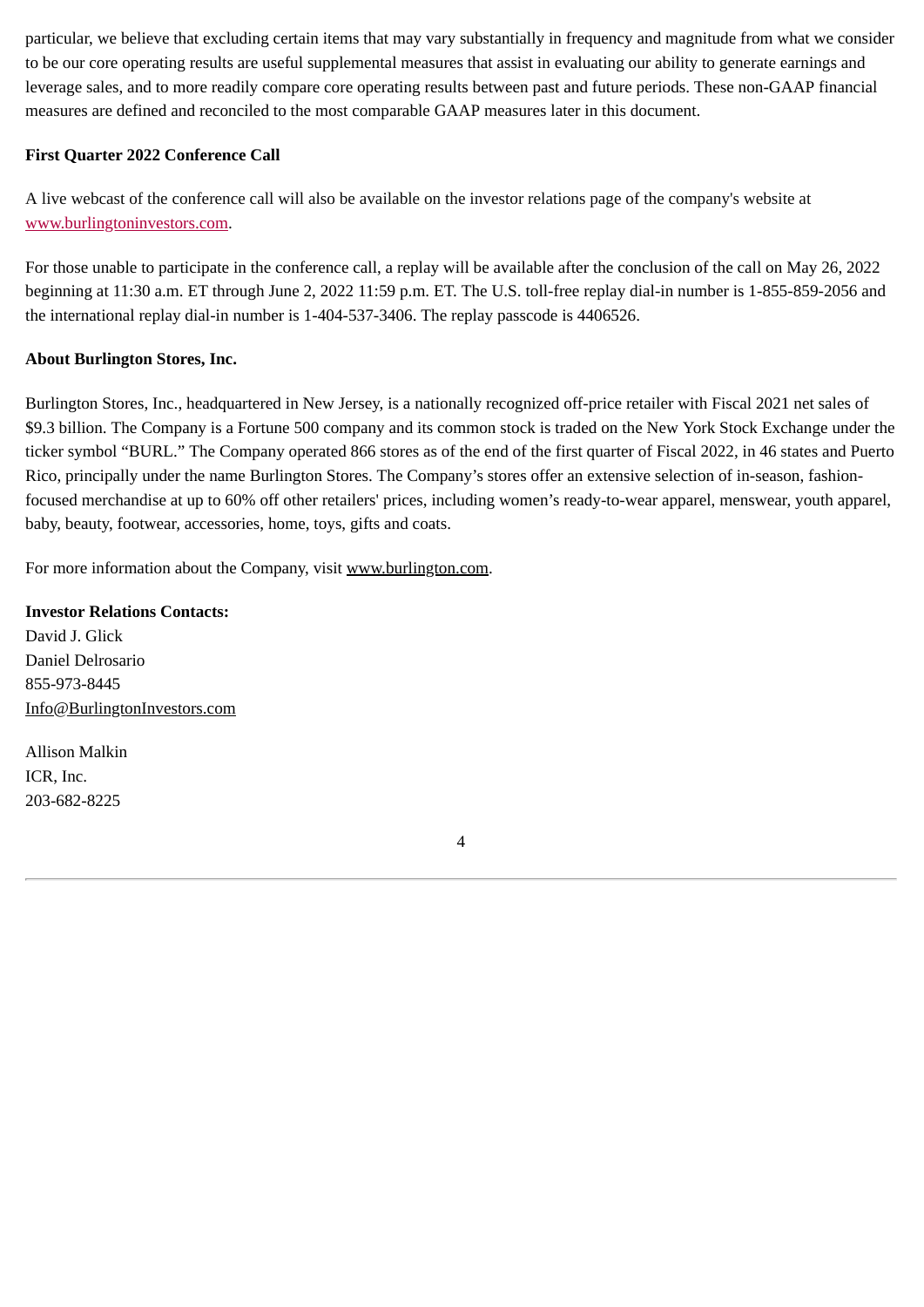particular, we believe that excluding certain items that may vary substantially in frequency and magnitude from what we consider to be our core operating results are useful supplemental measures that assist in evaluating our ability to generate earnings and leverage sales, and to more readily compare core operating results between past and future periods. These non-GAAP financial measures are defined and reconciled to the most comparable GAAP measures later in this document.

# **First Quarter 2022 Conference Call**

A live webcast of the conference call will also be available on the investor relations page of the company's website at www.burlingtoninvestors.com.

For those unable to participate in the conference call, a replay will be available after the conclusion of the call on May 26, 2022 beginning at 11:30 a.m. ET through June 2, 2022 11:59 p.m. ET. The U.S. toll-free replay dial-in number is 1-855-859-2056 and the international replay dial-in number is 1-404-537-3406. The replay passcode is 4406526.

# **About Burlington Stores, Inc.**

Burlington Stores, Inc., headquartered in New Jersey, is a nationally recognized off-price retailer with Fiscal 2021 net sales of \$9.3 billion. The Company is a Fortune 500 company and its common stock is traded on the New York Stock Exchange under the ticker symbol "BURL." The Company operated 866 stores as of the end of the first quarter of Fiscal 2022, in 46 states and Puerto Rico, principally under the name Burlington Stores. The Company's stores offer an extensive selection of in-season, fashionfocused merchandise at up to 60% off other retailers' prices, including women's ready-to-wear apparel, menswear, youth apparel, baby, beauty, footwear, accessories, home, toys, gifts and coats.

For more information about the Company, visit www.burlington.com.

# **Investor Relations Contacts:**

David J. Glick Daniel Delrosario 855-973-8445 Info@BurlingtonInvestors.com

Allison Malkin ICR, Inc. 203-682-8225

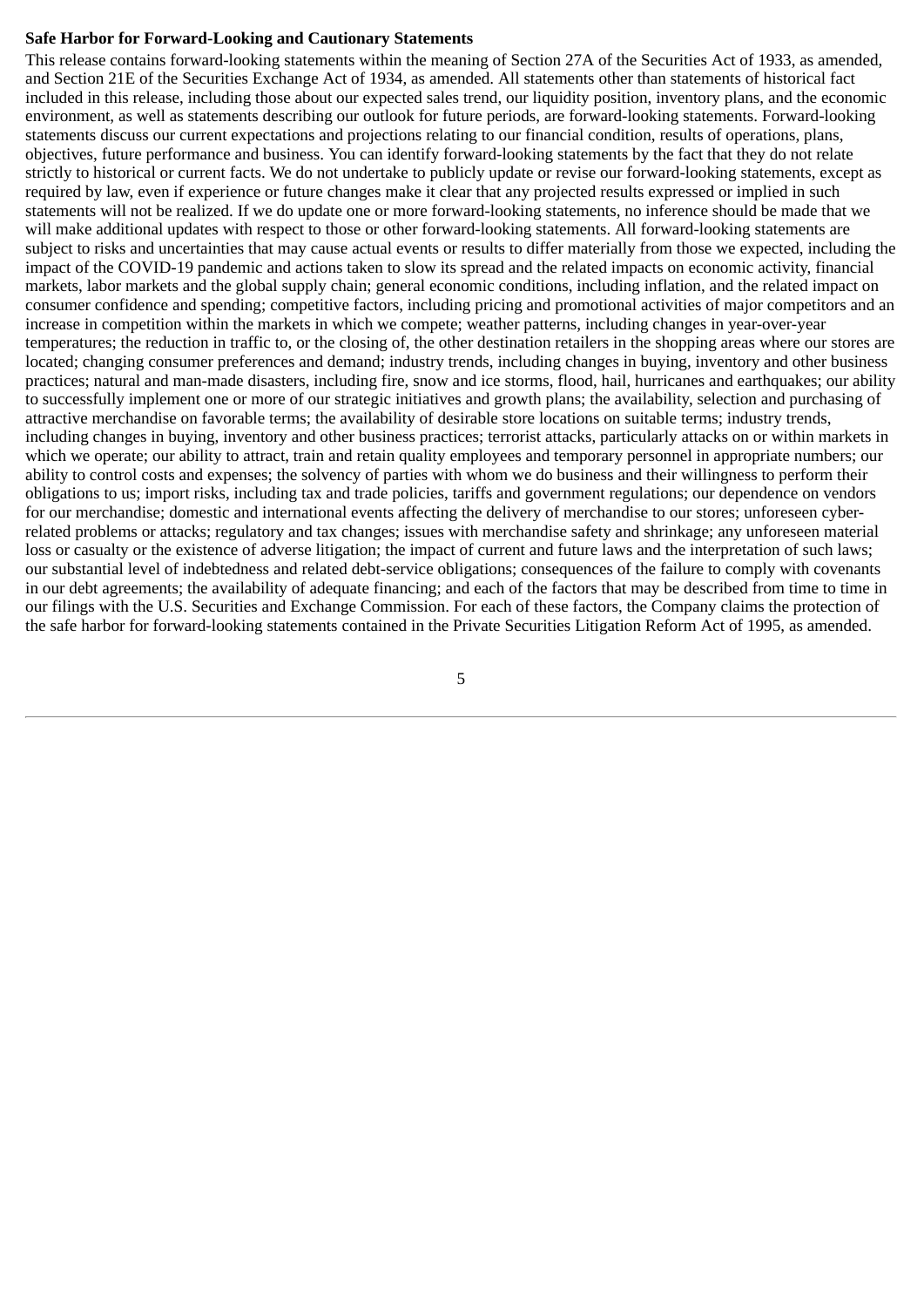## **Safe Harbor for Forward-Looking and Cautionary Statements**

This release contains forward-looking statements within the meaning of Section 27A of the Securities Act of 1933, as amended, and Section 21E of the Securities Exchange Act of 1934, as amended. All statements other than statements of historical fact included in this release, including those about our expected sales trend, our liquidity position, inventory plans, and the economic environment, as well as statements describing our outlook for future periods, are forward-looking statements. Forward-looking statements discuss our current expectations and projections relating to our financial condition, results of operations, plans, objectives, future performance and business. You can identify forward-looking statements by the fact that they do not relate strictly to historical or current facts. We do not undertake to publicly update or revise our forward-looking statements, except as required by law, even if experience or future changes make it clear that any projected results expressed or implied in such statements will not be realized. If we do update one or more forward-looking statements, no inference should be made that we will make additional updates with respect to those or other forward-looking statements. All forward-looking statements are subject to risks and uncertainties that may cause actual events or results to differ materially from those we expected, including the impact of the COVID-19 pandemic and actions taken to slow its spread and the related impacts on economic activity, financial markets, labor markets and the global supply chain; general economic conditions, including inflation, and the related impact on consumer confidence and spending; competitive factors, including pricing and promotional activities of major competitors and an increase in competition within the markets in which we compete; weather patterns, including changes in year-over-year temperatures; the reduction in traffic to, or the closing of, the other destination retailers in the shopping areas where our stores are located; changing consumer preferences and demand; industry trends, including changes in buying, inventory and other business practices; natural and man-made disasters, including fire, snow and ice storms, flood, hail, hurricanes and earthquakes; our ability to successfully implement one or more of our strategic initiatives and growth plans; the availability, selection and purchasing of attractive merchandise on favorable terms; the availability of desirable store locations on suitable terms; industry trends, including changes in buying, inventory and other business practices; terrorist attacks, particularly attacks on or within markets in which we operate; our ability to attract, train and retain quality employees and temporary personnel in appropriate numbers; our ability to control costs and expenses; the solvency of parties with whom we do business and their willingness to perform their obligations to us; import risks, including tax and trade policies, tariffs and government regulations; our dependence on vendors for our merchandise; domestic and international events affecting the delivery of merchandise to our stores; unforeseen cyberrelated problems or attacks; regulatory and tax changes; issues with merchandise safety and shrinkage; any unforeseen material loss or casualty or the existence of adverse litigation; the impact of current and future laws and the interpretation of such laws; our substantial level of indebtedness and related debt-service obligations; consequences of the failure to comply with covenants in our debt agreements; the availability of adequate financing; and each of the factors that may be described from time to time in our filings with the U.S. Securities and Exchange Commission. For each of these factors, the Company claims the protection of the safe harbor for forward-looking statements contained in the Private Securities Litigation Reform Act of 1995, as amended.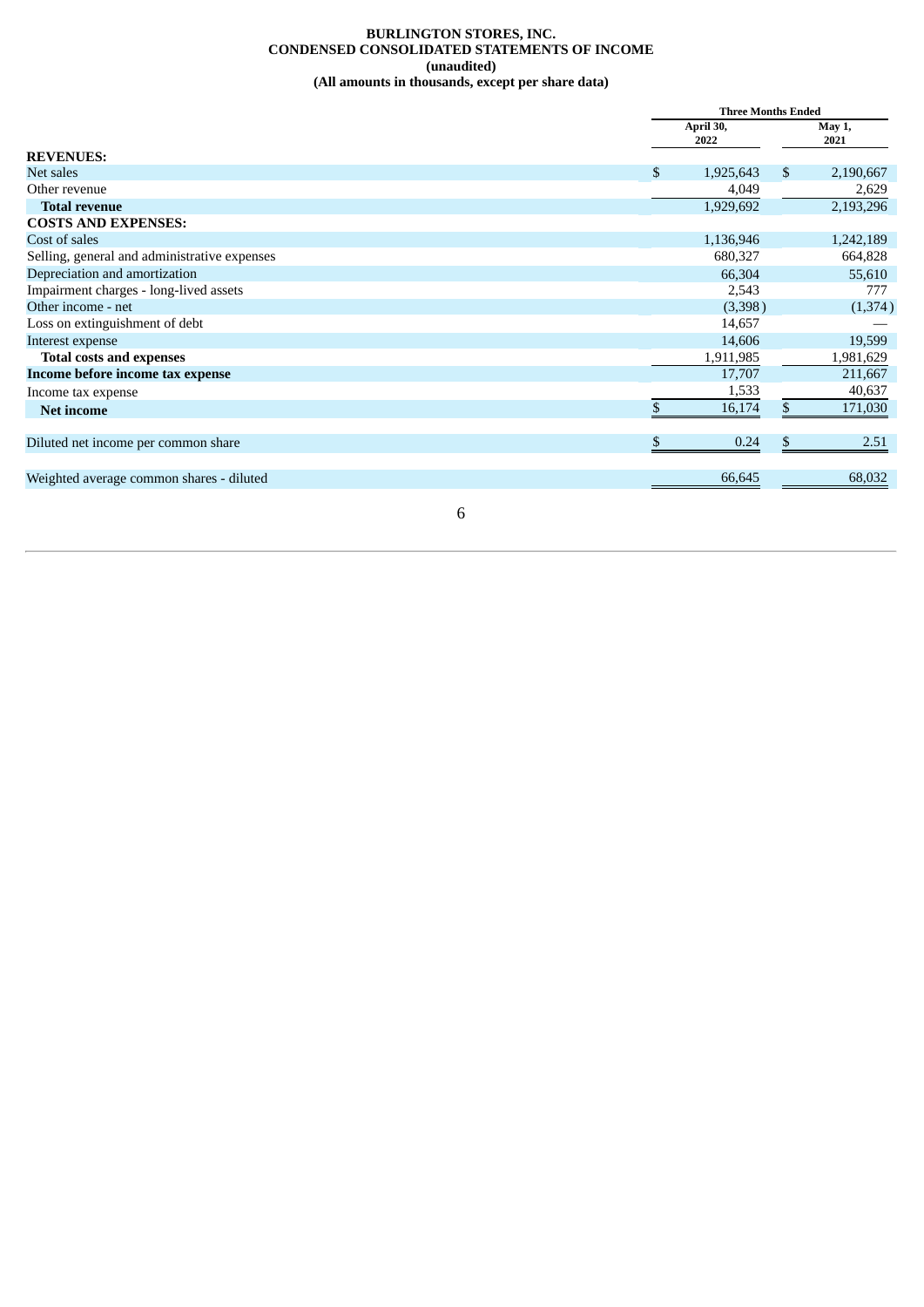#### **BURLINGTON STORES, INC. CONDENSED CONSOLIDATED STATEMENTS OF INCOME (unaudited) (All amounts in thousands, except per share data)**

|                                              | <b>Three Months Ended</b> |    |                |  |
|----------------------------------------------|---------------------------|----|----------------|--|
|                                              | April 30,<br>2022         |    | May 1,<br>2021 |  |
| <b>REVENUES:</b>                             |                           |    |                |  |
| Net sales                                    | \$<br>1,925,643           | \$ | 2,190,667      |  |
| Other revenue                                | 4,049                     |    | 2,629          |  |
| <b>Total revenue</b>                         | 1,929,692                 |    | 2,193,296      |  |
| <b>COSTS AND EXPENSES:</b>                   |                           |    |                |  |
| Cost of sales                                | 1,136,946                 |    | 1,242,189      |  |
| Selling, general and administrative expenses | 680,327                   |    | 664,828        |  |
| Depreciation and amortization                | 66,304                    |    | 55,610         |  |
| Impairment charges - long-lived assets       | 2,543                     |    | 777            |  |
| Other income - net                           | (3,398)                   |    | (1,374)        |  |
| Loss on extinguishment of debt               | 14,657                    |    |                |  |
| Interest expense                             | 14,606                    |    | 19,599         |  |
| <b>Total costs and expenses</b>              | 1,911,985                 |    | 1,981,629      |  |
| Income before income tax expense             | 17,707                    |    | 211,667        |  |
| Income tax expense                           | 1,533                     |    | 40,637         |  |
| <b>Net income</b>                            | 16,174                    | \$ | 171,030        |  |
| Diluted net income per common share          | \$<br>0.24                | \$ | 2.51           |  |
|                                              |                           |    |                |  |
| Weighted average common shares - diluted     | 66,645                    |    | 68,032         |  |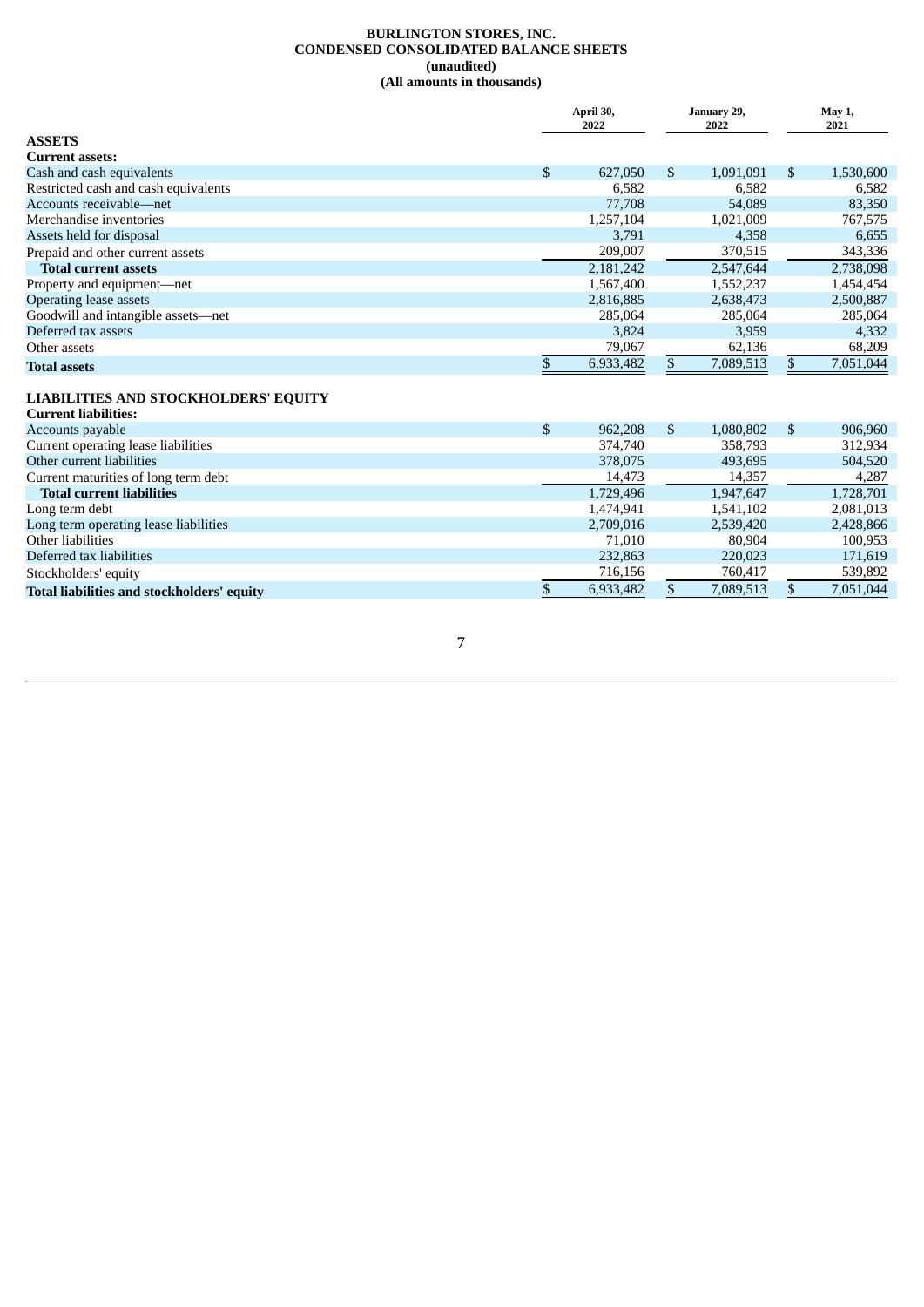#### **BURLINGTON STORES, INC. CONDENSED CONSOLIDATED BALANCE SHEETS (unaudited) (All amounts in thousands)**

|                                      | April 30,<br>January 29,<br>2022<br>2022 |           |     |           |    |           | May 1,<br>2021 |  |  |
|--------------------------------------|------------------------------------------|-----------|-----|-----------|----|-----------|----------------|--|--|
| <b>ASSETS</b>                        |                                          |           |     |           |    |           |                |  |  |
| <b>Current assets:</b>               |                                          |           |     |           |    |           |                |  |  |
| Cash and cash equivalents            | $\mathbb{S}$                             | 627,050   | \$. | 1,091,091 | \$ | 1,530,600 |                |  |  |
| Restricted cash and cash equivalents |                                          | 6,582     |     | 6,582     |    | 6,582     |                |  |  |
| Accounts receivable—net              |                                          | 77,708    |     | 54,089    |    | 83,350    |                |  |  |
| Merchandise inventories              |                                          | 1,257,104 |     | 1,021,009 |    | 767,575   |                |  |  |
| Assets held for disposal             |                                          | 3,791     |     | 4,358     |    | 6,655     |                |  |  |
| Prepaid and other current assets     |                                          | 209,007   |     | 370,515   |    | 343,336   |                |  |  |
| <b>Total current assets</b>          |                                          | 2,181,242 |     | 2,547,644 |    | 2,738,098 |                |  |  |
| Property and equipment-net           |                                          | 1,567,400 |     | 1,552,237 |    | 1,454,454 |                |  |  |
| Operating lease assets               |                                          | 2,816,885 |     | 2,638,473 |    | 2,500,887 |                |  |  |
| Goodwill and intangible assets-net   |                                          | 285,064   |     | 285,064   |    | 285,064   |                |  |  |
| Deferred tax assets                  |                                          | 3,824     |     | 3,959     |    | 4,332     |                |  |  |
| Other assets                         |                                          | 79,067    |     | 62,136    |    | 68,209    |                |  |  |
| <b>Total assets</b>                  |                                          | 6,933,482 |     | 7,089,513 | \$ | 7,051,044 |                |  |  |
| LIABILITIES AND STOCKHOLDERS' EOUITY |                                          |           |     |           |    |           |                |  |  |

#### **LIABILITIES AND STOCKHOLDERS' EQUITY**

| <b>Current liabilities:</b>                |               |     |           |               |
|--------------------------------------------|---------------|-----|-----------|---------------|
| Accounts payable                           | \$<br>962,208 | \$. | 1,080,802 | \$<br>906,960 |
| Current operating lease liabilities        | 374,740       |     | 358,793   | 312.934       |
| Other current liabilities                  | 378,075       |     | 493,695   | 504,520       |
| Current maturities of long term debt       | 14,473        |     | 14,357    | 4,287         |
| <b>Total current liabilities</b>           | 1,729,496     |     | 1,947,647 | 1,728,701     |
| Long term debt                             | 1,474,941     |     | 1,541,102 | 2,081,013     |
| Long term operating lease liabilities      | 2,709,016     |     | 2,539,420 | 2,428,866     |
| Other liabilities                          | 71.010        |     | 80,904    | 100,953       |
| Deferred tax liabilities                   | 232,863       |     | 220,023   | 171,619       |
| Stockholders' equity                       | 716,156       |     | 760,417   | 539,892       |
| Total liabilities and stockholders' equity | 6,933,482     |     | 7,089,513 | 7,051,044     |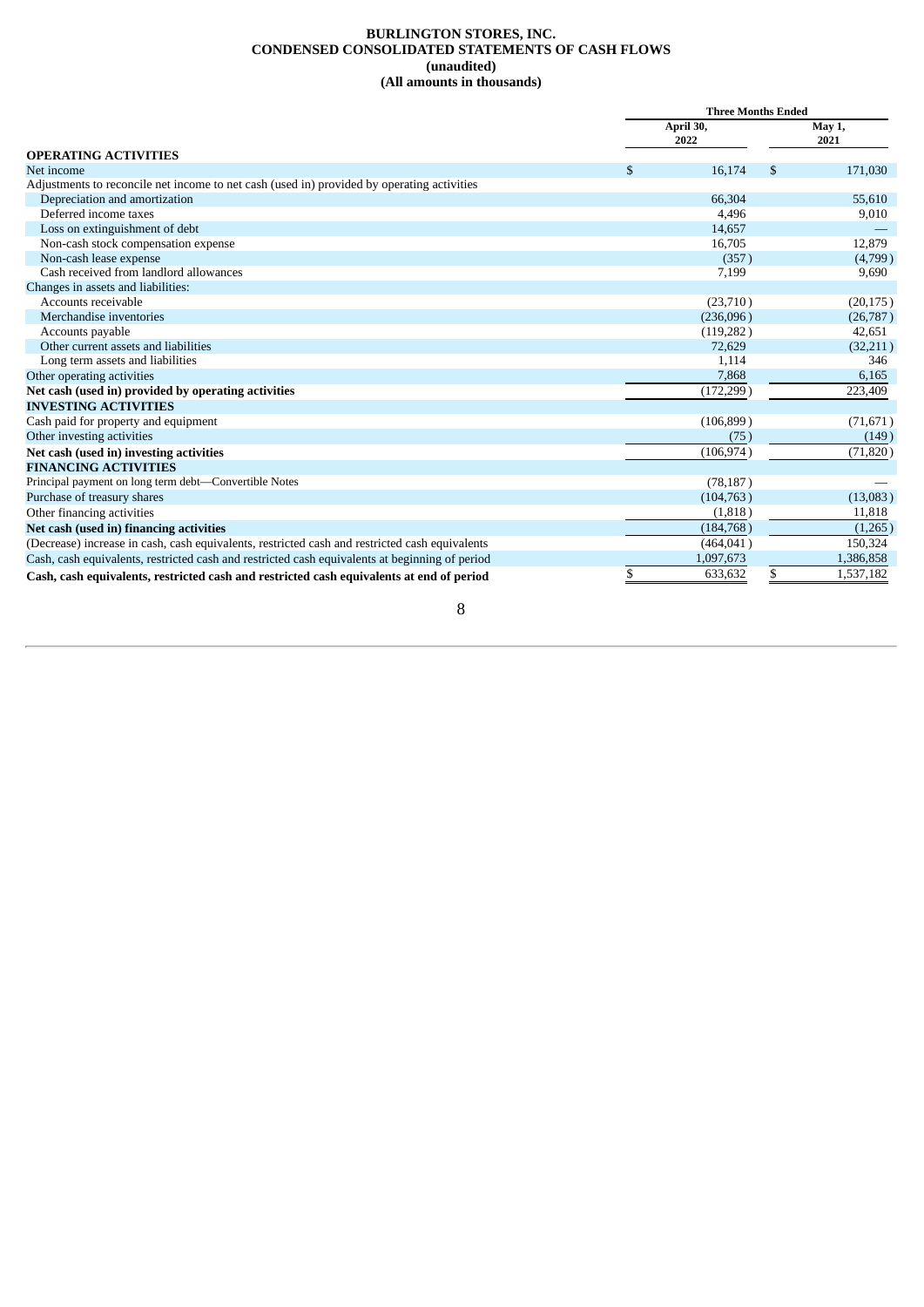#### **BURLINGTON STORES, INC. CONDENSED CONSOLIDATED STATEMENTS OF CASH FLOWS (unaudited) (All amounts in thousands)**

|                                                                                                | <b>Three Months Ended</b> |                   |    |           |  |
|------------------------------------------------------------------------------------------------|---------------------------|-------------------|----|-----------|--|
|                                                                                                |                           | April 30,<br>2022 |    |           |  |
| <b>OPERATING ACTIVITIES</b>                                                                    |                           |                   |    |           |  |
| Net income                                                                                     | \$                        | 16,174            | \$ | 171,030   |  |
| Adjustments to reconcile net income to net cash (used in) provided by operating activities     |                           |                   |    |           |  |
| Depreciation and amortization                                                                  |                           | 66,304            |    | 55,610    |  |
| Deferred income taxes                                                                          |                           | 4,496             |    | 9,010     |  |
| Loss on extinguishment of debt                                                                 |                           | 14,657            |    |           |  |
| Non-cash stock compensation expense                                                            |                           | 16,705            |    | 12,879    |  |
| Non-cash lease expense                                                                         |                           | (357)             |    | (4,799)   |  |
| Cash received from landlord allowances                                                         |                           | 7,199             |    | 9,690     |  |
| Changes in assets and liabilities:                                                             |                           |                   |    |           |  |
| Accounts receivable                                                                            |                           | (23,710)          |    | (20, 175) |  |
| Merchandise inventories                                                                        |                           | (236,096)         |    | (26, 787) |  |
| Accounts payable                                                                               |                           | (119, 282)        |    | 42,651    |  |
| Other current assets and liabilities                                                           |                           | 72,629            |    | (32,211)  |  |
| Long term assets and liabilities                                                               |                           | 1,114             |    | 346       |  |
| Other operating activities                                                                     |                           | 7,868             |    | 6,165     |  |
| Net cash (used in) provided by operating activities                                            |                           | (172, 299)        |    | 223,409   |  |
| <b>INVESTING ACTIVITIES</b>                                                                    |                           |                   |    |           |  |
| Cash paid for property and equipment                                                           |                           | (106, 899)        |    | (71, 671) |  |
| Other investing activities                                                                     |                           | (75)              |    | (149)     |  |
| Net cash (used in) investing activities                                                        |                           | (106, 974)        |    | (71, 820) |  |
| <b>FINANCING ACTIVITIES</b>                                                                    |                           |                   |    |           |  |
| Principal payment on long term debt-Convertible Notes                                          |                           | (78, 187)         |    |           |  |
| Purchase of treasury shares                                                                    |                           | (104, 763)        |    | (13,083)  |  |
| Other financing activities                                                                     |                           | (1,818)           |    | 11,818    |  |
| Net cash (used in) financing activities                                                        |                           | (184, 768)        |    | (1,265)   |  |
| (Decrease) increase in cash, cash equivalents, restricted cash and restricted cash equivalents |                           | (464, 041)        |    | 150,324   |  |
| Cash, cash equivalents, restricted cash and restricted cash equivalents at beginning of period |                           | 1,097,673         |    | 1,386,858 |  |
| Cash, cash equivalents, restricted cash and restricted cash equivalents at end of period       | \$                        | 633,632           |    | 1,537,182 |  |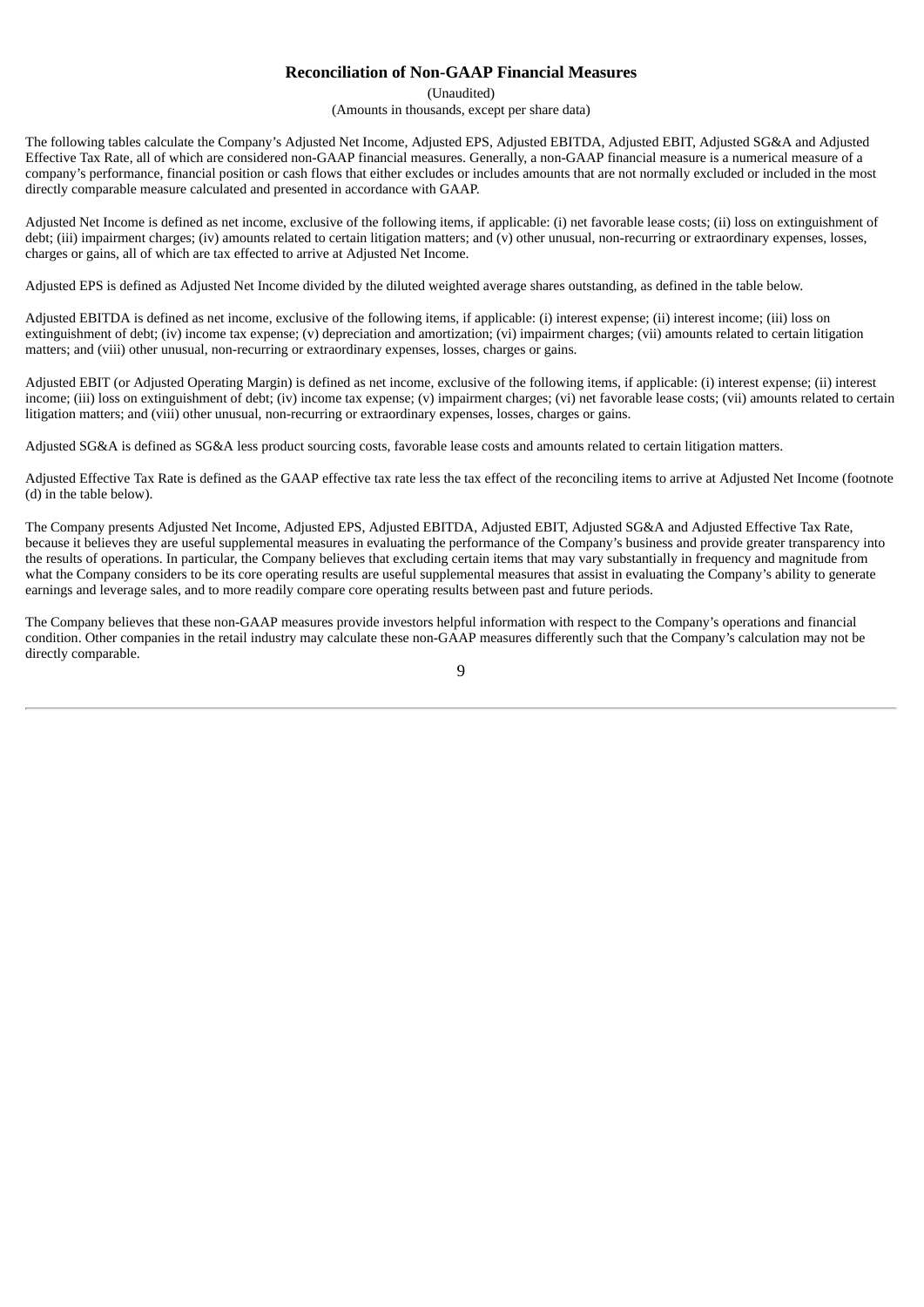## **Reconciliation of Non-GAAP Financial Measures**

(Unaudited)

(Amounts in thousands, except per share data)

The following tables calculate the Company's Adjusted Net Income, Adjusted EPS, Adjusted EBITDA, Adjusted EBIT, Adjusted SG&A and Adjusted Effective Tax Rate, all of which are considered non-GAAP financial measures. Generally, a non-GAAP financial measure is a numerical measure of a company's performance, financial position or cash flows that either excludes or includes amounts that are not normally excluded or included in the most directly comparable measure calculated and presented in accordance with GAAP.

Adjusted Net Income is defined as net income, exclusive of the following items, if applicable: (i) net favorable lease costs; (ii) loss on extinguishment of debt; (iii) impairment charges; (iv) amounts related to certain litigation matters; and (v) other unusual, non-recurring or extraordinary expenses, losses, charges or gains, all of which are tax effected to arrive at Adjusted Net Income.

Adjusted EPS is defined as Adjusted Net Income divided by the diluted weighted average shares outstanding, as defined in the table below.

Adjusted EBITDA is defined as net income, exclusive of the following items, if applicable: (i) interest expense; (ii) interest income; (iii) loss on extinguishment of debt; (iv) income tax expense; (v) depreciation and amortization; (vi) impairment charges; (vii) amounts related to certain litigation matters; and (viii) other unusual, non-recurring or extraordinary expenses, losses, charges or gains.

Adjusted EBIT (or Adjusted Operating Margin) is defined as net income, exclusive of the following items, if applicable: (i) interest expense; (ii) interest income; (iii) loss on extinguishment of debt; (iv) income tax expense; (v) impairment charges; (vi) net favorable lease costs; (vii) amounts related to certain litigation matters; and (viii) other unusual, non-recurring or extraordinary expenses, losses, charges or gains.

Adjusted SG&A is defined as SG&A less product sourcing costs, favorable lease costs and amounts related to certain litigation matters.

Adjusted Effective Tax Rate is defined as the GAAP effective tax rate less the tax effect of the reconciling items to arrive at Adjusted Net Income (footnote (d) in the table below).

The Company presents Adjusted Net Income, Adjusted EPS, Adjusted EBITDA, Adjusted EBIT, Adjusted SG&A and Adjusted Effective Tax Rate, because it believes they are useful supplemental measures in evaluating the performance of the Company's business and provide greater transparency into the results of operations. In particular, the Company believes that excluding certain items that may vary substantially in frequency and magnitude from what the Company considers to be its core operating results are useful supplemental measures that assist in evaluating the Company's ability to generate earnings and leverage sales, and to more readily compare core operating results between past and future periods.

The Company believes that these non-GAAP measures provide investors helpful information with respect to the Company's operations and financial condition. Other companies in the retail industry may calculate these non-GAAP measures differently such that the Company's calculation may not be directly comparable.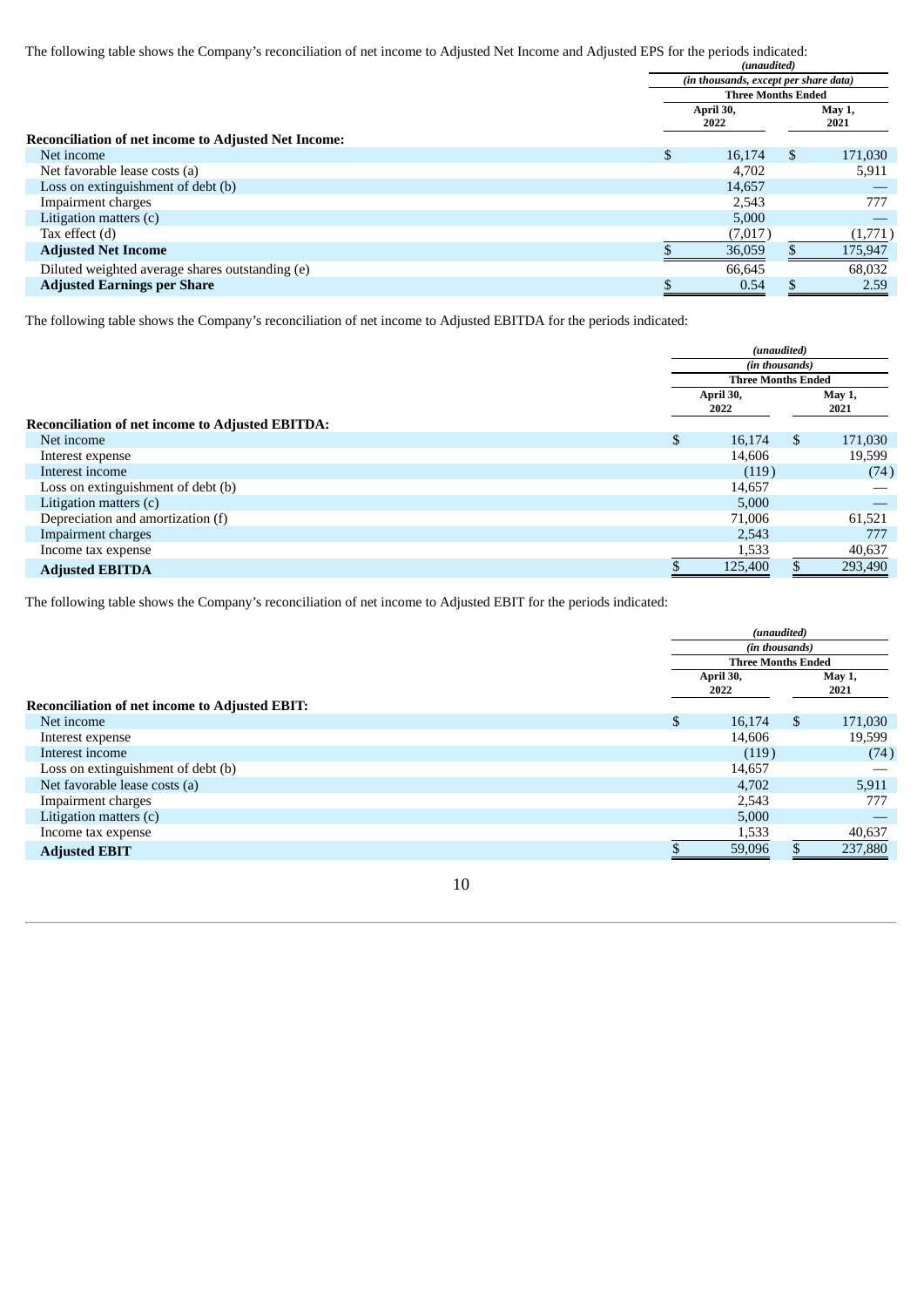The following table shows the Company's reconciliation of net income to Adjusted Net Income and Adjusted EPS for the periods indicated:

|                                                             |   | (unaudited)                                                        |         |  |  |
|-------------------------------------------------------------|---|--------------------------------------------------------------------|---------|--|--|
|                                                             |   | (in thousands, except per share data)<br><b>Three Months Ended</b> |         |  |  |
|                                                             |   |                                                                    |         |  |  |
|                                                             |   | April 30,                                                          | May 1,  |  |  |
|                                                             |   | 2022                                                               | 2021    |  |  |
| <b>Reconciliation of net income to Adjusted Net Income:</b> |   |                                                                    |         |  |  |
| Net income                                                  | S | 16,174<br>\$.                                                      | 171,030 |  |  |
| Net favorable lease costs (a)                               |   | 4,702                                                              | 5,911   |  |  |
| Loss on extinguishment of debt (b)                          |   | 14,657                                                             |         |  |  |
| Impairment charges                                          |   | 2,543                                                              | 777     |  |  |
| Litigation matters (c)                                      |   | 5,000                                                              |         |  |  |
| Tax effect (d)                                              |   | (7,017)                                                            | (1,771) |  |  |
| <b>Adjusted Net Income</b>                                  |   | 36,059                                                             | 175,947 |  |  |
| Diluted weighted average shares outstanding (e)             |   | 66,645                                                             | 68,032  |  |  |
| <b>Adjusted Earnings per Share</b>                          |   | 0.54                                                               | 2.59    |  |  |
|                                                             |   |                                                                    |         |  |  |

The following table shows the Company's reconciliation of net income to Adjusted EBITDA for the periods indicated:

|                                                         | (unaudited)               |    |                       |
|---------------------------------------------------------|---------------------------|----|-----------------------|
|                                                         | (in thousands)            |    |                       |
|                                                         | <b>Three Months Ended</b> |    |                       |
|                                                         | April 30,<br>2022         |    | <b>May 1,</b><br>2021 |
| <b>Reconciliation of net income to Adjusted EBITDA:</b> |                           |    |                       |
| Net income                                              | \$<br>16,174              | \$ | 171,030               |
| Interest expense                                        | 14,606                    |    | 19,599                |
| Interest income                                         | (119)                     |    | (74)                  |
| Loss on extinguishment of debt (b)                      | 14,657                    |    |                       |
| Litigation matters (c)                                  | 5,000                     |    |                       |
| Depreciation and amortization (f)                       | 71,006                    |    | 61,521                |
| Impairment charges                                      | 2,543                     |    | 777                   |
| Income tax expense                                      | 1,533                     |    | 40,637                |
| <b>Adjusted EBITDA</b>                                  | 125,400                   |    | 293,490               |

The following table shows the Company's reconciliation of net income to Adjusted EBIT for the periods indicated:

|                                                       | (unaudited) |                           |    |         |
|-------------------------------------------------------|-------------|---------------------------|----|---------|
|                                                       |             | (in thousands)            |    |         |
|                                                       |             | <b>Three Months Ended</b> |    |         |
|                                                       |             | April 30,                 |    | May 1,  |
|                                                       |             | 2022                      |    | 2021    |
| <b>Reconciliation of net income to Adjusted EBIT:</b> |             |                           |    |         |
| Net income                                            | \$          | 16,174                    | \$ | 171,030 |
| Interest expense                                      |             | 14,606                    |    | 19,599  |
| Interest income                                       |             | (119)                     |    | (74)    |
| Loss on extinguishment of debt (b)                    |             | 14,657                    |    |         |
| Net favorable lease costs (a)                         |             | 4.702                     |    | 5,911   |
| Impairment charges                                    |             | 2,543                     |    | 777     |
| Litigation matters (c)                                |             | 5,000                     |    |         |
| Income tax expense                                    |             | 1,533                     |    | 40,637  |
| <b>Adjusted EBIT</b>                                  |             | 59,096                    |    | 237,880 |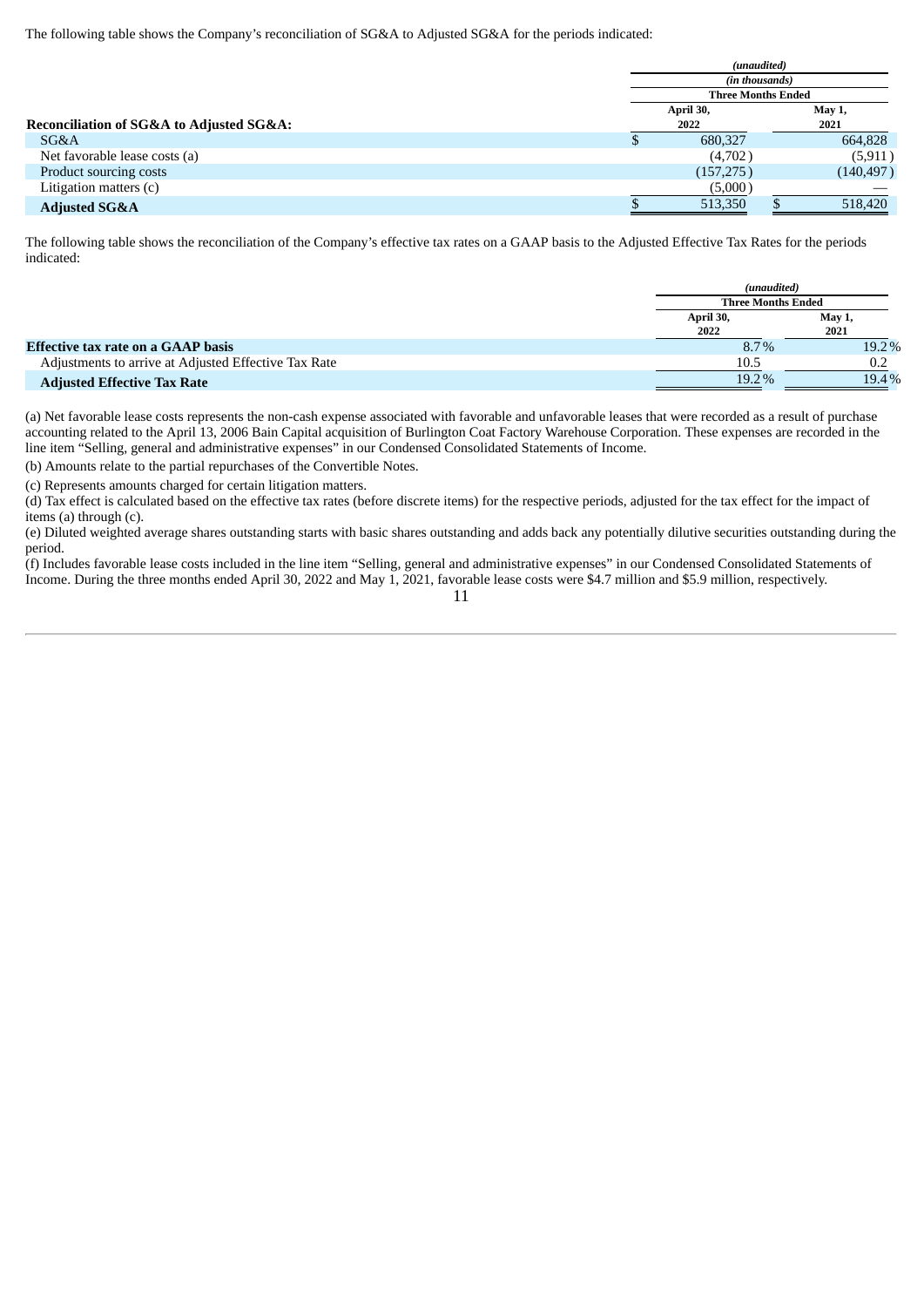The following table shows the Company's reconciliation of SG&A to Adjusted SG&A for the periods indicated:

|                                          |                           | (unaudited)<br>(in thousands) |                |            |
|------------------------------------------|---------------------------|-------------------------------|----------------|------------|
|                                          |                           |                               |                |            |
|                                          | <b>Three Months Ended</b> |                               |                |            |
|                                          | April 30,<br>2022         |                               | May 1,<br>2021 |            |
| Reconciliation of SG&A to Adjusted SG&A: |                           |                               |                |            |
| SG&A                                     |                           | 680,327                       |                | 664,828    |
| Net favorable lease costs (a)            |                           | (4,702)                       |                | (5, 911)   |
| Product sourcing costs                   |                           | (157, 275)                    |                | (140, 497) |
| Litigation matters (c)                   |                           | (5,000)                       |                |            |
| <b>Adjusted SG&amp;A</b>                 |                           | 513,350                       |                | 518,420    |

The following table shows the reconciliation of the Company's effective tax rates on a GAAP basis to the Adjusted Effective Tax Rates for the periods indicated:

|                                                      |                   | (unaudited)<br><b>Three Months Ended</b> |  |  |
|------------------------------------------------------|-------------------|------------------------------------------|--|--|
|                                                      |                   |                                          |  |  |
|                                                      | April 30,<br>2022 | May 1,<br>2021                           |  |  |
| Effective tax rate on a GAAP basis                   | 8.7%              | 19.2%                                    |  |  |
| Adjustments to arrive at Adjusted Effective Tax Rate | 10.5              | 0.2                                      |  |  |
| <b>Adjusted Effective Tax Rate</b>                   | 19.2%             | 19.4%                                    |  |  |

(a) Net favorable lease costs represents the non-cash expense associated with favorable and unfavorable leases that were recorded as a result of purchase accounting related to the April 13, 2006 Bain Capital acquisition of Burlington Coat Factory Warehouse Corporation. These expenses are recorded in the line item "Selling, general and administrative expenses" in our Condensed Consolidated Statements of Income.

(b) Amounts relate to the partial repurchases of the Convertible Notes.

(c) Represents amounts charged for certain litigation matters.

 $(d)$  Tax effect is calculated based on the effective tax rates (before discrete items) for the respective periods, adjusted for the tax effect for the impact of items (a) through (c).

(e) Diluted weighted average shares outstanding starts with basic shares outstanding and adds back any potentially dilutive securities outstanding during the period.

(f) Includes favorable lease costs included in the line item "Selling, general and administrative expenses" in our Condensed Consolidated Statements of Income. During the three months ended April 30, 2022 and May 1, 2021, favorable lease costs were \$4.7 million and \$5.9 million, respectively.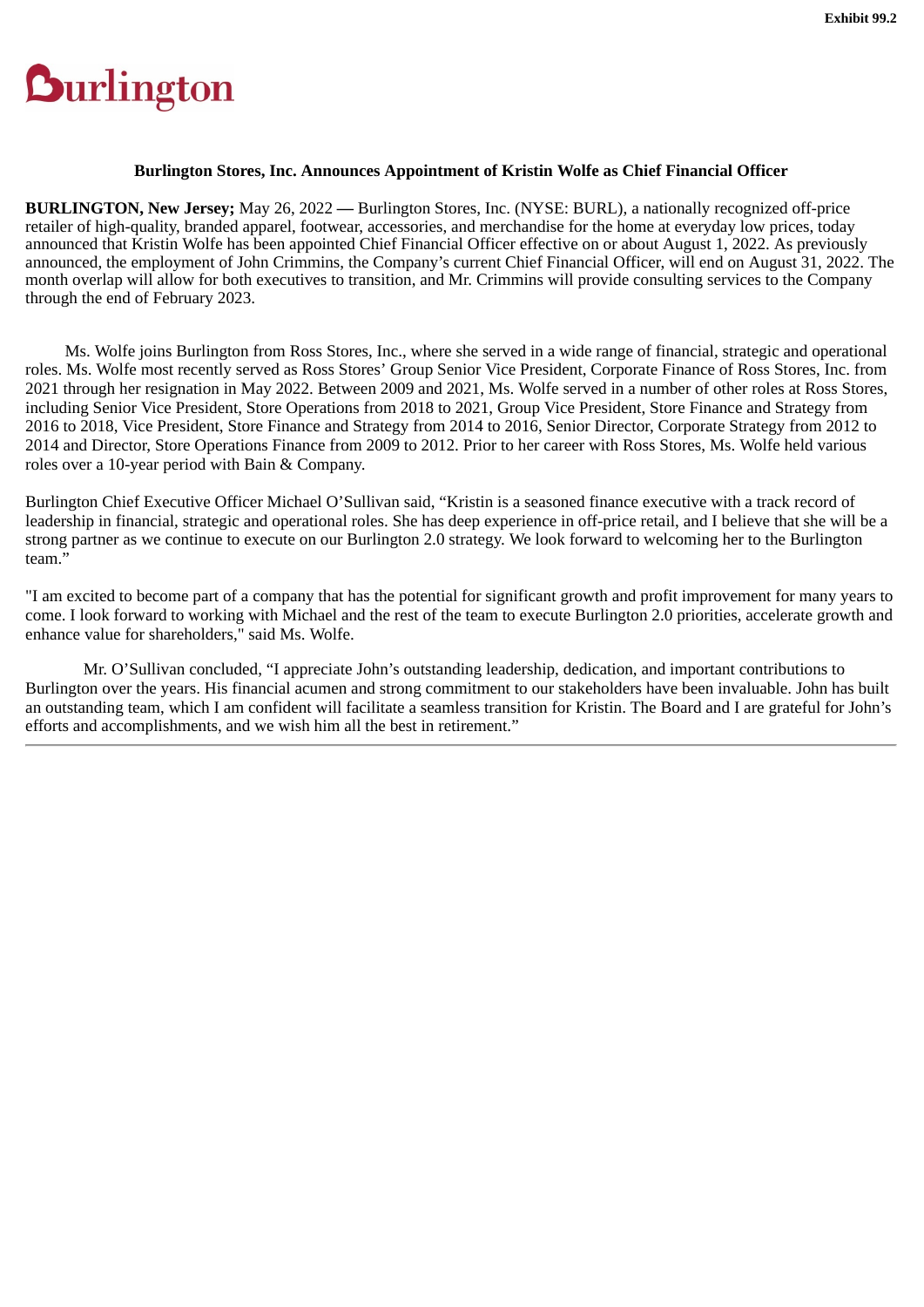# <span id="page-54-0"></span>**Durlington**

# **Burlington Stores, Inc. Announces Appointment of Kristin Wolfe as Chief Financial Officer**

**BURLINGTON, New Jersey;** May 26, 2022 **—** Burlington Stores, Inc. (NYSE: BURL), a nationally recognized off-price retailer of high-quality, branded apparel, footwear, accessories, and merchandise for the home at everyday low prices, today announced that Kristin Wolfe has been appointed Chief Financial Officer effective on or about August 1, 2022. As previously announced, the employment of John Crimmins, the Company's current Chief Financial Officer, will end on August 31, 2022. The month overlap will allow for both executives to transition, and Mr. Crimmins will provide consulting services to the Company through the end of February 2023.

Ms. Wolfe joins Burlington from Ross Stores, Inc., where she served in a wide range of financial, strategic and operational roles. Ms. Wolfe most recently served as Ross Stores' Group Senior Vice President, Corporate Finance of Ross Stores, Inc. from 2021 through her resignation in May 2022. Between 2009 and 2021, Ms. Wolfe served in a number of other roles at Ross Stores, including Senior Vice President, Store Operations from 2018 to 2021, Group Vice President, Store Finance and Strategy from 2016 to 2018, Vice President, Store Finance and Strategy from 2014 to 2016, Senior Director, Corporate Strategy from 2012 to 2014 and Director, Store Operations Finance from 2009 to 2012. Prior to her career with Ross Stores, Ms. Wolfe held various roles over a 10-year period with Bain & Company.

Burlington Chief Executive Officer Michael O'Sullivan said, "Kristin is a seasoned finance executive with a track record of leadership in financial, strategic and operational roles. She has deep experience in off-price retail, and I believe that she will be a strong partner as we continue to execute on our Burlington 2.0 strategy. We look forward to welcoming her to the Burlington team."

"I am excited to become part of a company that has the potential for significant growth and profit improvement for many years to come. I look forward to working with Michael and the rest of the team to execute Burlington 2.0 priorities, accelerate growth and enhance value for shareholders," said Ms. Wolfe.

Mr. O'Sullivan concluded, "I appreciate John's outstanding leadership, dedication, and important contributions to Burlington over the years. His financial acumen and strong commitment to our stakeholders have been invaluable. John has built an outstanding team, which I am confident will facilitate a seamless transition for Kristin. The Board and I are grateful for John's efforts and accomplishments, and we wish him all the best in retirement."